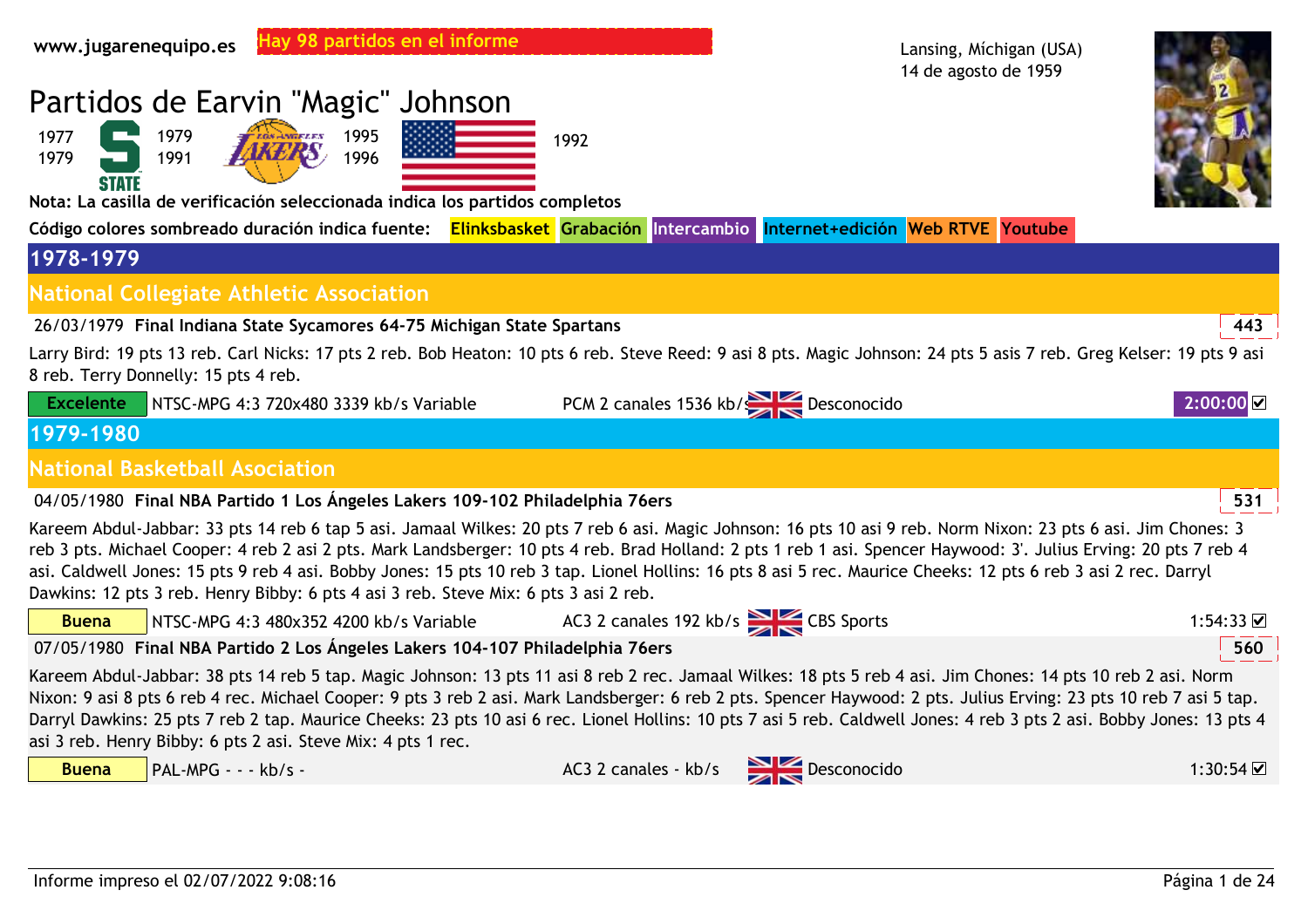| Hay 98 partidos en el informe<br>www.jugarenequipo.es                                                                                                                                                                                                                                                                                                                                                                                                                                                                                                                                          |                                       | Lansing, Michigan (USA)<br>14 de agosto de 1959 |                     |
|------------------------------------------------------------------------------------------------------------------------------------------------------------------------------------------------------------------------------------------------------------------------------------------------------------------------------------------------------------------------------------------------------------------------------------------------------------------------------------------------------------------------------------------------------------------------------------------------|---------------------------------------|-------------------------------------------------|---------------------|
| Partidos de Earvin "Magic" Johnson                                                                                                                                                                                                                                                                                                                                                                                                                                                                                                                                                             |                                       |                                                 |                     |
| 1979<br>1995<br>1977<br>1991<br>1996<br>1979<br><b>STATE</b>                                                                                                                                                                                                                                                                                                                                                                                                                                                                                                                                   | 1992                                  |                                                 |                     |
| Nota: La casilla de verificación seleccionada indica los partidos completos                                                                                                                                                                                                                                                                                                                                                                                                                                                                                                                    |                                       |                                                 |                     |
| Código colores sombreado duración indica fuente: Elinksbasket Grabación Intercambio Internet+edición Web RTVE Youtube                                                                                                                                                                                                                                                                                                                                                                                                                                                                          |                                       |                                                 |                     |
| 1978-1979                                                                                                                                                                                                                                                                                                                                                                                                                                                                                                                                                                                      |                                       |                                                 |                     |
| <b>National Collegiate Athletic Association</b>                                                                                                                                                                                                                                                                                                                                                                                                                                                                                                                                                |                                       |                                                 |                     |
| 26/03/1979 Final Indiana State Sycamores 64-75 Michigan State Spartans                                                                                                                                                                                                                                                                                                                                                                                                                                                                                                                         |                                       |                                                 | 443                 |
| Larry Bird: 19 pts 13 reb. Carl Nicks: 17 pts 2 reb. Bob Heaton: 10 pts 6 reb. Steve Reed: 9 asi 8 pts. Magic Johnson: 24 pts 5 asis 7 reb. Greg Kelser: 19 pts 9 asi<br>8 reb. Terry Donnelly: 15 pts 4 reb.                                                                                                                                                                                                                                                                                                                                                                                  |                                       |                                                 |                     |
| <b>Excelente</b><br>NTSC-MPG 4:3 720x480 3339 kb/s Variable                                                                                                                                                                                                                                                                                                                                                                                                                                                                                                                                    | PCM 2 canales 1536 kb/<br>Desconocido |                                                 | 2:00:00             |
| 1979-1980                                                                                                                                                                                                                                                                                                                                                                                                                                                                                                                                                                                      |                                       |                                                 |                     |
| <b>National Basketball Asociation</b>                                                                                                                                                                                                                                                                                                                                                                                                                                                                                                                                                          |                                       |                                                 |                     |
| 04/05/1980 Final NBA Partido 1 Los Ángeles Lakers 109-102 Philadelphia 76ers                                                                                                                                                                                                                                                                                                                                                                                                                                                                                                                   |                                       |                                                 | 531                 |
| Kareem Abdul-Jabbar: 33 pts 14 reb 6 tap 5 asi. Jamaal Wilkes: 20 pts 7 reb 6 asi. Magic Johnson: 16 pts 10 asi 9 reb. Norm Nixon: 23 pts 6 asi. Jim Chones: 3<br>reb 3 pts. Michael Cooper: 4 reb 2 asi 2 pts. Mark Landsberger: 10 pts 4 reb. Brad Holland: 2 pts 1 reb 1 asi. Spencer Haywood: 3'. Julius Erving: 20 pts 7 reb 4<br>asi. Caldwell Jones: 15 pts 9 reb 4 asi. Bobby Jones: 15 pts 10 reb 3 tap. Lionel Hollins: 16 pts 8 asi 5 rec. Maurice Cheeks: 12 pts 6 reb 3 asi 2 rec. Darryl<br>Dawkins: 12 pts 3 reb. Henry Bibby: 6 pts 4 asi 3 reb. Steve Mix: 6 pts 3 asi 2 reb. |                                       |                                                 |                     |
| <b>Buena</b><br>NTSC-MPG 4:3 480x352 4200 kb/s Variable                                                                                                                                                                                                                                                                                                                                                                                                                                                                                                                                        | AC3 2 canales 192 kb/s CBS Sports     |                                                 | 1:54:33 $\boxtimes$ |
| 07/05/1980 Final NBA Partido 2 Los Ángeles Lakers 104-107 Philadelphia 76ers                                                                                                                                                                                                                                                                                                                                                                                                                                                                                                                   |                                       |                                                 | 560                 |
| Kareem Abdul-Jabbar: 38 pts 14 reb 5 tap. Magic Johnson: 13 pts 11 asi 8 reb 2 rec. Jamaal Wilkes: 18 pts 5 reb 4 asi. Jim Chones: 14 pts 10 reb 2 asi. Norm<br>Nixon: 9 asi 8 pts 6 reb 4 rec. Michael Cooper: 9 pts 3 reb 2 asi. Mark Landsberger: 6 reb 2 pts. Spencer Haywood: 2 pts. Julius Erving: 23 pts 10 reb 7 asi 5 tap.<br>Darryl Dawkins: 25 pts 7 reb 2 tap. Maurice Cheeks: 23 pts 10 asi 6 rec. Lionel Hollins: 10 pts 7 asi 5 reb. Caldwell Jones: 4 reb 3 pts 2 asi. Bobby Jones: 13 pts 4<br>asi 3 reb. Henry Bibby: 6 pts 2 asi. Steve Mix: 4 pts 1 rec.                   |                                       |                                                 |                     |
| PAL-MPG - - - kb/s -<br><b>Buena</b>                                                                                                                                                                                                                                                                                                                                                                                                                                                                                                                                                           | AC3 2 canales - kb/s Desconocido      |                                                 | 1:30:54 ☑           |
|                                                                                                                                                                                                                                                                                                                                                                                                                                                                                                                                                                                                |                                       |                                                 |                     |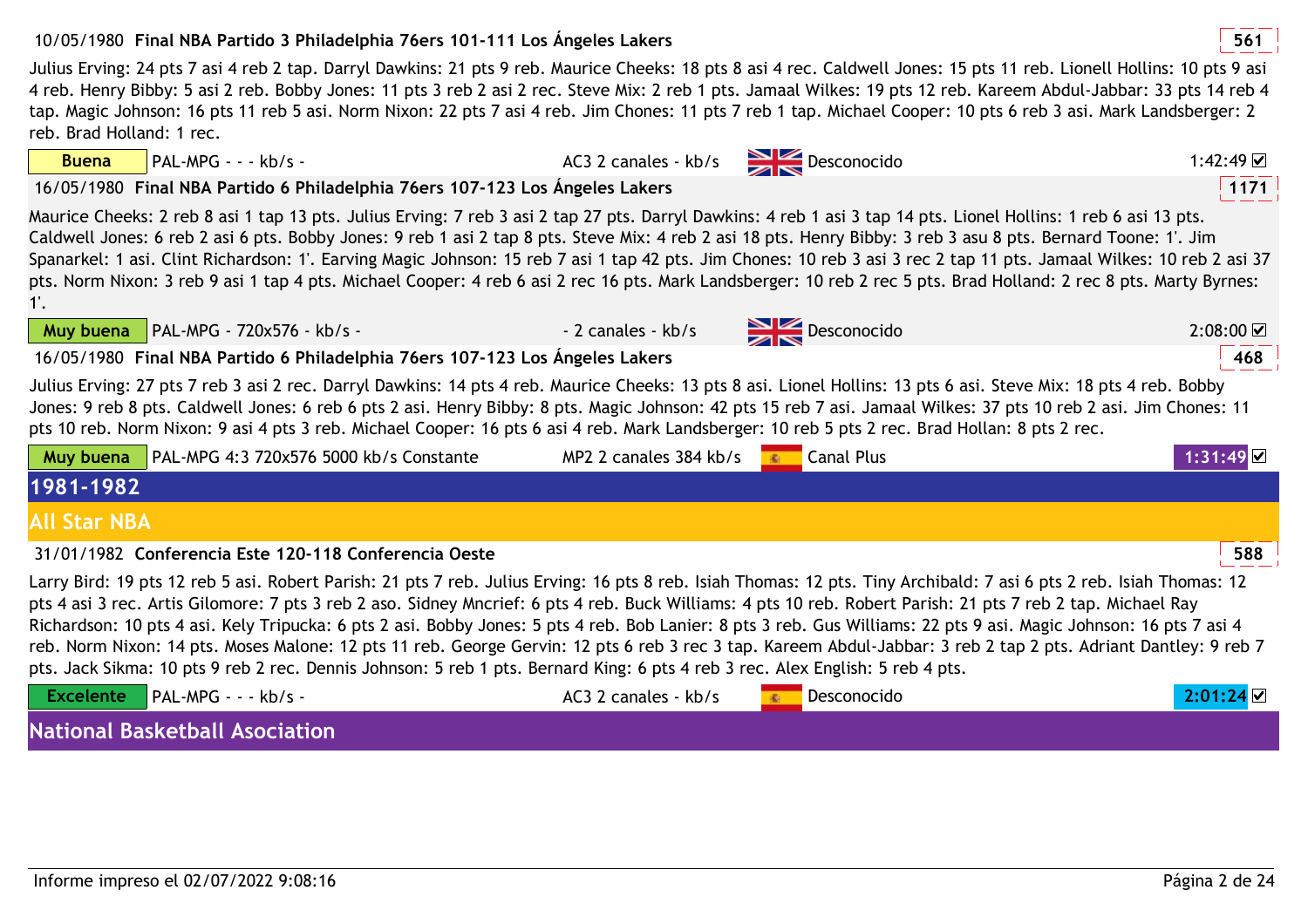## 10/05/1980 **<sup>561</sup>Final NBA Partido 3 Philadelphia 76ers 101-111 Los Ángeles Lakers**

Julius Erving: 24 pts 7 asi 4 reb 2 tap. Darryl Dawkins: 21 pts 9 reb. Maurice Cheeks: 18 pts 8 asi 4 rec. Caldwell Jones: 15 pts 11 reb. Lionell Hollins: 10 pts 9 asi 4 reb. Henry Bibby: 5 asi 2 reb. Bobby Jones: 11 pts 3 reb 2 asi 2 rec. Steve Mix: 2 reb 1 pts. Jamaal Wilkes: 19 pts 12 reb. Kareem Abdul-Jabbar: 33 pts 14 reb 4 tap. Magic Johnson: 16 pts 11 reb 5 asi. Norm Nixon: 22 pts 7 asi 4 reb. Jim Chones: 11 pts 7 reb 1 tap. Michael Cooper: 10 pts 6 reb 3 asi. Mark Landsberger: 2 reb. Brad Holland: 1 rec.

16/05/1980 **<sup>1171</sup>Final NBA Partido 6 Philadelphia 76ers 107-123 Los Ángeles Lakers**

Maurice Cheeks: 2 reb 8 asi 1 tap 13 pts. Julius Erving: 7 reb 3 asi 2 tap 27 pts. Darryl Dawkins: 4 reb 1 asi 3 tap 14 pts. Lionel Hollins: 1 reb 6 asi 13 pts. Caldwell Jones: 6 reb 2 asi 6 pts. Bobby Jones: 9 reb 1 asi 2 tap 8 pts. Steve Mix: 4 reb 2 asi 18 pts. Henry Bibby: 3 reb 3 asu 8 pts. Bernard Toone: 1'. Jim Spanarkel: 1 asi. Clint Richardson: 1'. Earving Magic Johnson: 15 reb 7 asi 1 tap 42 pts. Jim Chones: 10 reb 3 asi 3 rec 2 tap 11 pts. Jamaal Wilkes: 10 reb 2 asi 37 pts. Norm Nixon: 3 reb 9 asi 1 tap 4 pts. Michael Cooper: 4 reb 6 asi 2 rec 16 pts. Mark Landsberger: 10 reb 2 rec 5 pts. Brad Holland: 2 rec 8 pts. Marty Byrnes: 1'.

**Muy buena** PAL-MPG - 720x576 - kb/s - - - - - - - - - 2 canales - kb/s Desconocido

**Buena**

16/05/1980 **<sup>468</sup>Final NBA Partido 6 Philadelphia 76ers 107-123 Los Ángeles Lakers**

Julius Erving: 27 pts 7 reb 3 asi 2 rec. Darryl Dawkins: 14 pts 4 reb. Maurice Cheeks: 13 pts 8 asi. Lionel Hollins: 13 pts 6 asi. Steve Mix: 18 pts 4 reb. Bobby Jones: 9 reb 8 pts. Caldwell Jones: 6 reb 6 pts 2 asi. Henry Bibby: 8 pts. Magic Johnson: 42 pts 15 reb 7 asi. Jamaal Wilkes: 37 pts 10 reb 2 asi. Jim Chones: 11 pts 10 reb. Norm Nixon: 9 asi 4 pts 3 reb. Michael Cooper: 16 pts 6 asi 4 reb. Mark Landsberger: 10 reb 5 pts 2 rec. Brad Hollan: 8 pts 2 rec.

|                     | <b>Muy buena</b> $\vert$ PAL-MPG 4:3 720x576 5000 kb/s Constante                                                                                                                          | MP2 2 canales 384 kb/s | Canal Plus | $1:31:49$ $\blacksquare$ |
|---------------------|-------------------------------------------------------------------------------------------------------------------------------------------------------------------------------------------|------------------------|------------|--------------------------|
| 1981-1982           |                                                                                                                                                                                           |                        |            |                          |
| <b>All Star NBA</b> |                                                                                                                                                                                           |                        |            |                          |
|                     | 31/01/1982 Conferencia Este 120-118 Conferencia Oeste                                                                                                                                     |                        |            | 588                      |
|                     | the control 40 and 5 and 5 and 5 and 5 and 5 and 1.15 and 47 and 6 and 1.5 and 51 and 51 and 1.15 and 1.5 and 1.5 and 1.5 and 1.5 and 1.5 and 1.5 and 1.5 and 1.5 and 1.5 and 1.5 and 1.5 |                        |            |                          |

Larry Bird: 19 pts 12 reb 5 asi. Robert Parish: 21 pts 7 reb. Julius Erving: 16 pts 8 reb. Isiah Thomas: 12 pts. Tiny Archibald: 7 asi 6 pts 2 reb. Isiah Thomas: 12 pts 4 asi 3 rec. Artis Gilomore: 7 pts 3 reb 2 aso. Sidney Mncrief: 6 pts 4 reb. Buck Williams: 4 pts 10 reb. Robert Parish: 21 pts 7 reb 2 tap. Michael Ray Richardson: 10 pts 4 asi. Kely Tripucka: 6 pts 2 asi. Bobby Jones: 5 pts 4 reb. Bob Lanier: 8 pts 3 reb. Gus Williams: 22 pts 9 asi. Magic Johnson: 16 pts 7 asi 4 reb. Norm Nixon: 14 pts. Moses Malone: 12 pts 11 reb. George Gervin: 12 pts 6 reb 3 rec 3 tap. Kareem Abdul-Jabbar: 3 reb 2 tap 2 pts. Adriant Dantley: 9 reb 7 pts. Jack Sikma: 10 pts 9 reb 2 rec. Dennis Johnson: 5 reb 1 pts. Bernard King: 6 pts 4 reb 3 rec. Alex English: 5 reb 4 pts.

| <b>Excelente</b> PAL-MPG - - - kb/s - | AC3 2 canales - kb/s | Desconocido | 2.01.24 |
|---------------------------------------|----------------------|-------------|---------|
| National Rackothall Acociation        |                      |             |         |

**National Basketball Asociation**



o 2:08:00

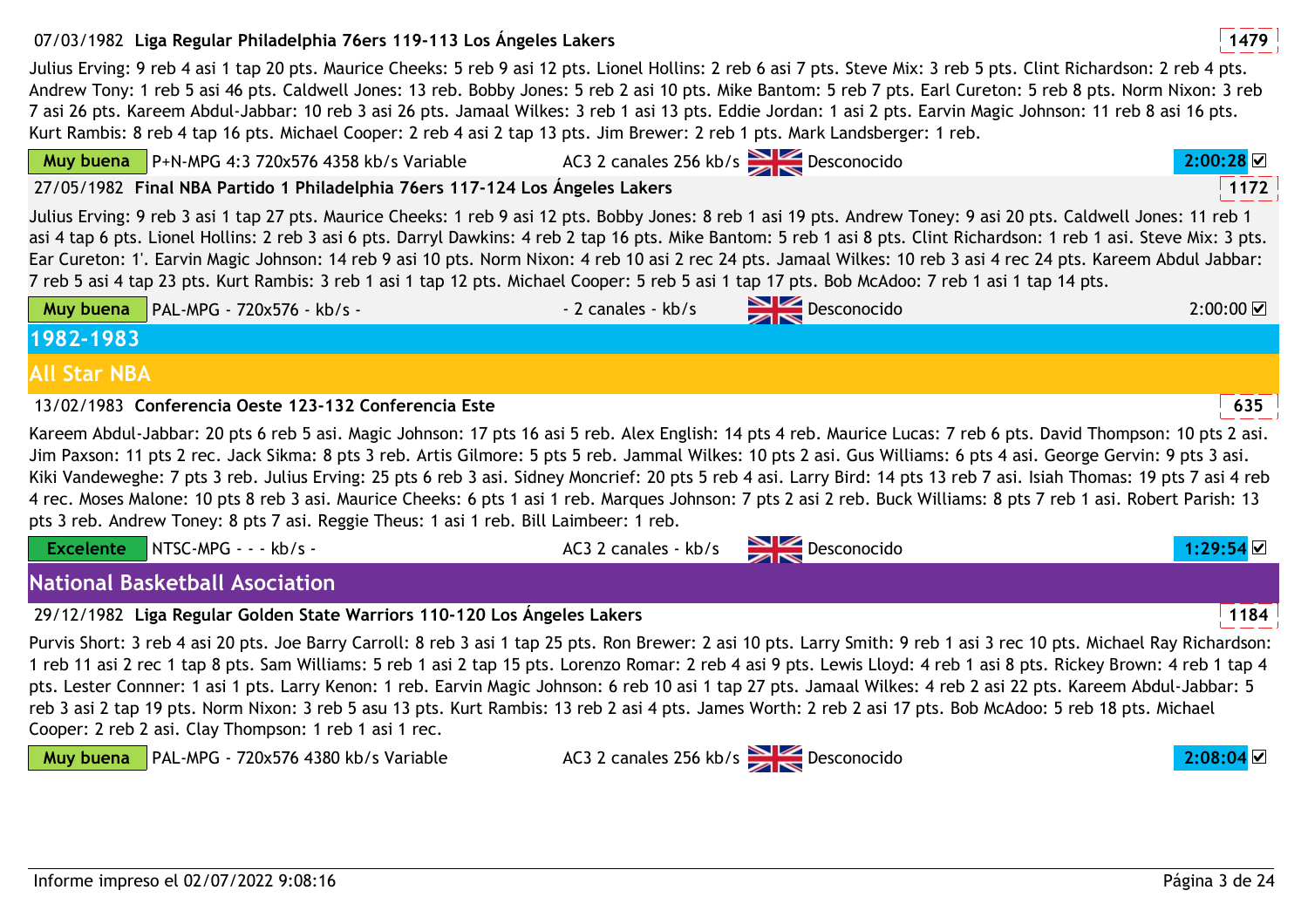## 07/03/1982 **<sup>1479</sup>Liga Regular Philadelphia 76ers 119-113 Los Ángeles Lakers**

Julius Erving: 9 reb 4 asi 1 tap 20 pts. Maurice Cheeks: 5 reb 9 asi 12 pts. Lionel Hollins: 2 reb 6 asi 7 pts. Steve Mix: 3 reb 5 pts. Clint Richardson: 2 reb 4 pts. Andrew Tony: 1 reb 5 asi 46 pts. Caldwell Jones: 13 reb. Bobby Jones: 5 reb 2 asi 10 pts. Mike Bantom: 5 reb 7 pts. Earl Cureton: 5 reb 8 pts. Norm Nixon: 3 reb 7 asi 26 pts. Kareem Abdul-Jabbar: 10 reb 3 asi 26 pts. Jamaal Wilkes: 3 reb 1 asi 13 pts. Eddie Jordan: 1 asi 2 pts. Earvin Magic Johnson: 11 reb 8 asi 16 pts. Kurt Rambis: 8 reb 4 tap 16 pts. Michael Cooper: 2 reb 4 asi 2 tap 13 pts. Jim Brewer: 2 reb 1 pts. Mark Landsberger: 1 reb.

| <b>Muy buena</b> $\sqrt{P+N-MPG}$ 4:3 720x576 4358 kb/s Variable                                                                                                                                                                                                                                                                                                                                                                                                                                                                                                                                                                                                                                                                                                                     |                                           |                                  |                  |
|--------------------------------------------------------------------------------------------------------------------------------------------------------------------------------------------------------------------------------------------------------------------------------------------------------------------------------------------------------------------------------------------------------------------------------------------------------------------------------------------------------------------------------------------------------------------------------------------------------------------------------------------------------------------------------------------------------------------------------------------------------------------------------------|-------------------------------------------|----------------------------------|------------------|
|                                                                                                                                                                                                                                                                                                                                                                                                                                                                                                                                                                                                                                                                                                                                                                                      | AC3 2 canales 256 kb/s $\geq$ Desconocido |                                  | 2:00:28          |
| 27/05/1982 Final NBA Partido 1 Philadelphia 76ers 117-124 Los Ángeles Lakers                                                                                                                                                                                                                                                                                                                                                                                                                                                                                                                                                                                                                                                                                                         |                                           |                                  | 1172             |
| Julius Erving: 9 reb 3 asi 1 tap 27 pts. Maurice Cheeks: 1 reb 9 asi 12 pts. Bobby Jones: 8 reb 1 asi 19 pts. Andrew Toney: 9 asi 20 pts. Caldwell Jones: 11 reb 1<br>asi 4 tap 6 pts. Lionel Hollins: 2 reb 3 asi 6 pts. Darryl Dawkins: 4 reb 2 tap 16 pts. Mike Bantom: 5 reb 1 asi 8 pts. Clint Richardson: 1 reb 1 asi. Steve Mix: 3 pts.<br>Ear Cureton: 1'. Earvin Magic Johnson: 14 reb 9 asi 10 pts. Norm Nixon: 4 reb 10 asi 2 rec 24 pts. Jamaal Wilkes: 10 reb 3 asi 4 rec 24 pts. Kareem Abdul Jabbar:<br>7 reb 5 asi 4 tap 23 pts. Kurt Rambis: 3 reb 1 asi 1 tap 12 pts. Michael Cooper: 5 reb 5 asi 1 tap 17 pts. Bob McAdoo: 7 reb 1 asi 1 tap 14 pts.                                                                                                              |                                           |                                  |                  |
| Muy buena<br>PAL-MPG - 720x576 - kb/s -                                                                                                                                                                                                                                                                                                                                                                                                                                                                                                                                                                                                                                                                                                                                              | - 2 canales - kb/s                        | $\frac{1}{\sqrt{2}}$ Desconocido | $2:00:00$ $\Box$ |
| 1982-1983                                                                                                                                                                                                                                                                                                                                                                                                                                                                                                                                                                                                                                                                                                                                                                            |                                           |                                  |                  |
| <b>All Star NBA</b>                                                                                                                                                                                                                                                                                                                                                                                                                                                                                                                                                                                                                                                                                                                                                                  |                                           |                                  |                  |
| 13/02/1983 Conferencia Oeste 123-132 Conferencia Este                                                                                                                                                                                                                                                                                                                                                                                                                                                                                                                                                                                                                                                                                                                                |                                           |                                  | 635              |
|                                                                                                                                                                                                                                                                                                                                                                                                                                                                                                                                                                                                                                                                                                                                                                                      |                                           |                                  |                  |
| Kareem Abdul-Jabbar: 20 pts 6 reb 5 asi. Magic Johnson: 17 pts 16 asi 5 reb. Alex English: 14 pts 4 reb. Maurice Lucas: 7 reb 6 pts. David Thompson: 10 pts 2 asi.<br>Jim Paxson: 11 pts 2 rec. Jack Sikma: 8 pts 3 reb. Artis Gilmore: 5 pts 5 reb. Jammal Wilkes: 10 pts 2 asi. Gus Williams: 6 pts 4 asi. George Gervin: 9 pts 3 asi.<br>Kiki Vandeweghe: 7 pts 3 reb. Julius Erving: 25 pts 6 reb 3 asi. Sidney Moncrief: 20 pts 5 reb 4 asi. Larry Bird: 14 pts 13 reb 7 asi. Isiah Thomas: 19 pts 7 asi 4 reb<br>4 rec. Moses Malone: 10 pts 8 reb 3 asi. Maurice Cheeks: 6 pts 1 asi 1 reb. Marques Johnson: 7 pts 2 asi 2 reb. Buck Williams: 8 pts 7 reb 1 asi. Robert Parish: 13<br>pts 3 reb. Andrew Toney: 8 pts 7 asi. Reggie Theus: 1 asi 1 reb. Bill Laimbeer: 1 reb. |                                           |                                  |                  |
| NTSC-MPG - - - kb/s -<br><b>Excelente</b>                                                                                                                                                                                                                                                                                                                                                                                                                                                                                                                                                                                                                                                                                                                                            | AC3 2 canales - kb/s Desconocido          |                                  | 1:29:54 ☑        |
| <b>National Basketball Asociation</b>                                                                                                                                                                                                                                                                                                                                                                                                                                                                                                                                                                                                                                                                                                                                                |                                           |                                  |                  |
| 29/12/1982 Liga Regular Golden State Warriors 110-120 Los Angeles Lakers                                                                                                                                                                                                                                                                                                                                                                                                                                                                                                                                                                                                                                                                                                             |                                           |                                  | 1184             |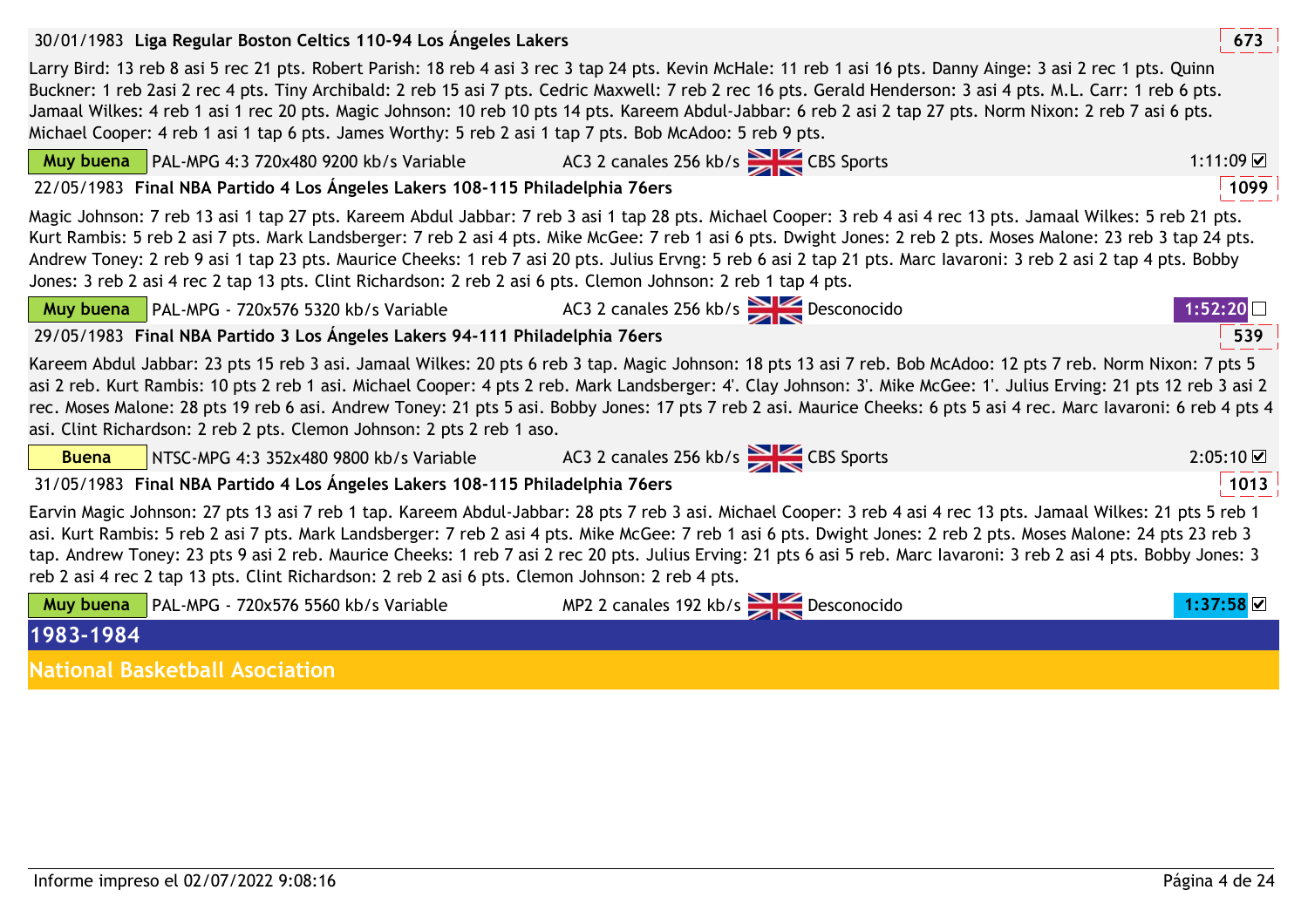| 30/01/1983 Liga Regular Boston Celtics 110-94 Los Angeles Lakers                                                                                                                                                                                                                                                                                                                                                                                                                                                                                                                                                            | 673                |
|-----------------------------------------------------------------------------------------------------------------------------------------------------------------------------------------------------------------------------------------------------------------------------------------------------------------------------------------------------------------------------------------------------------------------------------------------------------------------------------------------------------------------------------------------------------------------------------------------------------------------------|--------------------|
| Larry Bird: 13 reb 8 asi 5 rec 21 pts. Robert Parish: 18 reb 4 asi 3 rec 3 tap 24 pts. Kevin McHale: 11 reb 1 asi 16 pts. Danny Ainge: 3 asi 2 rec 1 pts. Quinn<br>Buckner: 1 reb 2asi 2 rec 4 pts. Tiny Archibald: 2 reb 15 asi 7 pts. Cedric Maxwell: 7 reb 2 rec 16 pts. Gerald Henderson: 3 asi 4 pts. M.L. Carr: 1 reb 6 pts.<br>Jamaal Wilkes: 4 reb 1 asi 1 rec 20 pts. Magic Johnson: 10 reb 10 pts 14 pts. Kareem Abdul-Jabbar: 6 reb 2 asi 2 tap 27 pts. Norm Nixon: 2 reb 7 asi 6 pts.<br>Michael Cooper: 4 reb 1 asi 1 tap 6 pts. James Worthy: 5 reb 2 asi 1 tap 7 pts. Bob McAdoo: 5 reb 9 pts.               |                    |
| Muy buena PAL-MPG 4:3 720x480 9200 kb/s Variable AC3 2 canales 256 kb/s                                                                                                                                                                                                                                                                                                                                                                                                                                                                                                                                                     | $1:11:09$ $\Omega$ |
| 22/05/1983 Final NBA Partido 4 Los Ángeles Lakers 108-115 Philadelphia 76ers                                                                                                                                                                                                                                                                                                                                                                                                                                                                                                                                                | 1099               |
| Magic Johnson: 7 reb 13 asi 1 tap 27 pts. Kareem Abdul Jabbar: 7 reb 3 asi 1 tap 28 pts. Michael Cooper: 3 reb 4 asi 4 rec 13 pts. Jamaal Wilkes: 5 reb 21 pts.<br>Kurt Rambis: 5 reb 2 asi 7 pts. Mark Landsberger: 7 reb 2 asi 4 pts. Mike McGee: 7 reb 1 asi 6 pts. Dwight Jones: 2 reb 2 pts. Moses Malone: 23 reb 3 tap 24 pts.<br>Andrew Toney: 2 reb 9 asi 1 tap 23 pts. Maurice Cheeks: 1 reb 7 asi 20 pts. Julius Ervng: 5 reb 6 asi 2 tap 21 pts. Marc lavaroni: 3 reb 2 asi 2 tap 4 pts. Bobby<br>Jones: 3 reb 2 asi 4 rec 2 tap 13 pts. Clint Richardson: 2 reb 2 asi 6 pts. Clemon Johnson: 2 reb 1 tap 4 pts. |                    |
| <b>Muy buena</b> PAL-MPG - 720x576 5320 kb/s Variable $AC3$ 2 canales 256 kb/s $\geq$ Desconocido<br>1:52:20                                                                                                                                                                                                                                                                                                                                                                                                                                                                                                                |                    |
| 29/05/1983 Final NBA Partido 3 Los Ángeles Lakers 94-111 Philadelphia 76ers                                                                                                                                                                                                                                                                                                                                                                                                                                                                                                                                                 | 539                |
| Kareem Abdul Jabbar: 23 pts 15 reb 3 asi. Jamaal Wilkes: 20 pts 6 reb 3 tap. Magic Johnson: 18 pts 13 asi 7 reb. Bob McAdoo: 12 pts 7 reb. Norm Nixon: 7 pts 5<br>asi 2 reb. Kurt Rambis: 10 pts 2 reb 1 asi. Michael Cooper: 4 pts 2 reb. Mark Landsberger: 4'. Clay Johnson: 3'. Mike McGee: 1'. Julius Erving: 21 pts 12 reb 3 asi 2<br>rec. Moses Malone: 28 pts 19 reb 6 asi. Andrew Toney: 21 pts 5 asi. Bobby Jones: 17 pts 7 reb 2 asi. Maurice Cheeks: 6 pts 5 asi 4 rec. Marc lavaroni: 6 reb 4 pts 4<br>asi. Clint Richardson: 2 reb 2 pts. Clemon Johnson: 2 pts 2 reb 1 aso.                                   |                    |
| NTSC-MPG 4:3 352x480 9800 kb/s Variable 4C3 2 canales 256 kb/s<br><b>Buena</b>                                                                                                                                                                                                                                                                                                                                                                                                                                                                                                                                              | 2:05:10            |
| 31/05/1983 Final NBA Partido 4 Los Ángeles Lakers 108-115 Philadelphia 76ers                                                                                                                                                                                                                                                                                                                                                                                                                                                                                                                                                | 1013               |
| Earvin Magic Johnson: 27 pts 13 asi 7 reb 1 tap. Kareem Abdul-Jabbar: 28 pts 7 reb 3 asi. Michael Cooper: 3 reb 4 asi 4 rec 13 pts. Jamaal Wilkes: 21 pts 5 reb 1<br>asi. Kurt Rambis: 5 reb 2 asi 7 pts. Mark Landsberger: 7 reb 2 asi 4 pts. Mike McGee: 7 reb 1 asi 6 pts. Dwight Jones: 2 reb 2 pts. Moses Malone: 24 pts 23 reb 3<br>tap. Andrew Toney: 23 pts 9 asi 2 reb. Maurice Cheeks: 1 reb 7 asi 2 rec 20 pts. Julius Erving: 21 pts 6 asi 5 reb. Marc lavaroni: 3 reb 2 asi 4 pts. Bobby Jones: 3<br>reb 2 asi 4 rec 2 tap 13 pts. Clint Richardson: 2 reb 2 asi 6 pts. Clemon Johnson: 2 reb 4 pts.           |                    |
| MP2 2 canales 192 kb/s<br>Desconocido<br>PAL-MPG - 720x576 5560 kb/s Variable<br>Muy buena                                                                                                                                                                                                                                                                                                                                                                                                                                                                                                                                  | 1:37:58 ⊻          |
| 1983-1984                                                                                                                                                                                                                                                                                                                                                                                                                                                                                                                                                                                                                   |                    |
| <b>National Basketball Asociation</b>                                                                                                                                                                                                                                                                                                                                                                                                                                                                                                                                                                                       |                    |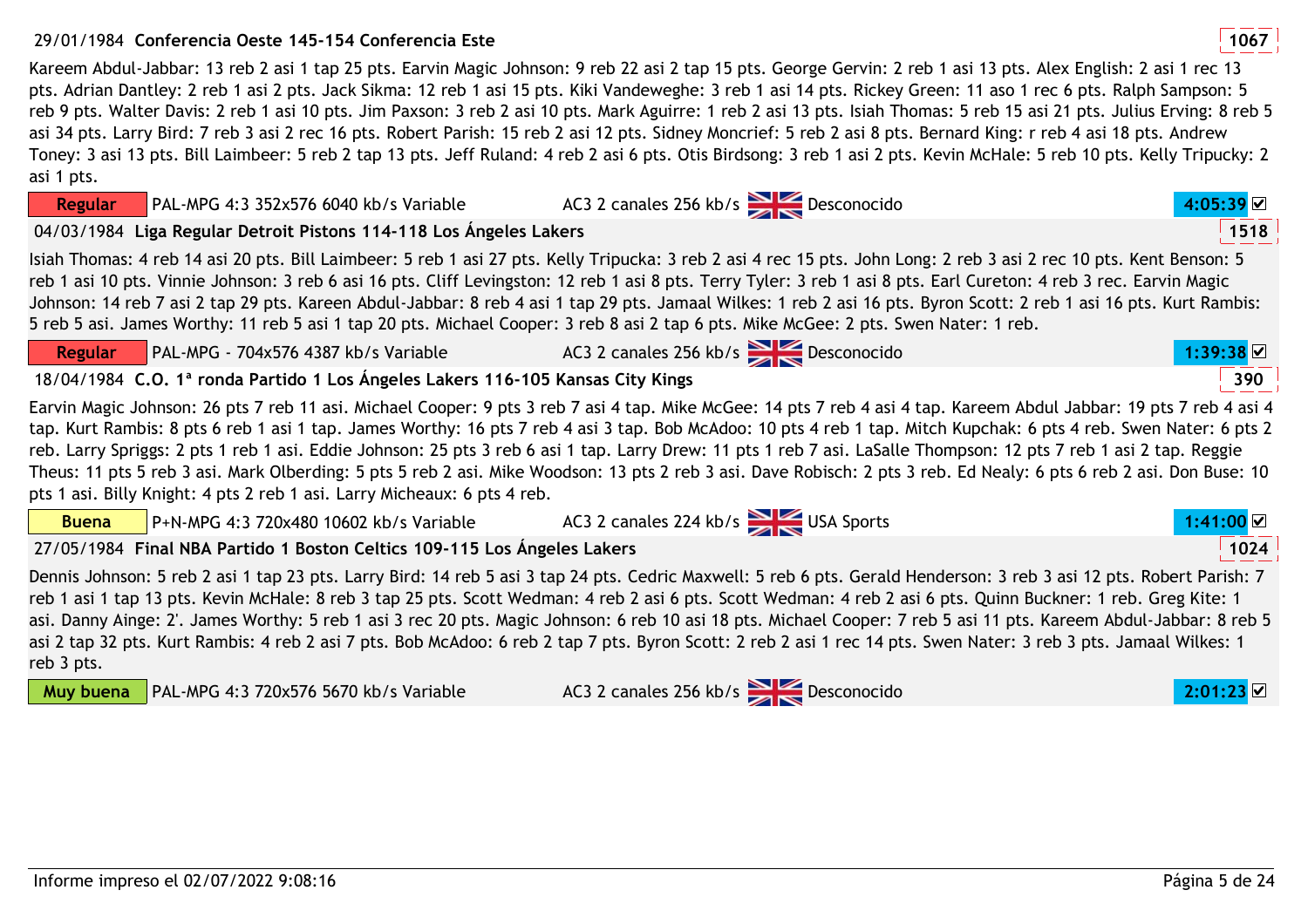## 29/01/1984 **<sup>1067</sup>Conferencia Oeste 145-154 Conferencia Este**

Kareem Abdul-Jabbar: 13 reb 2 asi 1 tap 25 pts. Earvin Magic Johnson: 9 reb 22 asi 2 tap 15 pts. George Gervin: 2 reb 1 asi 13 pts. Alex English: 2 asi 1 rec 13 pts. Adrian Dantley: 2 reb 1 asi 2 pts. Jack Sikma: 12 reb 1 asi 15 pts. Kiki Vandeweghe: 3 reb 1 asi 14 pts. Rickey Green: 11 aso 1 rec 6 pts. Ralph Sampson: 5 reb 9 pts. Walter Davis: 2 reb 1 asi 10 pts. Jim Paxson: 3 reb 2 asi 10 pts. Mark Aguirre: 1 reb 2 asi 13 pts. Isiah Thomas: 5 reb 15 asi 21 pts. Julius Erving: 8 reb 5 asi 34 pts. Larry Bird: 7 reb 3 asi 2 rec 16 pts. Robert Parish: 15 reb 2 asi 12 pts. Sidney Moncrief: 5 reb 2 asi 8 pts. Bernard King: r reb 4 asi 18 pts. Andrew Toney: 3 asi 13 pts. Bill Laimbeer: 5 reb 2 tap 13 pts. Jeff Ruland: 4 reb 2 asi 6 pts. Otis Birdsong: 3 reb 1 asi 2 pts. Kevin McHale: 5 reb 10 pts. Kelly Tripucky: 2 asi 1 pts.

| <b>Regular</b> | PAL-MPG 4:3 352x576 6040 kb/s Variable                                                                                                                                                                                                                                                                                                                                                                                                                                                                                                                                                                                                                                                                                                                              | AC3 2 canales 256 kb/s $\geq$ Desconocido |             |
|----------------|---------------------------------------------------------------------------------------------------------------------------------------------------------------------------------------------------------------------------------------------------------------------------------------------------------------------------------------------------------------------------------------------------------------------------------------------------------------------------------------------------------------------------------------------------------------------------------------------------------------------------------------------------------------------------------------------------------------------------------------------------------------------|-------------------------------------------|-------------|
|                | 04/03/1984 Liga Regular Detroit Pistons 114-118 Los Ángeles Lakers                                                                                                                                                                                                                                                                                                                                                                                                                                                                                                                                                                                                                                                                                                  |                                           | 1518        |
|                | Isiah Thomas: 4 reb 14 asi 20 pts. Bill Laimbeer: 5 reb 1 asi 27 pts. Kelly Tripucka: 3 reb 2 asi 4 rec 15 pts. John Long: 2 reb 3 asi 2 rec 10 pts. Kent Benson: 5<br>reb 1 asi 10 pts. Vinnie Johnson: 3 reb 6 asi 16 pts. Cliff Levingston: 12 reb 1 asi 8 pts. Terry Tyler: 3 reb 1 asi 8 pts. Earl Cureton: 4 reb 3 rec. Earvin Magic<br>Johnson: 14 reb 7 asi 2 tap 29 pts. Kareen Abdul-Jabbar: 8 reb 4 asi 1 tap 29 pts. Jamaal Wilkes: 1 reb 2 asi 16 pts. Byron Scott: 2 reb 1 asi 16 pts. Kurt Rambis:<br>5 reb 5 asi. James Worthy: 11 reb 5 asi 1 tap 20 pts. Michael Cooper: 3 reb 8 asi 2 tap 6 pts. Mike McGee: 2 pts. Swen Nater: 1 reb.                                                                                                           |                                           |             |
| <b>Regular</b> | $\blacksquare$ PAL-MPG - 704x576 4387 kb/s Variable                                                                                                                                                                                                                                                                                                                                                                                                                                                                                                                                                                                                                                                                                                                 | AC3 2 canales 256 kb/s Desconocido        | $1:39:38$ ⊠ |
|                | 18/04/1984 C.O. 1ª ronda Partido 1 Los Ángeles Lakers 116-105 Kansas City Kings                                                                                                                                                                                                                                                                                                                                                                                                                                                                                                                                                                                                                                                                                     |                                           | 390         |
|                | Earvin Magic Johnson: 26 pts 7 reb 11 asi. Michael Cooper: 9 pts 3 reb 7 asi 4 tap. Mike McGee: 14 pts 7 reb 4 asi 4 tap. Kareem Abdul Jabbar: 19 pts 7 reb 4 asi 4<br>tap. Kurt Rambis: 8 pts 6 reb 1 asi 1 tap. James Worthy: 16 pts 7 reb 4 asi 3 tap. Bob McAdoo: 10 pts 4 reb 1 tap. Mitch Kupchak: 6 pts 4 reb. Swen Nater: 6 pts 2<br>reb. Larry Spriggs: 2 pts 1 reb 1 asi. Eddie Johnson: 25 pts 3 reb 6 asi 1 tap. Larry Drew: 11 pts 1 reb 7 asi. LaSalle Thompson: 12 pts 7 reb 1 asi 2 tap. Reggie<br>Theus: 11 pts 5 reb 3 asi. Mark Olberding: 5 pts 5 reb 2 asi. Mike Woodson: 13 pts 2 reb 3 asi. Dave Robisch: 2 pts 3 reb. Ed Nealy: 6 pts 6 reb 2 asi. Don Buse: 10<br>pts 1 asi. Billy Knight: 4 pts 2 reb 1 asi. Larry Micheaux: 6 pts 4 reb. |                                           |             |
| <b>Buena</b>   | $P+N-MPG 4:3 720x480 10602 kb/s Variable$ AC3 2 canales 224 kb/s                                                                                                                                                                                                                                                                                                                                                                                                                                                                                                                                                                                                                                                                                                    |                                           | 1:41:00 ☑   |
|                | 27/05/1984 Final NBA Partido 1 Boston Celtics 109-115 Los Ángeles Lakers                                                                                                                                                                                                                                                                                                                                                                                                                                                                                                                                                                                                                                                                                            |                                           | 1024        |
| reb 3 pts.     | Dennis Johnson: 5 reb 2 asi 1 tap 23 pts. Larry Bird: 14 reb 5 asi 3 tap 24 pts. Cedric Maxwell: 5 reb 6 pts. Gerald Henderson: 3 reb 3 asi 12 pts. Robert Parish: 7<br>reb 1 asi 1 tap 13 pts. Kevin McHale: 8 reb 3 tap 25 pts. Scott Wedman: 4 reb 2 asi 6 pts. Scott Wedman: 4 reb 2 asi 6 pts. Quinn Buckner: 1 reb. Greg Kite: 1<br>asi. Danny Ainge: 2'. James Worthy: 5 reb 1 asi 3 rec 20 pts. Magic Johnson: 6 reb 10 asi 18 pts. Michael Cooper: 7 reb 5 asi 11 pts. Kareem Abdul-Jabbar: 8 reb 5<br>asi 2 tap 32 pts. Kurt Rambis: 4 reb 2 asi 7 pts. Bob McAdoo: 6 reb 2 tap 7 pts. Byron Scott: 2 reb 2 asi 1 rec 14 pts. Swen Nater: 3 reb 3 pts. Jamaal Wilkes: 1                                                                                   |                                           |             |
| Muy buena      | PAL-MPG 4:3 720x576 5670 kb/s Variable                                                                                                                                                                                                                                                                                                                                                                                                                                                                                                                                                                                                                                                                                                                              | AC3 2 canales 256 kb/s Desconocido        | 2:01:23     |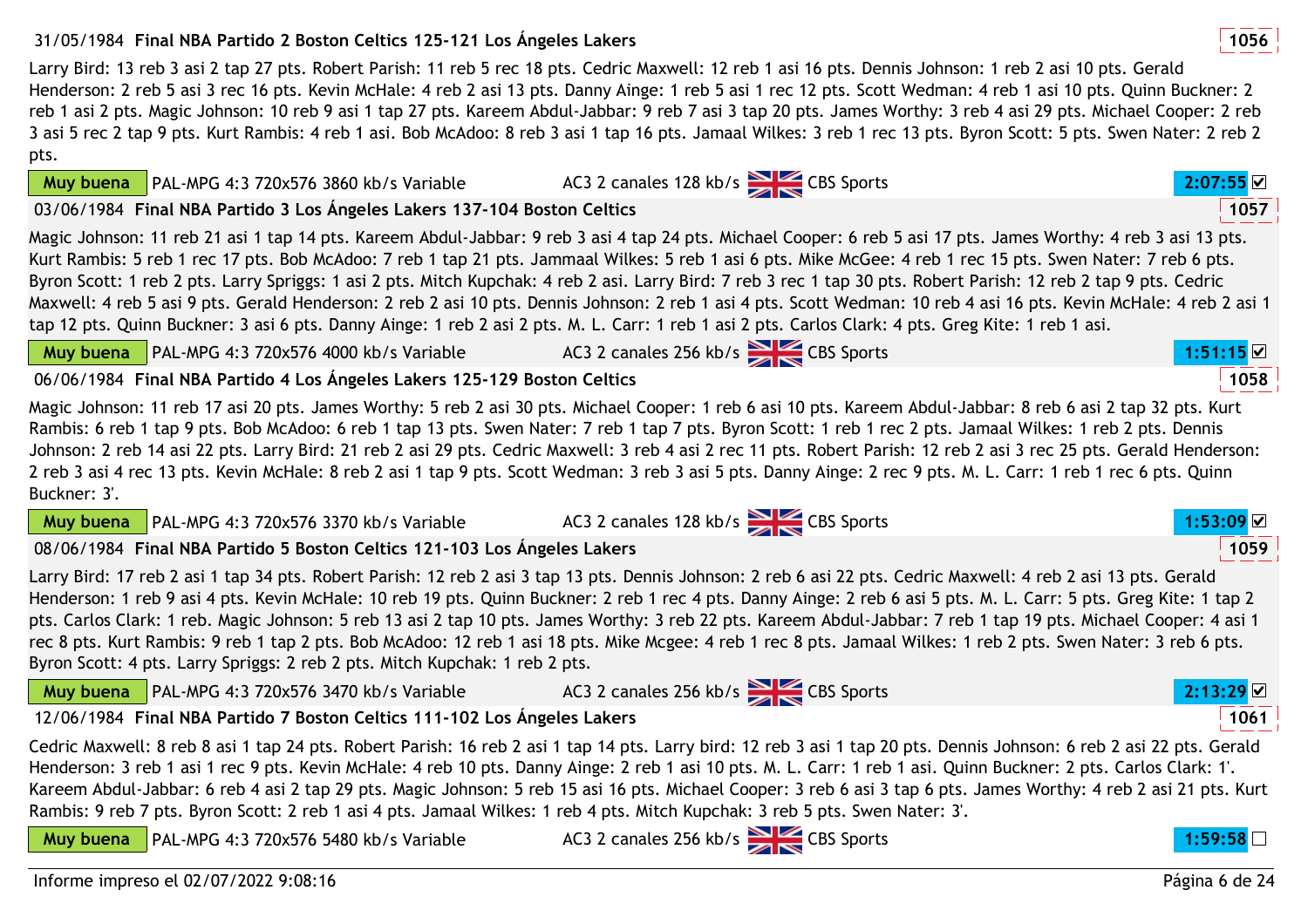## 31/05/1984 **<sup>1056</sup>Final NBA Partido 2 Boston Celtics 125-121 Los Ángeles Lakers**

Larry Bird: 13 reb 3 asi 2 tap 27 pts. Robert Parish: 11 reb 5 rec 18 pts. Cedric Maxwell: 12 reb 1 asi 16 pts. Dennis Johnson: 1 reb 2 asi 10 pts. Gerald Henderson: 2 reb 5 asi 3 rec 16 pts. Kevin McHale: 4 reb 2 asi 13 pts. Danny Ainge: 1 reb 5 asi 1 rec 12 pts. Scott Wedman: 4 reb 1 asi 10 pts. Quinn Buckner: 2 reb 1 asi 2 pts. Magic Johnson: 10 reb 9 asi 1 tap 27 pts. Kareem Abdul-Jabbar: 9 reb 7 asi 3 tap 20 pts. James Worthy: 3 reb 4 asi 29 pts. Michael Cooper: 2 reb 3 asi 5 rec 2 tap 9 pts. Kurt Rambis: 4 reb 1 asi. Bob McAdoo: 8 reb 3 asi 1 tap 16 pts. Jamaal Wilkes: 3 reb 1 rec 13 pts. Byron Scott: 5 pts. Swen Nater: 2 reb 2 pts.

03/06/1984 **<sup>1057</sup>Final NBA Partido 3 Los Ángeles Lakers 137-104 Boston Celtics**

PAL-MPG 4:3 720x576 3860 kb/s Variable

Magic Johnson: 11 reb 21 asi 1 tap 14 pts. Kareem Abdul-Jabbar: 9 reb 3 asi 4 tap 24 pts. Michael Cooper: 6 reb 5 asi 17 pts. James Worthy: 4 reb 3 asi 13 pts. Kurt Rambis: 5 reb 1 rec 17 pts. Bob McAdoo: 7 reb 1 tap 21 pts. Jammaal Wilkes: 5 reb 1 asi 6 pts. Mike McGee: 4 reb 1 rec 15 pts. Swen Nater: 7 reb 6 pts. Byron Scott: 1 reb 2 pts. Larry Spriggs: 1 asi 2 pts. Mitch Kupchak: 4 reb 2 asi. Larry Bird: 7 reb 3 rec 1 tap 30 pts. Robert Parish: 12 reb 2 tap 9 pts. Cedric Maxwell: 4 reb 5 asi 9 pts. Gerald Henderson: 2 reb 2 asi 10 pts. Dennis Johnson: 2 reb 1 asi 4 pts. Scott Wedman: 10 reb 4 asi 16 pts. Kevin McHale: 4 reb 2 asi 1 tap 12 pts. Quinn Buckner: 3 asi 6 pts. Danny Ainge: 1 reb 2 asi 2 pts. M. L. Carr: 1 reb 1 asi 2 pts. Carlos Clark: 4 pts. Greg Kite: 1 reb 1 asi.

|  | <b>Muy buena</b> $\vert$ PAL-MPG 4:3 720x576 4000 kb/s Variable | AC3 2 canales 256 kb/s CBS Sports | :51:15 |
|--|-----------------------------------------------------------------|-----------------------------------|--------|
|  |                                                                 |                                   |        |

## 06/06/1984 **<sup>1058</sup>Final NBA Partido 4 Los Ángeles Lakers 125-129 Boston Celtics**

Magic Johnson: 11 reb 17 asi 20 pts. James Worthy: 5 reb 2 asi 30 pts. Michael Cooper: 1 reb 6 asi 10 pts. Kareem Abdul-Jabbar: 8 reb 6 asi 2 tap 32 pts. Kurt Rambis: 6 reb 1 tap 9 pts. Bob McAdoo: 6 reb 1 tap 13 pts. Swen Nater: 7 reb 1 tap 7 pts. Byron Scott: 1 reb 1 rec 2 pts. Jamaal Wilkes: 1 reb 2 pts. Dennis Johnson: 2 reb 14 asi 22 pts. Larry Bird: 21 reb 2 asi 29 pts. Cedric Maxwell: 3 reb 4 asi 2 rec 11 pts. Robert Parish: 12 reb 2 asi 3 rec 25 pts. Gerald Henderson: 2 reb 3 asi 4 rec 13 pts. Kevin McHale: 8 reb 2 asi 1 tap 9 pts. Scott Wedman: 3 reb 3 asi 5 pts. Danny Ainge: 2 rec 9 pts. M. L. Carr: 1 reb 1 rec 6 pts. Quinn Buckner: 3'.

|                                                                          | $\sim$ |      |
|--------------------------------------------------------------------------|--------|------|
| 08/06/1984 Final NBA Partido 5 Boston Celtics 121-103 Los Ángeles Lakers |        | 1059 |

PAL-MPG 4:3 720x576 3370 kb/s Variable

Larry Bird: 17 reb 2 asi 1 tap 34 pts. Robert Parish: 12 reb 2 asi 3 tap 13 pts. Dennis Johnson: 2 reb 6 asi 22 pts. Cedric Maxwell: 4 reb 2 asi 13 pts. Gerald Henderson: 1 reb 9 asi 4 pts. Kevin McHale: 10 reb 19 pts. Quinn Buckner: 2 reb 1 rec 4 pts. Danny Ainge: 2 reb 6 asi 5 pts. M. L. Carr: 5 pts. Greg Kite: 1 tap 2 pts. Carlos Clark: 1 reb. Magic Johnson: 5 reb 13 asi 2 tap 10 pts. James Worthy: 3 reb 22 pts. Kareem Abdul-Jabbar: 7 reb 1 tap 19 pts. Michael Cooper: 4 asi 1 rec 8 pts. Kurt Rambis: 9 reb 1 tap 2 pts. Bob McAdoo: 12 reb 1 asi 18 pts. Mike Mcgee: 4 reb 1 rec 8 pts. Jamaal Wilkes: 1 reb 2 pts. Swen Nater: 3 reb 6 pts. Byron Scott: 4 pts. Larry Spriggs: 2 reb 2 pts. Mitch Kupchak: 1 reb 2 pts.

**Muy** 

**Muy buena**

**Muy buena**

| buena PAL-MPG 4:3 720x576 3470 kb/s Variable |  |
|----------------------------------------------|--|
|                                              |  |

AC3 2 canales 256 kb/s CBS Sports **2:13:29** 

12/06/1984 **<sup>1061</sup>Final NBA Partido 7 Boston Celtics 111-102 Los Ángeles Lakers**

Cedric Maxwell: 8 reb 8 asi 1 tap 24 pts. Robert Parish: 16 reb 2 asi 1 tap 14 pts. Larry bird: 12 reb 3 asi 1 tap 20 pts. Dennis Johnson: 6 reb 2 asi 22 pts. Gerald Henderson: 3 reb 1 asi 1 rec 9 pts. Kevin McHale: 4 reb 10 pts. Danny Ainge: 2 reb 1 asi 10 pts. M. L. Carr: 1 reb 1 asi. Quinn Buckner: 2 pts. Carlos Clark: 1'. Kareem Abdul-Jabbar: 6 reb 4 asi 2 tap 29 pts. Magic Johnson: 5 reb 15 asi 16 pts. Michael Cooper: 3 reb 6 asi 3 tap 6 pts. James Worthy: 4 reb 2 asi 21 pts. Kurt Rambis: 9 reb 7 pts. Byron Scott: 2 reb 1 asi 4 pts. Jamaal Wilkes: 1 reb 4 pts. Mitch Kupchak: 3 reb 5 pts. Swen Nater: 3'.AC3 2 canales 256 kb/s **2:59:59:59:59:58** 

**Muy buena**PAL-MPG 4:3 720x576 5480 kb/s Variable

Informe impreso el 02/07/2022 9:08:16



- AC3 2 canales 128 kb/s **2:07:55 2** 
	-



1059

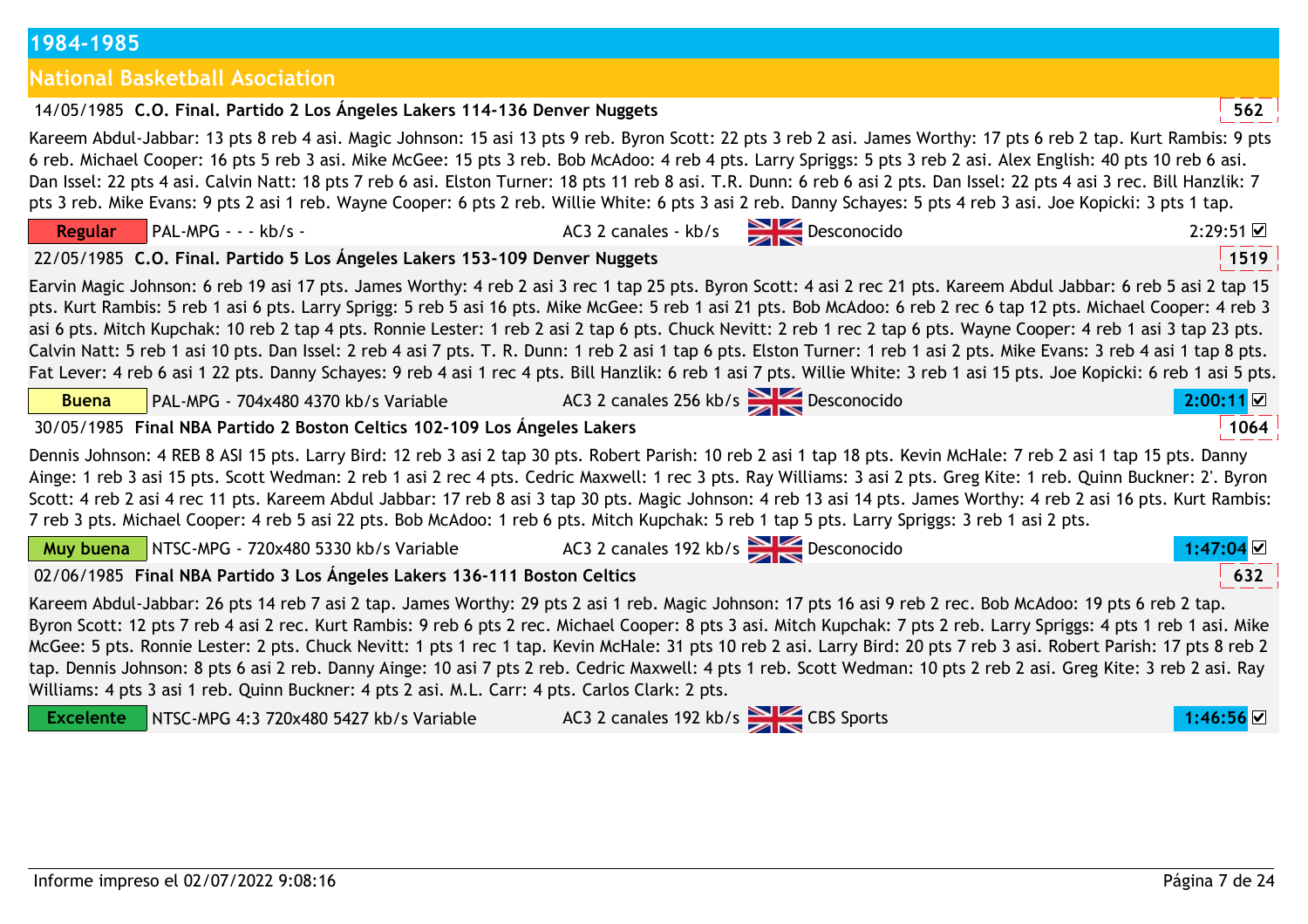| 1984-1985 |
|-----------|
|-----------|

# **National Basketball Asociation**

|                  | Kareem Abdul-Jabbar: 13 pts 8 reb 4 asi. Magic Johnson: 15 asi 13 pts 9 reb. Byron Scott: 22 pts 3 reb 2 asi. James Worthy: 17 pts 6 reb 2 tap. Kurt Rambis: 9 pts<br>6 reb. Michael Cooper: 16 pts 5 reb 3 asi. Mike McGee: 15 pts 3 reb. Bob McAdoo: 4 reb 4 pts. Larry Spriggs: 5 pts 3 reb 2 asi. Alex English: 40 pts 10 reb 6 asi.<br>Dan Issel: 22 pts 4 asi. Calvin Natt: 18 pts 7 reb 6 asi. Elston Turner: 18 pts 11 reb 8 asi. T.R. Dunn: 6 reb 6 asi 2 pts. Dan Issel: 22 pts 4 asi 3 rec. Bill Hanzlik: 7<br>pts 3 reb. Mike Evans: 9 pts 2 asi 1 reb. Wayne Cooper: 6 pts 2 reb. Willie White: 6 pts 3 asi 2 reb. Danny Schayes: 5 pts 4 reb 3 asi. Joe Kopicki: 3 pts 1 tap.                                                                                                                                                                                      |                                          |  |                  |  |  |
|------------------|----------------------------------------------------------------------------------------------------------------------------------------------------------------------------------------------------------------------------------------------------------------------------------------------------------------------------------------------------------------------------------------------------------------------------------------------------------------------------------------------------------------------------------------------------------------------------------------------------------------------------------------------------------------------------------------------------------------------------------------------------------------------------------------------------------------------------------------------------------------------------------|------------------------------------------|--|------------------|--|--|
| <b>Regular</b>   | PAL-MPG - - - kb/s -                                                                                                                                                                                                                                                                                                                                                                                                                                                                                                                                                                                                                                                                                                                                                                                                                                                             | $AC3$ 2 canales - kb/s $BC3$ Desconocido |  | $2:29:51$ $\Box$ |  |  |
|                  | 22/05/1985 C.O. Final. Partido 5 Los Ángeles Lakers 153-109 Denver Nuggets                                                                                                                                                                                                                                                                                                                                                                                                                                                                                                                                                                                                                                                                                                                                                                                                       |                                          |  | 1519             |  |  |
|                  | Earvin Magic Johnson: 6 reb 19 asi 17 pts. James Worthy: 4 reb 2 asi 3 rec 1 tap 25 pts. Byron Scott: 4 asi 2 rec 21 pts. Kareem Abdul Jabbar: 6 reb 5 asi 2 tap 15<br>pts. Kurt Rambis: 5 reb 1 asi 6 pts. Larry Sprigg: 5 reb 5 asi 16 pts. Mike McGee: 5 reb 1 asi 21 pts. Bob McAdoo: 6 reb 2 rec 6 tap 12 pts. Michael Cooper: 4 reb 3<br>asi 6 pts. Mitch Kupchak: 10 reb 2 tap 4 pts. Ronnie Lester: 1 reb 2 asi 2 tap 6 pts. Chuck Nevitt: 2 reb 1 rec 2 tap 6 pts. Wayne Cooper: 4 reb 1 asi 3 tap 23 pts.<br>Calvin Natt: 5 reb 1 asi 10 pts. Dan Issel: 2 reb 4 asi 7 pts. T. R. Dunn: 1 reb 2 asi 1 tap 6 pts. Elston Turner: 1 reb 1 asi 2 pts. Mike Evans: 3 reb 4 asi 1 tap 8 pts.<br>Fat Lever: 4 reb 6 asi 1 22 pts. Danny Schayes: 9 reb 4 asi 1 rec 4 pts. Bill Hanzlik: 6 reb 1 asi 7 pts. Willie White: 3 reb 1 asi 15 pts. Joe Kopicki: 6 reb 1 asi 5 pts. |                                          |  |                  |  |  |
| <b>Buena</b>     | PAL-MPG - 704x480 4370 kb/s Variable                                                                                                                                                                                                                                                                                                                                                                                                                                                                                                                                                                                                                                                                                                                                                                                                                                             | AC3 2 canales 256 kb/s Desconocido       |  | 2:00:11          |  |  |
|                  | 30/05/1985 Final NBA Partido 2 Boston Celtics 102-109 Los Ángeles Lakers                                                                                                                                                                                                                                                                                                                                                                                                                                                                                                                                                                                                                                                                                                                                                                                                         |                                          |  | 1064             |  |  |
|                  | Dennis Johnson: 4 REB 8 ASI 15 pts. Larry Bird: 12 reb 3 asi 2 tap 30 pts. Robert Parish: 10 reb 2 asi 1 tap 18 pts. Kevin McHale: 7 reb 2 asi 1 tap 15 pts. Danny<br>Ainge: 1 reb 3 asi 15 pts. Scott Wedman: 2 reb 1 asi 2 rec 4 pts. Cedric Maxwell: 1 rec 3 pts. Ray Williams: 3 asi 2 pts. Greg Kite: 1 reb. Quinn Buckner: 2'. Byron<br>Scott: 4 reb 2 asi 4 rec 11 pts. Kareem Abdul Jabbar: 17 reb 8 asi 3 tap 30 pts. Magic Johnson: 4 reb 13 asi 14 pts. James Worthy: 4 reb 2 asi 16 pts. Kurt Rambis:<br>7 reb 3 pts. Michael Cooper: 4 reb 5 asi 22 pts. Bob McAdoo: 1 reb 6 pts. Mitch Kupchak: 5 reb 1 tap 5 pts. Larry Spriggs: 3 reb 1 asi 2 pts.                                                                                                                                                                                                               |                                          |  |                  |  |  |
|                  | Muy buena NTSC-MPG - 720x480 5330 kb/s Variable AC3 2 canales 192 kb/s                                                                                                                                                                                                                                                                                                                                                                                                                                                                                                                                                                                                                                                                                                                                                                                                           |                                          |  | $1:47:04$ ⊠      |  |  |
|                  | 02/06/1985 Final NBA Partido 3 Los Ángeles Lakers 136-111 Boston Celtics                                                                                                                                                                                                                                                                                                                                                                                                                                                                                                                                                                                                                                                                                                                                                                                                         |                                          |  | 632              |  |  |
| <b>Excelente</b> | Kareem Abdul-Jabbar: 26 pts 14 reb 7 asi 2 tap. James Worthy: 29 pts 2 asi 1 reb. Magic Johnson: 17 pts 16 asi 9 reb 2 rec. Bob McAdoo: 19 pts 6 reb 2 tap.<br>Byron Scott: 12 pts 7 reb 4 asi 2 rec. Kurt Rambis: 9 reb 6 pts 2 rec. Michael Cooper: 8 pts 3 asi. Mitch Kupchak: 7 pts 2 reb. Larry Spriggs: 4 pts 1 reb 1 asi. Mike<br>McGee: 5 pts. Ronnie Lester: 2 pts. Chuck Nevitt: 1 pts 1 rec 1 tap. Kevin McHale: 31 pts 10 reb 2 asi. Larry Bird: 20 pts 7 reb 3 asi. Robert Parish: 17 pts 8 reb 2<br>tap. Dennis Johnson: 8 pts 6 asi 2 reb. Danny Ainge: 10 asi 7 pts 2 reb. Cedric Maxwell: 4 pts 1 reb. Scott Wedman: 10 pts 2 reb 2 asi. Greg Kite: 3 reb 2 asi. Ray<br>Williams: 4 pts 3 asi 1 reb. Quinn Buckner: 4 pts 2 asi. M.L. Carr: 4 pts. Carlos Clark: 2 pts.<br>NTSC-MPG 4:3 720x480 5427 kb/s Variable                                              | AC3 2 canales 192 kb/s CBS Sports        |  | $1:46:56$ ⊠      |  |  |
|                  |                                                                                                                                                                                                                                                                                                                                                                                                                                                                                                                                                                                                                                                                                                                                                                                                                                                                                  |                                          |  |                  |  |  |

14/05/1985 **<sup>562</sup>C.O. Final. Partido 2 Los Ángeles Lakers 114-136 Denver Nuggets**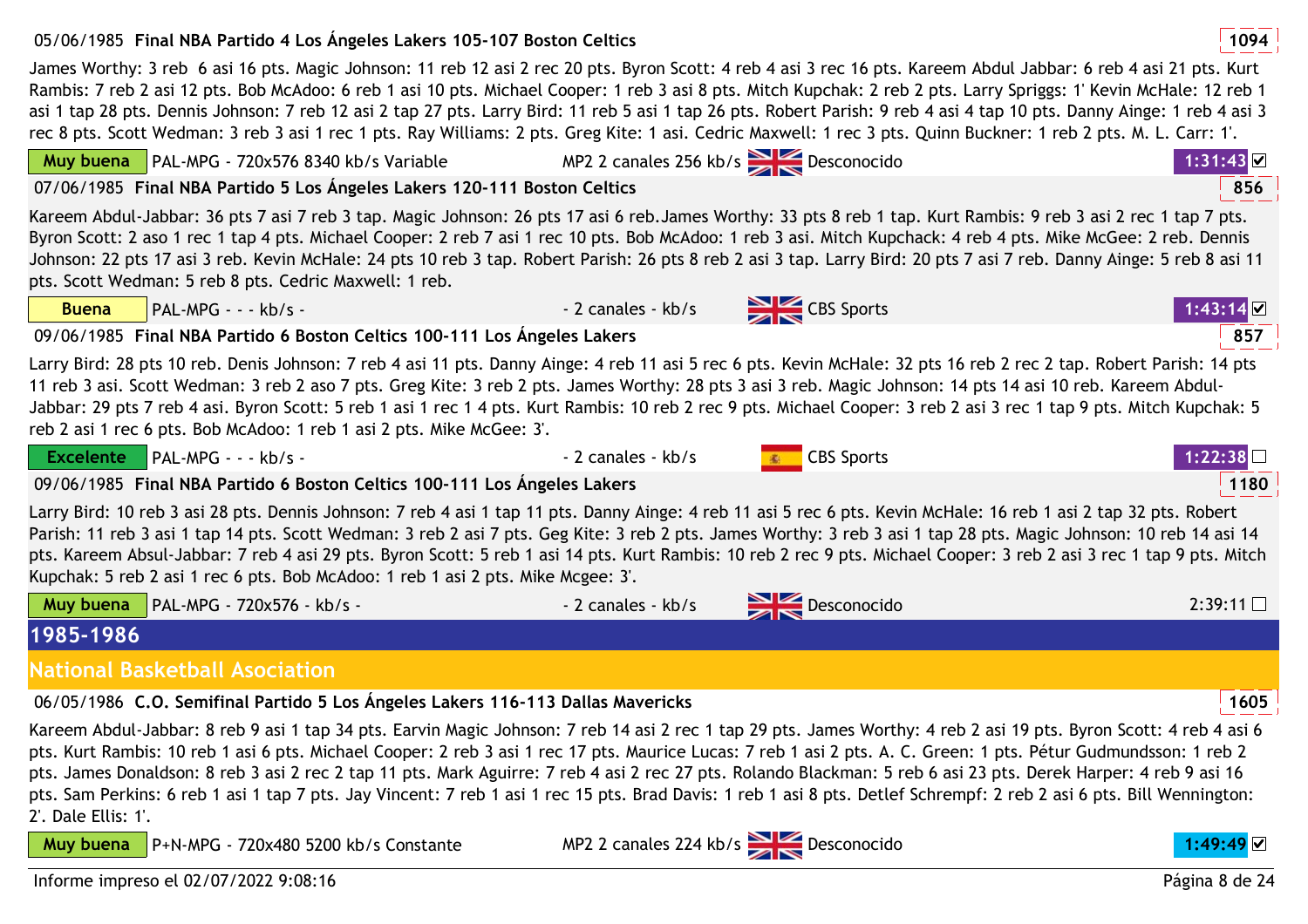## 05/06/1985 **<sup>1094</sup>Final NBA Partido 4 Los Ángeles Lakers 105-107 Boston Celtics**

James Worthy: 3 reb 6 asi 16 pts. Magic Johnson: 11 reb 12 asi 2 rec 20 pts. Byron Scott: 4 reb 4 asi 3 rec 16 pts. Kareem Abdul Jabbar: 6 reb 4 asi 21 pts. Kurt Rambis: 7 reb 2 asi 12 pts. Bob McAdoo: 6 reb 1 asi 10 pts. Michael Cooper: 1 reb 3 asi 8 pts. Mitch Kupchak: 2 reb 2 pts. Larry Spriggs: 1' Kevin McHale: 12 reb 1 asi 1 tap 28 pts. Dennis Johnson: 7 reb 12 asi 2 tap 27 pts. Larry Bird: 11 reb 5 asi 1 tap 26 pts. Robert Parish: 9 reb 4 asi 4 tap 10 pts. Danny Ainge: 1 reb 4 asi 3 rec 8 pts. Scott Wedman: 3 reb 3 asi 1 rec 1 pts. Ray Williams: 2 pts. Greg Kite: 1 asi. Cedric Maxwell: 1 rec 3 pts. Quinn Buckner: 1 reb 2 pts. M. L. Carr: 1'.

| Muy buena PAL-MPG - 720x576 8340 kb/s Variable                                                                                                                                                                                                                                                                                                                                                                                                                                                                                                                                                                                                                                      | MP2 2 canales 256 kb/s $\geq$ Desconocido |                             | 1:31:43  |  |  |
|-------------------------------------------------------------------------------------------------------------------------------------------------------------------------------------------------------------------------------------------------------------------------------------------------------------------------------------------------------------------------------------------------------------------------------------------------------------------------------------------------------------------------------------------------------------------------------------------------------------------------------------------------------------------------------------|-------------------------------------------|-----------------------------|----------|--|--|
| 07/06/1985 Final NBA Partido 5 Los Ángeles Lakers 120-111 Boston Celtics                                                                                                                                                                                                                                                                                                                                                                                                                                                                                                                                                                                                            |                                           |                             | 856      |  |  |
| Kareem Abdul-Jabbar: 36 pts 7 asi 7 reb 3 tap. Magic Johnson: 26 pts 17 asi 6 reb.James Worthy: 33 pts 8 reb 1 tap. Kurt Rambis: 9 reb 3 asi 2 rec 1 tap 7 pts.<br>Byron Scott: 2 aso 1 rec 1 tap 4 pts. Michael Cooper: 2 reb 7 asi 1 rec 10 pts. Bob McAdoo: 1 reb 3 asi. Mitch Kupchack: 4 reb 4 pts. Mike McGee: 2 reb. Dennis<br>Johnson: 22 pts 17 asi 3 reb. Kevin McHale: 24 pts 10 reb 3 tap. Robert Parish: 26 pts 8 reb 2 asi 3 tap. Larry Bird: 20 pts 7 asi 7 reb. Danny Ainge: 5 reb 8 asi 11<br>pts. Scott Wedman: 5 reb 8 pts. Cedric Maxwell: 1 reb.                                                                                                               |                                           |                             |          |  |  |
| $PAL-MPG - - kb/s -$<br><b>Buena</b>                                                                                                                                                                                                                                                                                                                                                                                                                                                                                                                                                                                                                                                | - 2 canales - kb/s                        | CBS Sports                  | 1:43:14  |  |  |
| 09/06/1985 Final NBA Partido 6 Boston Celtics 100-111 Los Angeles Lakers                                                                                                                                                                                                                                                                                                                                                                                                                                                                                                                                                                                                            |                                           |                             | 857      |  |  |
| Larry Bird: 28 pts 10 reb. Denis Johnson: 7 reb 4 asi 11 pts. Danny Ainge: 4 reb 11 asi 5 rec 6 pts. Kevin McHale: 32 pts 16 reb 2 rec 2 tap. Robert Parish: 14 pts<br>11 reb 3 asi. Scott Wedman: 3 reb 2 aso 7 pts. Greg Kite: 3 reb 2 pts. James Worthy: 28 pts 3 asi 3 reb. Magic Johnson: 14 pts 14 asi 10 reb. Kareem Abdul-<br>Jabbar: 29 pts 7 reb 4 asi. Byron Scott: 5 reb 1 asi 1 rec 1 4 pts. Kurt Rambis: 10 reb 2 rec 9 pts. Michael Cooper: 3 reb 2 asi 3 rec 1 tap 9 pts. Mitch Kupchak: 5<br>reb 2 asi 1 rec 6 pts. Bob McAdoo: 1 reb 1 asi 2 pts. Mike McGee: 3'.                                                                                                 |                                           |                             |          |  |  |
| Excelente   PAL-MPG - - - kb/s -                                                                                                                                                                                                                                                                                                                                                                                                                                                                                                                                                                                                                                                    | - 2 canales - kb/s                        | <b>Example 2</b> CBS Sports | 1:22:38∐ |  |  |
| 09/06/1985 Final NBA Partido 6 Boston Celtics 100-111 Los Angeles Lakers                                                                                                                                                                                                                                                                                                                                                                                                                                                                                                                                                                                                            |                                           |                             | 1180     |  |  |
| Larry Bird: 10 reb 3 asi 28 pts. Dennis Johnson: 7 reb 4 asi 1 tap 11 pts. Danny Ainge: 4 reb 11 asi 5 rec 6 pts. Kevin McHale: 16 reb 1 asi 2 tap 32 pts. Robert<br>Parish: 11 reb 3 asi 1 tap 14 pts. Scott Wedman: 3 reb 2 asi 7 pts. Geg Kite: 3 reb 2 pts. James Worthy: 3 reb 3 asi 1 tap 28 pts. Magic Johnson: 10 reb 14 asi 14<br>pts. Kareem Absul-Jabbar: 7 reb 4 asi 29 pts. Byron Scott: 5 reb 1 asi 14 pts. Kurt Rambis: 10 reb 2 rec 9 pts. Michael Cooper: 3 reb 2 asi 3 rec 1 tap 9 pts. Mitch<br>Kupchak: 5 reb 2 asi 1 rec 6 pts. Bob McAdoo: 1 reb 1 asi 2 pts. Mike Mcgee: 3'.                                                                                 |                                           |                             |          |  |  |
| Muy buena   PAL-MPG - 720x576 - kb/s -                                                                                                                                                                                                                                                                                                                                                                                                                                                                                                                                                                                                                                              | - 2 canales - kb/s                        | Desconocido                 | 2:39:11  |  |  |
| 1985-1986                                                                                                                                                                                                                                                                                                                                                                                                                                                                                                                                                                                                                                                                           |                                           |                             |          |  |  |
| <b>National Basketball Asociation</b>                                                                                                                                                                                                                                                                                                                                                                                                                                                                                                                                                                                                                                               |                                           |                             |          |  |  |
| 06/05/1986 C.O. Semifinal Partido 5 Los Ángeles Lakers 116-113 Dallas Mavericks                                                                                                                                                                                                                                                                                                                                                                                                                                                                                                                                                                                                     |                                           |                             | 1605     |  |  |
| Kareem Abdul-Jabbar: 8 reb 9 asi 1 tap 34 pts. Earvin Magic Johnson: 7 reb 14 asi 2 rec 1 tap 29 pts. James Worthy: 4 reb 2 asi 19 pts. Byron Scott: 4 reb 4 asi 6<br>pts. Kurt Rambis: 10 reb 1 asi 6 pts. Michael Cooper: 2 reb 3 asi 1 rec 17 pts. Maurice Lucas: 7 reb 1 asi 2 pts. A. C. Green: 1 pts. Pétur Gudmundsson: 1 reb 2<br>pts. James Donaldson: 8 reb 3 asi 2 rec 2 tap 11 pts. Mark Aguirre: 7 reb 4 asi 2 rec 27 pts. Rolando Blackman: 5 reb 6 asi 23 pts. Derek Harper: 4 reb 9 asi 16<br>pts. Sam Perkins: 6 reb 1 asi 1 tap 7 pts. Jay Vincent: 7 reb 1 asi 1 rec 15 pts. Brad Davis: 1 reb 1 asi 8 pts. Detlef Schrempf: 2 reb 2 asi 6 pts. Bill Wennington: |                                           |                             |          |  |  |

Informe impreso el 02/07/2022 9:08:16

P+N-MPG - 720x480 5200 kb/s Constante

2'. Dale Ellis: 1'.

**Muy buena**

MP2 2 canales 224 kb/s Desconocido **1:49:49**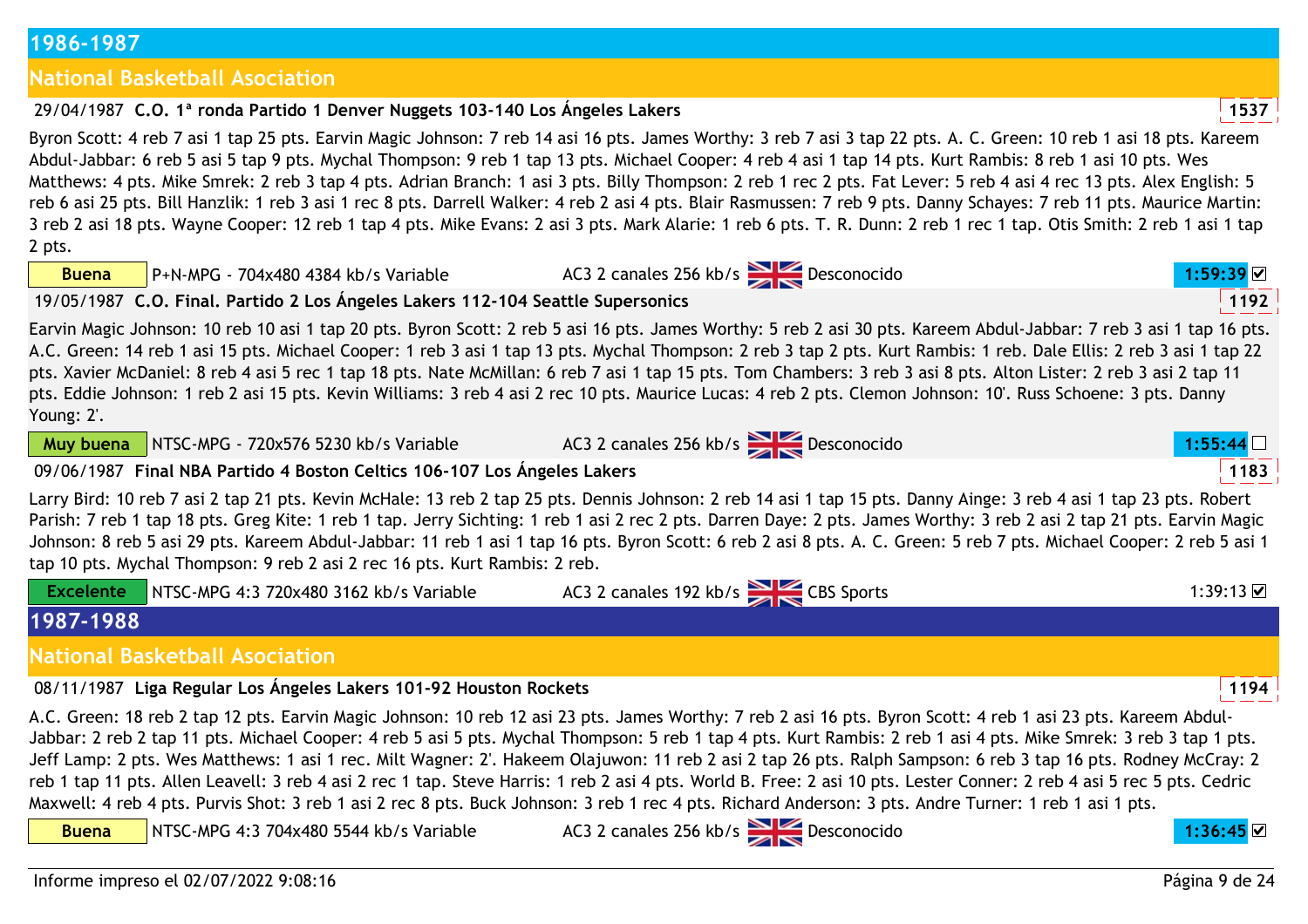## **1986-1987**

## **National Basketball Asociation**

## 29/04/1987 **<sup>1537</sup>C.O. 1ª ronda Partido 1 Denver Nuggets 103-140 Los Ángeles Lakers**

Byron Scott: 4 reb 7 asi 1 tap 25 pts. Earvin Magic Johnson: 7 reb 14 asi 16 pts. James Worthy: 3 reb 7 asi 3 tap 22 pts. A. C. Green: 10 reb 1 asi 18 pts. Kareem Abdul-Jabbar: 6 reb 5 asi 5 tap 9 pts. Mychal Thompson: 9 reb 1 tap 13 pts. Michael Cooper: 4 reb 4 asi 1 tap 14 pts. Kurt Rambis: 8 reb 1 asi 10 pts. Wes Matthews: 4 pts. Mike Smrek: 2 reb 3 tap 4 pts. Adrian Branch: 1 asi 3 pts. Billy Thompson: 2 reb 1 rec 2 pts. Fat Lever: 5 reb 4 asi 4 rec 13 pts. Alex English: 5 reb 6 asi 25 pts. Bill Hanzlik: 1 reb 3 asi 1 rec 8 pts. Darrell Walker: 4 reb 2 asi 4 pts. Blair Rasmussen: 7 reb 9 pts. Danny Schayes: 7 reb 11 pts. Maurice Martin: 3 reb 2 asi 18 pts. Wayne Cooper: 12 reb 1 tap 4 pts. Mike Evans: 2 asi 3 pts. Mark Alarie: 1 reb 6 pts. T. R. Dunn: 2 reb 1 rec 1 tap. Otis Smith: 2 reb 1 asi 1 tap 2 pts.

AC3 2 canales 256 kb/s **Desconocido** 

**Buena**P+N-MPG - 704x480 4384 kb/s Variable

19/05/1987 **<sup>1192</sup>C.O. Final. Partido 2 Los Ángeles Lakers 112-104 Seattle Supersonics**

Earvin Magic Johnson: 10 reb 10 asi 1 tap 20 pts. Byron Scott: 2 reb 5 asi 16 pts. James Worthy: 5 reb 2 asi 30 pts. Kareem Abdul-Jabbar: 7 reb 3 asi 1 tap 16 pts. A.C. Green: 14 reb 1 asi 15 pts. Michael Cooper: 1 reb 3 asi 1 tap 13 pts. Mychal Thompson: 2 reb 3 tap 2 pts. Kurt Rambis: 1 reb. Dale Ellis: 2 reb 3 asi 1 tap 22 pts. Xavier McDaniel: 8 reb 4 asi 5 rec 1 tap 18 pts. Nate McMillan: 6 reb 7 asi 1 tap 15 pts. Tom Chambers: 3 reb 3 asi 8 pts. Alton Lister: 2 reb 3 asi 2 tap 11 pts. Eddie Johnson: 1 reb 2 asi 15 pts. Kevin Williams: 3 reb 4 asi 2 rec 10 pts. Maurice Lucas: 4 reb 2 pts. Clemon Johnson: 10'. Russ Schoene: 3 pts. Danny Young: 2'.

**Muy buena**

NTSC-MPG - 720x576 5230 kb/s Variable

09/06/1987 **<sup>1183</sup>Final NBA Partido 4 Boston Celtics 106-107 Los Ángeles Lakers**

Larry Bird: 10 reb 7 asi 2 tap 21 pts. Kevin McHale: 13 reb 2 tap 25 pts. Dennis Johnson: 2 reb 14 asi 1 tap 15 pts. Danny Ainge: 3 reb 4 asi 1 tap 23 pts. Robert Parish: 7 reb 1 tap 18 pts. Greg Kite: 1 reb 1 tap. Jerry Sichting: 1 reb 1 asi 2 rec 2 pts. Darren Daye: 2 pts. James Worthy: 3 reb 2 asi 2 tap 21 pts. Earvin Magic Johnson: 8 reb 5 asi 29 pts. Kareem Abdul-Jabbar: 11 reb 1 asi 1 tap 16 pts. Byron Scott: 6 reb 2 asi 8 pts. A. C. Green: 5 reb 7 pts. Michael Cooper: 2 reb 5 asi 1 tap 10 pts. Mychal Thompson: 9 reb 2 asi 2 rec 16 pts. Kurt Rambis: 2 reb.

|  | NTSC-MPG 4:3 720x480 3162 kb/s Variable | $\sim$ 2 canales 192 kb/s<br><b>CBS</b> Sports<br>AC3 . | ∙२ <b>०</b> ∙1२ IVI |
|--|-----------------------------------------|---------------------------------------------------------|---------------------|
|  |                                         |                                                         |                     |

**1987-1988**

**Buena**

**National Basketball Asociation**

08/11/1987 **<sup>1194</sup>Liga Regular Los Ángeles Lakers 101-92 Houston Rockets**

A.C. Green: 18 reb 2 tap 12 pts. Earvin Magic Johnson: 10 reb 12 asi 23 pts. James Worthy: 7 reb 2 asi 16 pts. Byron Scott: 4 reb 1 asi 23 pts. Kareem Abdul-Jabbar: 2 reb 2 tap 11 pts. Michael Cooper: 4 reb 5 asi 5 pts. Mychal Thompson: 5 reb 1 tap 4 pts. Kurt Rambis: 2 reb 1 asi 4 pts. Mike Smrek: 3 reb 3 tap 1 pts. Jeff Lamp: 2 pts. Wes Matthews: 1 asi 1 rec. Milt Wagner: 2'. Hakeem Olajuwon: 11 reb 2 asi 2 tap 26 pts. Ralph Sampson: 6 reb 3 tap 16 pts. Rodney McCray: 2 reb 1 tap 11 pts. Allen Leavell: 3 reb 4 asi 2 rec 1 tap. Steve Harris: 1 reb 2 asi 4 pts. World B. Free: 2 asi 10 pts. Lester Conner: 2 reb 4 asi 5 rec 5 pts. Cedric Maxwell: 4 reb 4 pts. Purvis Shot: 3 reb 1 asi 2 rec 8 pts. Buck Johnson: 3 reb 1 rec 4 pts. Richard Anderson: 3 pts. Andre Turner: 1 reb 1 asi 1 pts.

NTSC-MPG 4:3 704x480 5544 kb/s Variable

AC3 2 canales 256 kb/s Desconocido **1:36:45**





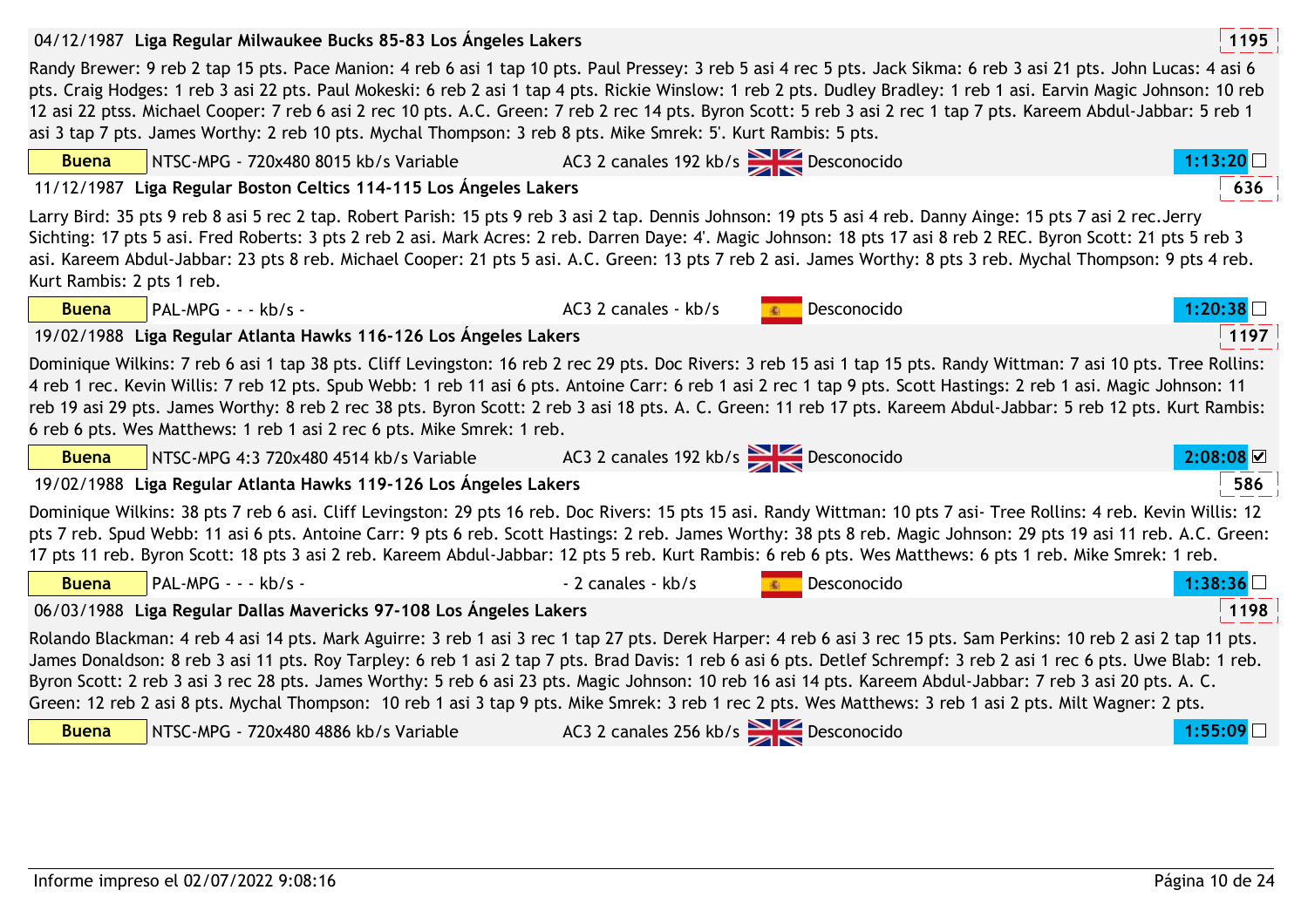|                           | 04/12/1987 Liga Regular Milwaukee Bucks 85-83 Los Angeles Lakers                                                                                                                                                                                                                                                                                                                                                                                                                                                                                                                                                                                                                                                  |                                    |             | 1195    |
|---------------------------|-------------------------------------------------------------------------------------------------------------------------------------------------------------------------------------------------------------------------------------------------------------------------------------------------------------------------------------------------------------------------------------------------------------------------------------------------------------------------------------------------------------------------------------------------------------------------------------------------------------------------------------------------------------------------------------------------------------------|------------------------------------|-------------|---------|
|                           | Randy Brewer: 9 reb 2 tap 15 pts. Pace Manion: 4 reb 6 asi 1 tap 10 pts. Paul Pressey: 3 reb 5 asi 4 rec 5 pts. Jack Sikma: 6 reb 3 asi 21 pts. John Lucas: 4 asi 6<br>pts. Craig Hodges: 1 reb 3 asi 22 pts. Paul Mokeski: 6 reb 2 asi 1 tap 4 pts. Rickie Winslow: 1 reb 2 pts. Dudley Bradley: 1 reb 1 asi. Earvin Magic Johnson: 10 reb<br>12 asi 22 ptss. Michael Cooper: 7 reb 6 asi 2 rec 10 pts. A.C. Green: 7 reb 2 rec 14 pts. Byron Scott: 5 reb 3 asi 2 rec 1 tap 7 pts. Kareem Abdul-Jabbar: 5 reb 1<br>asi 3 tap 7 pts. James Worthy: 2 reb 10 pts. Mychal Thompson: 3 reb 8 pts. Mike Smrek: 5'. Kurt Rambis: 5 pts.                                                                               |                                    |             |         |
| <b>Buena</b>              | NTSC-MPG - 720x480 8015 kb/s Variable                                                                                                                                                                                                                                                                                                                                                                                                                                                                                                                                                                                                                                                                             | AC3 2 canales 192 kb/s Desconocido |             | 1:13:20 |
|                           | 11/12/1987 Liga Regular Boston Celtics 114-115 Los Ángeles Lakers                                                                                                                                                                                                                                                                                                                                                                                                                                                                                                                                                                                                                                                 |                                    |             | 636     |
| Kurt Rambis: 2 pts 1 reb. | Larry Bird: 35 pts 9 reb 8 asi 5 rec 2 tap. Robert Parish: 15 pts 9 reb 3 asi 2 tap. Dennis Johnson: 19 pts 5 asi 4 reb. Danny Ainge: 15 pts 7 asi 2 rec. Jerry<br>Sichting: 17 pts 5 asi. Fred Roberts: 3 pts 2 reb 2 asi. Mark Acres: 2 reb. Darren Daye: 4'. Magic Johnson: 18 pts 17 asi 8 reb 2 REC. Byron Scott: 21 pts 5 reb 3<br>asi. Kareem Abdul-Jabbar: 23 pts 8 reb. Michael Cooper: 21 pts 5 asi. A.C. Green: 13 pts 7 reb 2 asi. James Worthy: 8 pts 3 reb. Mychal Thompson: 9 pts 4 reb.                                                                                                                                                                                                           |                                    |             |         |
| <b>Buena</b>              | PAL-MPG - - - kb/s -                                                                                                                                                                                                                                                                                                                                                                                                                                                                                                                                                                                                                                                                                              | AC3 2 canales - kb/s               | Desconocido | 1:20:38 |
|                           | 19/02/1988 Liga Regular Atlanta Hawks 116-126 Los Angeles Lakers                                                                                                                                                                                                                                                                                                                                                                                                                                                                                                                                                                                                                                                  |                                    |             | 1197    |
|                           | Dominique Wilkins: 7 reb 6 asi 1 tap 38 pts. Cliff Levingston: 16 reb 2 rec 29 pts. Doc Rivers: 3 reb 15 asi 1 tap 15 pts. Randy Wittman: 7 asi 10 pts. Tree Rollins:<br>4 reb 1 rec. Kevin Willis: 7 reb 12 pts. Spub Webb: 1 reb 11 asi 6 pts. Antoine Carr: 6 reb 1 asi 2 rec 1 tap 9 pts. Scott Hastings: 2 reb 1 asi. Magic Johnson: 11<br>reb 19 asi 29 pts. James Worthy: 8 reb 2 rec 38 pts. Byron Scott: 2 reb 3 asi 18 pts. A. C. Green: 11 reb 17 pts. Kareem Abdul-Jabbar: 5 reb 12 pts. Kurt Rambis:<br>6 reb 6 pts. Wes Matthews: 1 reb 1 asi 2 rec 6 pts. Mike Smrek: 1 reb.                                                                                                                       |                                    |             |         |
| <b>Buena</b>              | NTSC-MPG 4:3 720x480 4514 kb/s Variable                                                                                                                                                                                                                                                                                                                                                                                                                                                                                                                                                                                                                                                                           | AC3 2 canales 192 kb/s Desconocido |             | 2:08:08 |
|                           | 19/02/1988 Liga Regular Atlanta Hawks 119-126 Los Ángeles Lakers                                                                                                                                                                                                                                                                                                                                                                                                                                                                                                                                                                                                                                                  |                                    |             | 586     |
|                           | Dominique Wilkins: 38 pts 7 reb 6 asi. Cliff Levingston: 29 pts 16 reb. Doc Rivers: 15 pts 15 asi. Randy Wittman: 10 pts 7 asi- Tree Rollins: 4 reb. Kevin Willis: 12<br>pts 7 reb. Spud Webb: 11 asi 6 pts. Antoine Carr: 9 pts 6 reb. Scott Hastings: 2 reb. James Worthy: 38 pts 8 reb. Magic Johnson: 29 pts 19 asi 11 reb. A.C. Green:<br>17 pts 11 reb. Byron Scott: 18 pts 3 asi 2 reb. Kareem Abdul-Jabbar: 12 pts 5 reb. Kurt Rambis: 6 reb 6 pts. Wes Matthews: 6 pts 1 reb. Mike Smrek: 1 reb.                                                                                                                                                                                                         |                                    |             |         |
| <b>Buena</b>              | $PAL-MPG - - kb/s -$                                                                                                                                                                                                                                                                                                                                                                                                                                                                                                                                                                                                                                                                                              | - 2 canales - kb/s                 | Desconocido | 1:38:36 |
|                           | 06/03/1988 Liga Regular Dallas Mavericks 97-108 Los Ángeles Lakers                                                                                                                                                                                                                                                                                                                                                                                                                                                                                                                                                                                                                                                |                                    |             | 1198    |
| <b>Buena</b>              | Rolando Blackman: 4 reb 4 asi 14 pts. Mark Aguirre: 3 reb 1 asi 3 rec 1 tap 27 pts. Derek Harper: 4 reb 6 asi 3 rec 15 pts. Sam Perkins: 10 reb 2 asi 2 tap 11 pts.<br>James Donaldson: 8 reb 3 asi 11 pts. Roy Tarpley: 6 reb 1 asi 2 tap 7 pts. Brad Davis: 1 reb 6 asi 6 pts. Detlef Schrempf: 3 reb 2 asi 1 rec 6 pts. Uwe Blab: 1 reb.<br>Byron Scott: 2 reb 3 asi 3 rec 28 pts. James Worthy: 5 reb 6 asi 23 pts. Magic Johnson: 10 reb 16 asi 14 pts. Kareem Abdul-Jabbar: 7 reb 3 asi 20 pts. A. C.<br>Green: 12 reb 2 asi 8 pts. Mychal Thompson: 10 reb 1 asi 3 tap 9 pts. Mike Smrek: 3 reb 1 rec 2 pts. Wes Matthews: 3 reb 1 asi 2 pts. Milt Wagner: 2 pts.<br>NTSC-MPG - 720x480 4886 kb/s Variable | AC3 2 canales 256 kb/s Desconocido |             | 1:55:09 |

| Buena | $\sqrt{$ NTSC-MPG - 720x480 4886 kb/s Variable | 2 canales 256 kb/s $\rightarrow$ Desconocido<br>AC3 <sub>2</sub> |  |
|-------|------------------------------------------------|------------------------------------------------------------------|--|
|       |                                                |                                                                  |  |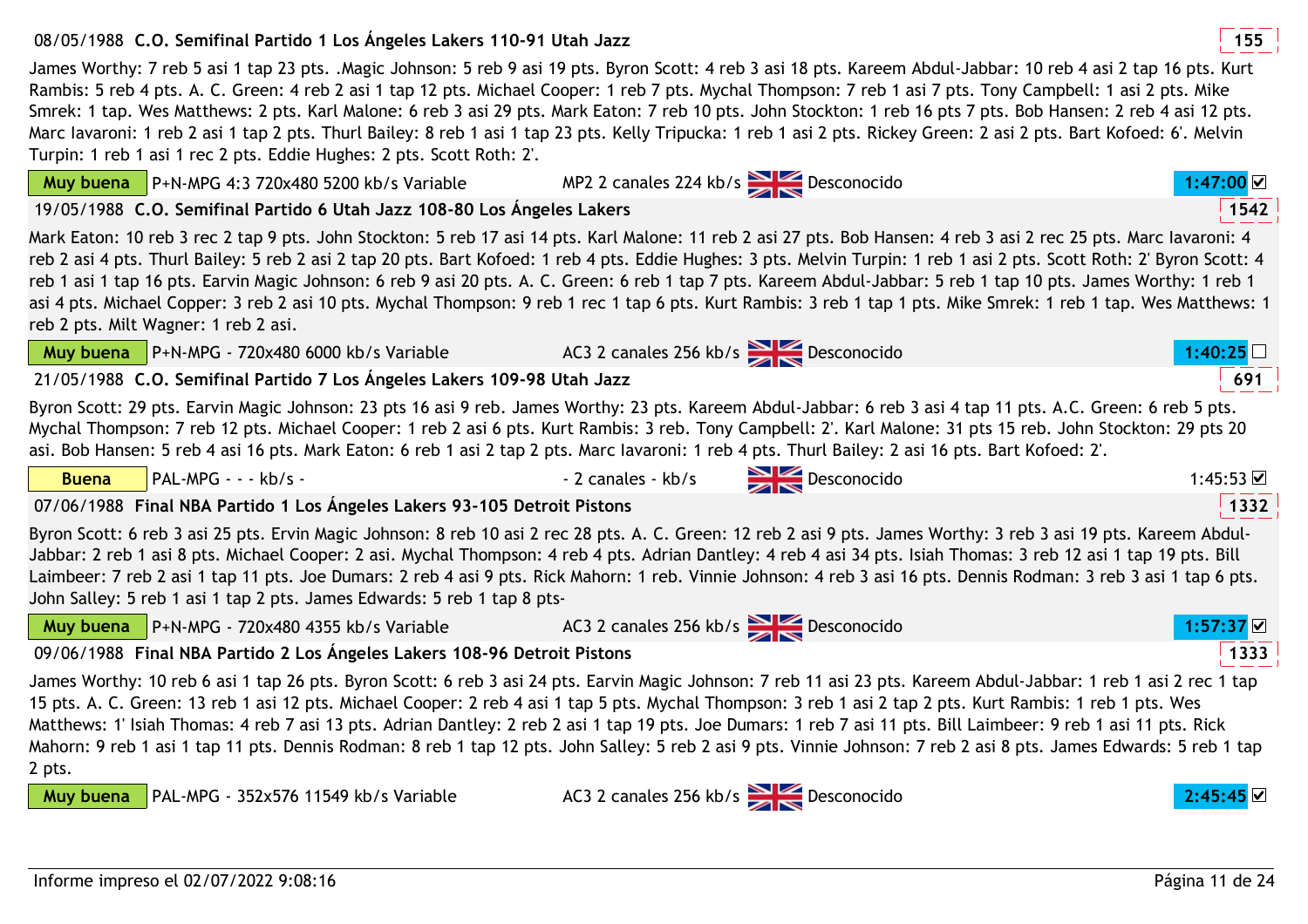#### Informe impreso el 02/07/2022 9:08:16Página 11 de 24

## 08/05/1988 **<sup>155</sup>C.O. Semifinal Partido 1 Los Ángeles Lakers 110-91 Utah Jazz**

James Worthy: 7 reb 5 asi 1 tap 23 pts. .Magic Johnson: 5 reb 9 asi 19 pts. Byron Scott: 4 reb 3 asi 18 pts. Kareem Abdul-Jabbar: 10 reb 4 asi 2 tap 16 pts. Kurt Rambis: 5 reb 4 pts. A. C. Green: 4 reb 2 asi 1 tap 12 pts. Michael Cooper: 1 reb 7 pts. Mychal Thompson: 7 reb 1 asi 7 pts. Tony Campbell: 1 asi 2 pts. Mike Smrek: 1 tap. Wes Matthews: 2 pts. Karl Malone: 6 reb 3 asi 29 pts. Mark Eaton: 7 reb 10 pts. John Stockton: 1 reb 16 pts 7 pts. Bob Hansen: 2 reb 4 asi 12 pts. Marc Iavaroni: 1 reb 2 asi 1 tap 2 pts. Thurl Bailey: 8 reb 1 asi 1 tap 23 pts. Kelly Tripucka: 1 reb 1 asi 2 pts. Rickey Green: 2 asi 2 pts. Bart Kofoed: 6'. Melvin Turpin: 1 reb 1 asi 1 rec 2 pts. Eddie Hughes: 2 pts. Scott Roth: 2'.

## **Muy buena** P+N-MPG 4:3 720x480 5200 kb/s Variable19/05/1988 **<sup>1542</sup>C.O. Semifinal Partido 6 Utah Jazz 108-80 Los Ángeles Lakers**

Mark Eaton: 10 reb 3 rec 2 tap 9 pts. John Stockton: 5 reb 17 asi 14 pts. Karl Malone: 11 reb 2 asi 27 pts. Bob Hansen: 4 reb 3 asi 2 rec 25 pts. Marc Iavaroni: 4 reb 2 asi 4 pts. Thurl Bailey: 5 reb 2 asi 2 tap 20 pts. Bart Kofoed: 1 reb 4 pts. Eddie Hughes: 3 pts. Melvin Turpin: 1 reb 1 asi 2 pts. Scott Roth: 2' Byron Scott: 4 reb 1 asi 1 tap 16 pts. Earvin Magic Johnson: 6 reb 9 asi 20 pts. A. C. Green: 6 reb 1 tap 7 pts. Kareem Abdul-Jabbar: 5 reb 1 tap 10 pts. James Worthy: 1 reb 1 asi 4 pts. Michael Copper: 3 reb 2 asi 10 pts. Mychal Thompson: 9 reb 1 rec 1 tap 6 pts. Kurt Rambis: 3 reb 1 tap 1 pts. Mike Smrek: 1 reb 1 tap. Wes Matthews: 1 reb 2 pts. Milt Wagner: 1 reb 2 asi.

|              | <b>Muy buena</b> $P+N-MPG - 720x480 6000 kb/s Variable$                                                                                            | AC3 2 canales 256 kb/s Desconocido                                                                                                                                                                                                                                                                                                                                                                                                                                                                                                                                                                                                                                        | :40:25    |
|--------------|----------------------------------------------------------------------------------------------------------------------------------------------------|---------------------------------------------------------------------------------------------------------------------------------------------------------------------------------------------------------------------------------------------------------------------------------------------------------------------------------------------------------------------------------------------------------------------------------------------------------------------------------------------------------------------------------------------------------------------------------------------------------------------------------------------------------------------------|-----------|
|              | 21/05/1988 C.O. Semifinal Partido 7 Los Ángeles Lakers 109-98 Utah Jazz                                                                            |                                                                                                                                                                                                                                                                                                                                                                                                                                                                                                                                                                                                                                                                           |           |
|              | asi. Bob Hansen: 5 reb 4 asi 16 pts. Mark Eaton: 6 reb 1 asi 2 tap 2 pts. Marc lavaroni: 1 reb 4 pts. Thurl Bailey: 2 asi 16 pts. Bart Kofoed: 2'. | Byron Scott: 29 pts. Earvin Magic Johnson: 23 pts 16 asi 9 reb. James Worthy: 23 pts. Kareem Abdul-Jabbar: 6 reb 3 asi 4 tap 11 pts. A.C. Green: 6 reb 5 pts.<br>Mychal Thompson: 7 reb 12 pts. Michael Cooper: 1 reb 2 asi 6 pts. Kurt Rambis: 3 reb. Tony Campbell: 2'. Karl Malone: 31 pts 15 reb. John Stockton: 29 pts 20                                                                                                                                                                                                                                                                                                                                            |           |
| <b>Buena</b> | PAL-MPG - - - kb/s -                                                                                                                               | - 2 canales - kb/s Desconocido                                                                                                                                                                                                                                                                                                                                                                                                                                                                                                                                                                                                                                            | 1:45:53   |
|              | 07/06/1988 Final NBA Partido 1 Los Ángeles Lakers 93-105 Detroit Pistons                                                                           |                                                                                                                                                                                                                                                                                                                                                                                                                                                                                                                                                                                                                                                                           | 1332      |
|              | John Salley: 5 reb 1 asi 1 tap 2 pts. James Edwards: 5 reb 1 tap 8 pts-                                                                            | Byron Scott: 6 reb 3 asi 25 pts. Ervin Magic Johnson: 8 reb 10 asi 2 rec 28 pts. A. C. Green: 12 reb 2 asi 9 pts. James Worthy: 3 reb 3 asi 19 pts. Kareem Abdul-<br>Jabbar: 2 reb 1 asi 8 pts. Michael Cooper: 2 asi. Mychal Thompson: 4 reb 4 pts. Adrian Dantley: 4 reb 4 asi 34 pts. Isiah Thomas: 3 reb 12 asi 1 tap 19 pts. Bill<br>Laimbeer: 7 reb 2 asi 1 tap 11 pts. Joe Dumars: 2 reb 4 asi 9 pts. Rick Mahorn: 1 reb. Vinnie Johnson: 4 reb 3 asi 16 pts. Dennis Rodman: 3 reb 3 asi 1 tap 6 pts.                                                                                                                                                              |           |
|              | <b>Muy buena</b> $P+N-MPG - 720x480 4355 kb/s Variable$ AC3 2 canales 256 kb/s                                                                     |                                                                                                                                                                                                                                                                                                                                                                                                                                                                                                                                                                                                                                                                           | 1:57:37 ☑ |
|              | 09/06/1988 Final NBA Partido 2 Los Ángeles Lakers 108-96 Detroit Pistons                                                                           |                                                                                                                                                                                                                                                                                                                                                                                                                                                                                                                                                                                                                                                                           | 1333      |
| 2 pts.       |                                                                                                                                                    | James Worthy: 10 reb 6 asi 1 tap 26 pts. Byron Scott: 6 reb 3 asi 24 pts. Earvin Magic Johnson: 7 reb 11 asi 23 pts. Kareem Abdul-Jabbar: 1 reb 1 asi 2 rec 1 tap<br>15 pts. A. C. Green: 13 reb 1 asi 12 pts. Michael Cooper: 2 reb 4 asi 1 tap 5 pts. Mychal Thompson: 3 reb 1 asi 2 tap 2 pts. Kurt Rambis: 1 reb 1 pts. Wes<br>Matthews: 1' Isiah Thomas: 4 reb 7 asi 13 pts. Adrian Dantley: 2 reb 2 asi 1 tap 19 pts. Joe Dumars: 1 reb 7 asi 11 pts. Bill Laimbeer: 9 reb 1 asi 11 pts. Rick<br>Mahorn: 9 reb 1 asi 1 tap 11 pts. Dennis Rodman: 8 reb 1 tap 12 pts. John Salley: 5 reb 2 asi 9 pts. Vinnie Johnson: 7 reb 2 asi 8 pts. James Edwards: 5 reb 1 tap |           |



AC3 2 canales 256 kb/s Desconocido **2:45:45**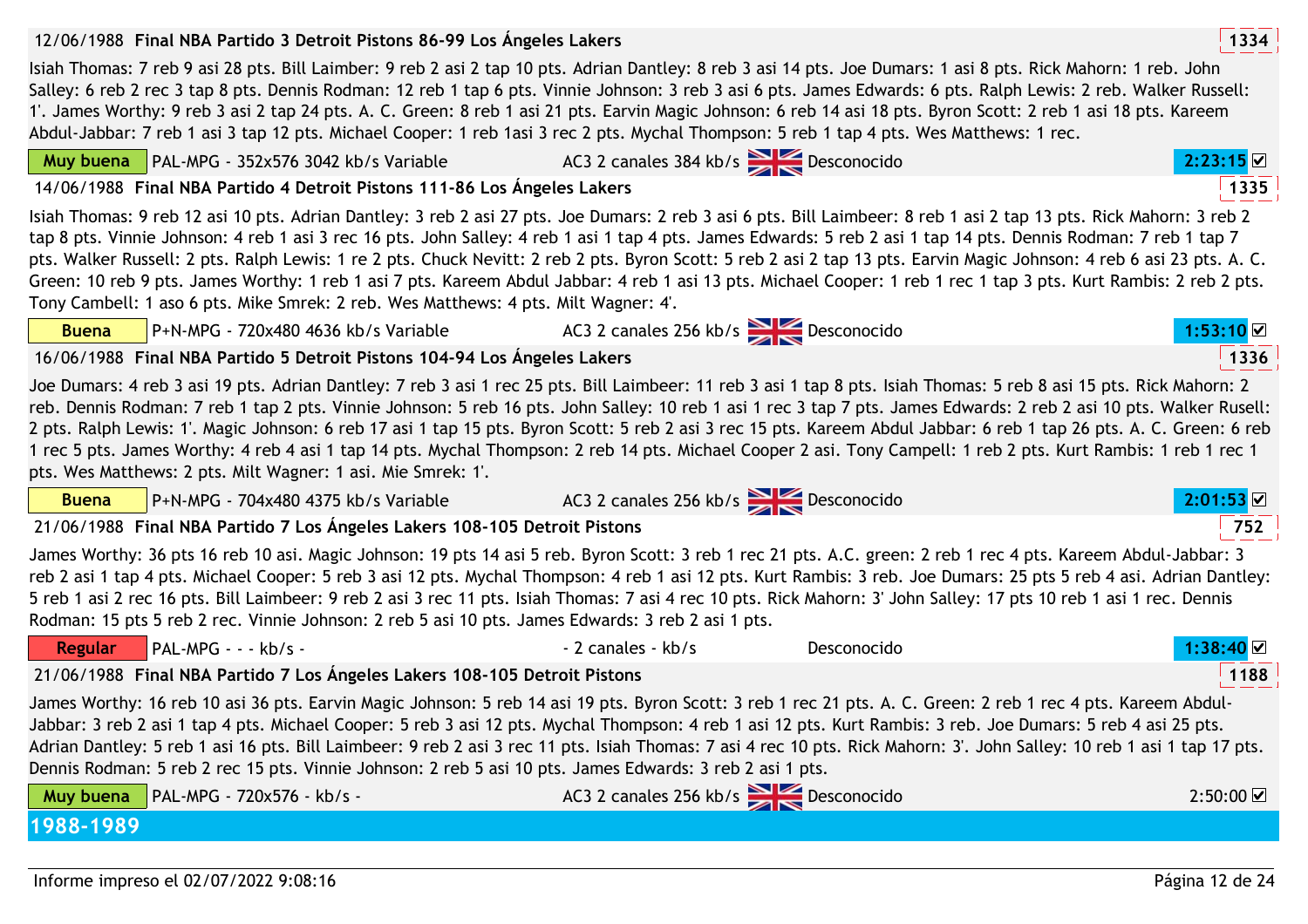| 12/06/1988 Final NBA Partido 3 Detroit Pistons 86-99 Los Angeles Lakers                                                                                                                                                                                                                                                                                                                                                                                                                                                                                                                                                                                                                                                                                                      |                                    |             | 1334                                 |
|------------------------------------------------------------------------------------------------------------------------------------------------------------------------------------------------------------------------------------------------------------------------------------------------------------------------------------------------------------------------------------------------------------------------------------------------------------------------------------------------------------------------------------------------------------------------------------------------------------------------------------------------------------------------------------------------------------------------------------------------------------------------------|------------------------------------|-------------|--------------------------------------|
| Isiah Thomas: 7 reb 9 asi 28 pts. Bill Laimber: 9 reb 2 asi 2 tap 10 pts. Adrian Dantley: 8 reb 3 asi 14 pts. Joe Dumars: 1 asi 8 pts. Rick Mahorn: 1 reb. John<br>Salley: 6 reb 2 rec 3 tap 8 pts. Dennis Rodman: 12 reb 1 tap 6 pts. Vinnie Johnson: 3 reb 3 asi 6 pts. James Edwards: 6 pts. Ralph Lewis: 2 reb. Walker Russell:<br>1'. James Worthy: 9 reb 3 asi 2 tap 24 pts. A. C. Green: 8 reb 1 asi 21 pts. Earvin Magic Johnson: 6 reb 14 asi 18 pts. Byron Scott: 2 reb 1 asi 18 pts. Kareem<br>Abdul-Jabbar: 7 reb 1 asi 3 tap 12 pts. Michael Cooper: 1 reb 1asi 3 rec 2 pts. Mychal Thompson: 5 reb 1 tap 4 pts. Wes Matthews: 1 rec.                                                                                                                           |                                    |             |                                      |
| Muy buena   PAL-MPG - 352x576 3042 kb/s Variable                                                                                                                                                                                                                                                                                                                                                                                                                                                                                                                                                                                                                                                                                                                             | AC3 2 canales 384 kb/s Desconocido |             | 2:23:15                              |
| 14/06/1988 Final NBA Partido 4 Detroit Pistons 111-86 Los Ángeles Lakers                                                                                                                                                                                                                                                                                                                                                                                                                                                                                                                                                                                                                                                                                                     |                                    |             | 1335                                 |
| Isiah Thomas: 9 reb 12 asi 10 pts. Adrian Dantley: 3 reb 2 asi 27 pts. Joe Dumars: 2 reb 3 asi 6 pts. Bill Laimbeer: 8 reb 1 asi 2 tap 13 pts. Rick Mahorn: 3 reb 2<br>tap 8 pts. Vinnie Johnson: 4 reb 1 asi 3 rec 16 pts. John Salley: 4 reb 1 asi 1 tap 4 pts. James Edwards: 5 reb 2 asi 1 tap 14 pts. Dennis Rodman: 7 reb 1 tap 7<br>pts. Walker Russell: 2 pts. Ralph Lewis: 1 re 2 pts. Chuck Nevitt: 2 reb 2 pts. Byron Scott: 5 reb 2 asi 2 tap 13 pts. Earvin Magic Johnson: 4 reb 6 asi 23 pts. A. C.<br>Green: 10 reb 9 pts. James Worthy: 1 reb 1 asi 7 pts. Kareem Abdul Jabbar: 4 reb 1 asi 13 pts. Michael Cooper: 1 reb 1 rec 1 tap 3 pts. Kurt Rambis: 2 reb 2 pts.<br>Tony Cambell: 1 aso 6 pts. Mike Smrek: 2 reb. Wes Matthews: 4 pts. Milt Wagner: 4. |                                    |             |                                      |
| P+N-MPG - 720x480 4636 kb/s Variable<br><b>Buena</b>                                                                                                                                                                                                                                                                                                                                                                                                                                                                                                                                                                                                                                                                                                                         | AC3 2 canales 256 kb/s Desconocido |             | $1:53:10$ ⊠                          |
| 16/06/1988 Final NBA Partido 5 Detroit Pistons 104-94 Los Ángeles Lakers                                                                                                                                                                                                                                                                                                                                                                                                                                                                                                                                                                                                                                                                                                     |                                    |             | 1336                                 |
| Joe Dumars: 4 reb 3 asi 19 pts. Adrian Dantley: 7 reb 3 asi 1 rec 25 pts. Bill Laimbeer: 11 reb 3 asi 1 tap 8 pts. Isiah Thomas: 5 reb 8 asi 15 pts. Rick Mahorn: 2<br>reb. Dennis Rodman: 7 reb 1 tap 2 pts. Vinnie Johnson: 5 reb 16 pts. John Salley: 10 reb 1 asi 1 rec 3 tap 7 pts. James Edwards: 2 reb 2 asi 10 pts. Walker Rusell:<br>2 pts. Ralph Lewis: 1'. Magic Johnson: 6 reb 17 asi 1 tap 15 pts. Byron Scott: 5 reb 2 asi 3 rec 15 pts. Kareem Abdul Jabbar: 6 reb 1 tap 26 pts. A. C. Green: 6 reb<br>1 rec 5 pts. James Worthy: 4 reb 4 asi 1 tap 14 pts. Mychal Thompson: 2 reb 14 pts. Michael Cooper 2 asi. Tony Campell: 1 reb 2 pts. Kurt Rambis: 1 reb 1 rec 1<br>pts. Wes Matthews: 2 pts. Milt Wagner: 1 asi. Mie Smrek: 1'.                        |                                    |             |                                      |
| P+N-MPG - 704x480 4375 kb/s Variable<br><b>Buena</b>                                                                                                                                                                                                                                                                                                                                                                                                                                                                                                                                                                                                                                                                                                                         | AC3 2 canales 256 kb/s Desconocido |             | 2:01:53                              |
| 21/06/1988 Final NBA Partido 7 Los Ángeles Lakers 108-105 Detroit Pistons                                                                                                                                                                                                                                                                                                                                                                                                                                                                                                                                                                                                                                                                                                    |                                    |             | 752                                  |
| James Worthy: 36 pts 16 reb 10 asi. Magic Johnson: 19 pts 14 asi 5 reb. Byron Scott: 3 reb 1 rec 21 pts. A.C. green: 2 reb 1 rec 4 pts. Kareem Abdul-Jabbar: 3<br>reb 2 asi 1 tap 4 pts. Michael Cooper: 5 reb 3 asi 12 pts. Mychal Thompson: 4 reb 1 asi 12 pts. Kurt Rambis: 3 reb. Joe Dumars: 25 pts 5 reb 4 asi. Adrian Dantley:<br>5 reb 1 asi 2 rec 16 pts. Bill Laimbeer: 9 reb 2 asi 3 rec 11 pts. Isiah Thomas: 7 asi 4 rec 10 pts. Rick Mahorn: 3' John Salley: 17 pts 10 reb 1 asi 1 rec. Dennis<br>Rodman: 15 pts 5 reb 2 rec. Vinnie Johnson: 2 reb 5 asi 10 pts. James Edwards: 3 reb 2 asi 1 pts.                                                                                                                                                            |                                    |             |                                      |
| PAL-MPG - - - kb/s -<br><b>Regular</b>                                                                                                                                                                                                                                                                                                                                                                                                                                                                                                                                                                                                                                                                                                                                       | - 2 canales - kb/s                 | Desconocido | 1:38:40 ☑                            |
| 21/06/1988 Final NBA Partido 7 Los Angeles Lakers 108-105 Detroit Pistons                                                                                                                                                                                                                                                                                                                                                                                                                                                                                                                                                                                                                                                                                                    |                                    |             | 1188                                 |
| James Worthy: 16 reb 10 asi 36 pts. Earvin Magic Johnson: 5 reb 14 asi 19 pts. Byron Scott: 3 reb 1 rec 21 pts. A. C. Green: 2 reb 1 rec 4 pts. Kareem Abdul-<br>Jabbar: 3 reb 2 asi 1 tap 4 pts. Michael Cooper: 5 reb 3 asi 12 pts. Mychal Thompson: 4 reb 1 asi 12 pts. Kurt Rambis: 3 reb. Joe Dumars: 5 reb 4 asi 25 pts.<br>Adrian Dantley: 5 reb 1 asi 16 pts. Bill Laimbeer: 9 reb 2 asi 3 rec 11 pts. Isiah Thomas: 7 asi 4 rec 10 pts. Rick Mahorn: 3'. John Salley: 10 reb 1 asi 1 tap 17 pts.<br>Dennis Rodman: 5 reb 2 rec 15 pts. Vinnie Johnson: 2 reb 5 asi 10 pts. James Edwards: 3 reb 2 asi 1 pts.                                                                                                                                                        |                                    |             |                                      |
| PAL-MPG - 720x576 - kb/s -<br>Muy buena                                                                                                                                                                                                                                                                                                                                                                                                                                                                                                                                                                                                                                                                                                                                      | AC3 2 canales 256 kb/s Desconocido |             | $2:50:00$ $\overline{\triangledown}$ |
| 1988-1989                                                                                                                                                                                                                                                                                                                                                                                                                                                                                                                                                                                                                                                                                                                                                                    |                                    |             |                                      |
|                                                                                                                                                                                                                                                                                                                                                                                                                                                                                                                                                                                                                                                                                                                                                                              |                                    |             |                                      |

 $---$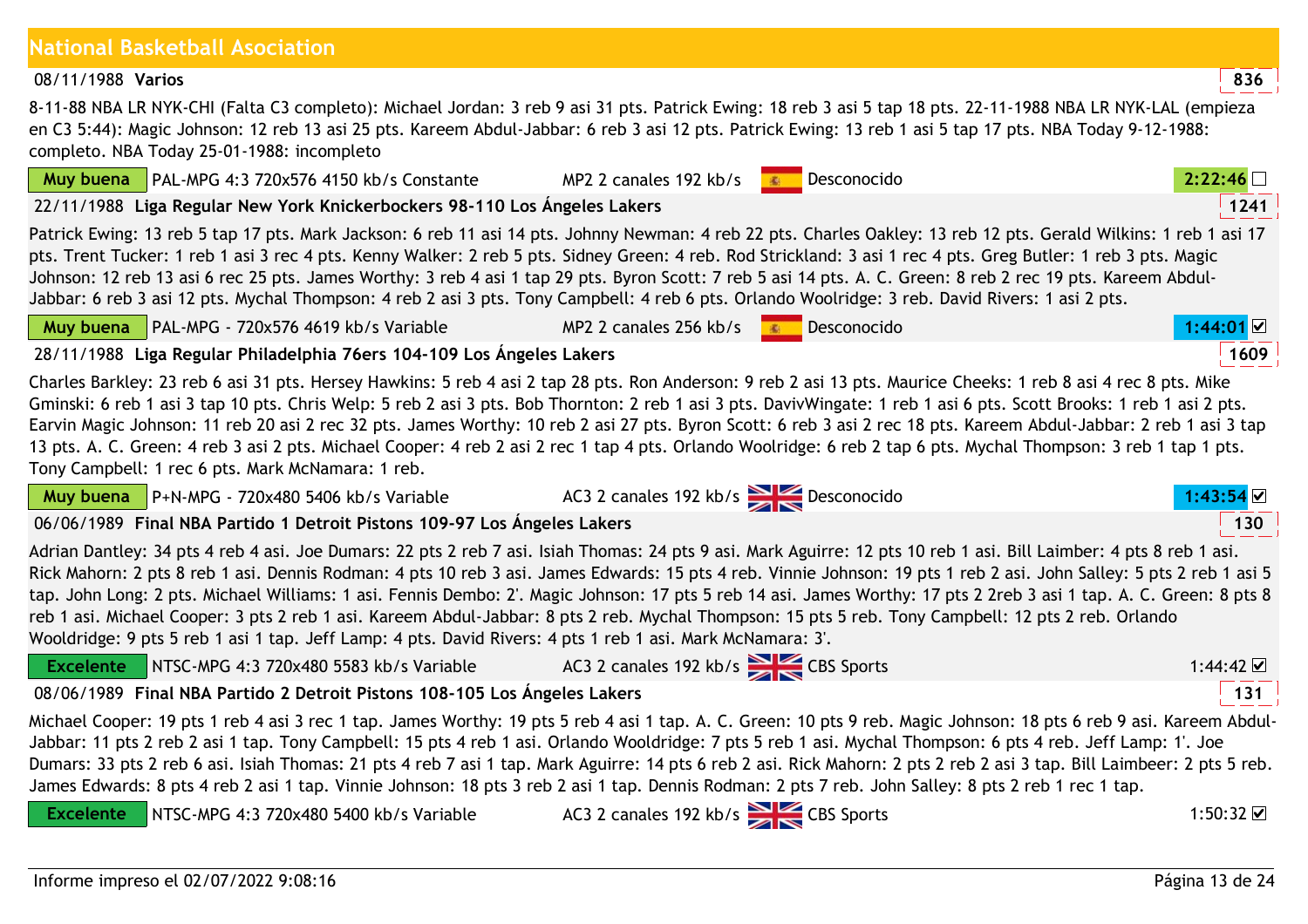| Muy buena        | PAL-MPG 4:3 720x576 4150 kb/s Constante                                                                                                                                                                                                                                                                                                                                                                                                                                                                                                                                                                                                                                                                                                                                                 | MP2 2 canales 192 kb/s                       | Desconocido<br><b>图 100</b> | 2:22:46          |
|------------------|-----------------------------------------------------------------------------------------------------------------------------------------------------------------------------------------------------------------------------------------------------------------------------------------------------------------------------------------------------------------------------------------------------------------------------------------------------------------------------------------------------------------------------------------------------------------------------------------------------------------------------------------------------------------------------------------------------------------------------------------------------------------------------------------|----------------------------------------------|-----------------------------|------------------|
|                  | 22/11/1988 Liga Regular New York Knickerbockers 98-110 Los Ángeles Lakers                                                                                                                                                                                                                                                                                                                                                                                                                                                                                                                                                                                                                                                                                                               |                                              |                             | 1241             |
|                  | Patrick Ewing: 13 reb 5 tap 17 pts. Mark Jackson: 6 reb 11 asi 14 pts. Johnny Newman: 4 reb 22 pts. Charles Oakley: 13 reb 12 pts. Gerald Wilkins: 1 reb 1 asi 17<br>pts. Trent Tucker: 1 reb 1 asi 3 rec 4 pts. Kenny Walker: 2 reb 5 pts. Sidney Green: 4 reb. Rod Strickland: 3 asi 1 rec 4 pts. Greg Butler: 1 reb 3 pts. Magic<br>Johnson: 12 reb 13 asi 6 rec 25 pts. James Worthy: 3 reb 4 asi 1 tap 29 pts. Byron Scott: 7 reb 5 asi 14 pts. A. C. Green: 8 reb 2 rec 19 pts. Kareem Abdul-<br>Jabbar: 6 reb 3 asi 12 pts. Mychal Thompson: 4 reb 2 asi 3 pts. Tony Campbell: 4 reb 6 pts. Orlando Woolridge: 3 reb. David Rivers: 1 asi 2 pts.                                                                                                                                 |                                              |                             |                  |
| Muy buena        | PAL-MPG - 720x576 4619 kb/s Variable                                                                                                                                                                                                                                                                                                                                                                                                                                                                                                                                                                                                                                                                                                                                                    | MP2 2 canales 256 kb/s $\bullet$ Desconocido |                             | $1:44:01$ $\&$   |
|                  | 28/11/1988 Liga Regular Philadelphia 76ers 104-109 Los Ángeles Lakers                                                                                                                                                                                                                                                                                                                                                                                                                                                                                                                                                                                                                                                                                                                   |                                              |                             | 1609             |
|                  | Charles Barkley: 23 reb 6 asi 31 pts. Hersey Hawkins: 5 reb 4 asi 2 tap 28 pts. Ron Anderson: 9 reb 2 asi 13 pts. Maurice Cheeks: 1 reb 8 asi 4 rec 8 pts. Mike<br>Gminski: 6 reb 1 asi 3 tap 10 pts. Chris Welp: 5 reb 2 asi 3 pts. Bob Thornton: 2 reb 1 asi 3 pts. DavivWingate: 1 reb 1 asi 6 pts. Scott Brooks: 1 reb 1 asi 2 pts.<br>Earvin Magic Johnson: 11 reb 20 asi 2 rec 32 pts. James Worthy: 10 reb 2 asi 27 pts. Byron Scott: 6 reb 3 asi 2 rec 18 pts. Kareem Abdul-Jabbar: 2 reb 1 asi 3 tap<br>13 pts. A. C. Green: 4 reb 3 asi 2 pts. Michael Cooper: 4 reb 2 asi 2 rec 1 tap 4 pts. Orlando Woolridge: 6 reb 2 tap 6 pts. Mychal Thompson: 3 reb 1 tap 1 pts.<br>Tony Campbell: 1 rec 6 pts. Mark McNamara: 1 reb.                                                  |                                              |                             |                  |
|                  | <b>Muy buena</b> $\vert$ P+N-MPG - 720x480 5406 kb/s Variable                                                                                                                                                                                                                                                                                                                                                                                                                                                                                                                                                                                                                                                                                                                           | AC3 2 canales 192 kb/s Desconocido           |                             | 1:43:54          |
|                  | 06/06/1989 Final NBA Partido 1 Detroit Pistons 109-97 Los Ángeles Lakers                                                                                                                                                                                                                                                                                                                                                                                                                                                                                                                                                                                                                                                                                                                |                                              |                             | 130              |
|                  | Adrian Dantley: 34 pts 4 reb 4 asi. Joe Dumars: 22 pts 2 reb 7 asi. Isiah Thomas: 24 pts 9 asi. Mark Aguirre: 12 pts 10 reb 1 asi. Bill Laimber: 4 pts 8 reb 1 asi.<br>Rick Mahorn: 2 pts 8 reb 1 asi. Dennis Rodman: 4 pts 10 reb 3 asi. James Edwards: 15 pts 4 reb. Vinnie Johnson: 19 pts 1 reb 2 asi. John Salley: 5 pts 2 reb 1 asi 5<br>tap. John Long: 2 pts. Michael Williams: 1 asi. Fennis Dembo: 2'. Magic Johnson: 17 pts 5 reb 14 asi. James Worthy: 17 pts 2 2reb 3 asi 1 tap. A. C. Green: 8 pts 8<br>reb 1 asi. Michael Cooper: 3 pts 2 reb 1 asi. Kareem Abdul-Jabbar: 8 pts 2 reb. Mychal Thompson: 15 pts 5 reb. Tony Campbell: 12 pts 2 reb. Orlando<br>Wooldridge: 9 pts 5 reb 1 asi 1 tap. Jeff Lamp: 4 pts. David Rivers: 4 pts 1 reb 1 asi. Mark McNamara: 3'. |                                              |                             |                  |
| <b>Excelente</b> | NTSC-MPG 4:3 720x480 5583 kb/s Variable AC3 2 canales 192 kb/s                                                                                                                                                                                                                                                                                                                                                                                                                                                                                                                                                                                                                                                                                                                          |                                              |                             | $1:44:42$ ⊠      |
|                  | 08/06/1989 Final NBA Partido 2 Detroit Pistons 108-105 Los Ángeles Lakers                                                                                                                                                                                                                                                                                                                                                                                                                                                                                                                                                                                                                                                                                                               |                                              |                             | 131              |
|                  | Michael Cooper: 19 pts 1 reb 4 asi 3 rec 1 tap. James Worthy: 19 pts 5 reb 4 asi 1 tap. A. C. Green: 10 pts 9 reb. Magic Johnson: 18 pts 6 reb 9 asi. Kareem Abdul-<br>Jabbar: 11 pts 2 reb 2 asi 1 tap. Tony Campbell: 15 pts 4 reb 1 asi. Orlando Wooldridge: 7 pts 5 reb 1 asi. Mychal Thompson: 6 pts 4 reb. Jeff Lamp: 1'. Joe<br>Dumars: 33 pts 2 reb 6 asi. Isiah Thomas: 21 pts 4 reb 7 asi 1 tap. Mark Aguirre: 14 pts 6 reb 2 asi. Rick Mahorn: 2 pts 2 reb 2 asi 3 tap. Bill Laimbeer: 2 pts 5 reb.<br>James Edwards: 8 pts 4 reb 2 asi 1 tap. Vinnie Johnson: 18 pts 3 reb 2 asi 1 tap. Dennis Rodman: 2 pts 7 reb. John Salley: 8 pts 2 reb 1 rec 1 tap.                                                                                                                   |                                              |                             |                  |
| <b>Excelente</b> | NTSC-MPG 4:3 720x480 5400 kb/s Variable                                                                                                                                                                                                                                                                                                                                                                                                                                                                                                                                                                                                                                                                                                                                                 |                                              |                             | 1:50:32 $\nabla$ |

#### **National Basketball Asociation**

08/11/1988**Varios** 8 Varios **8.236** 

8-11-88 NBA LR NYK-CHI (Falta C3 completo): Michael Jordan: 3 reb 9 asi 31 pts. Patrick Ewing: 18 reb 3 asi 5 tap 18 pts. 22-11-1988 NBA LR NYK-LAL (empieza en C3 5:44): Magic Johnson: 12 reb 13 asi 25 pts. Kareem Abdul-Jabbar: 6 reb 3 asi 12 pts. Patrick Ewing: 13 reb 1 asi 5 tap 17 pts. NBA Today 9-12-1988:completo. NBA Today 25-01-1988: incompleto

MP2 2 canales 192 kb/s Desconocido **2:22:46**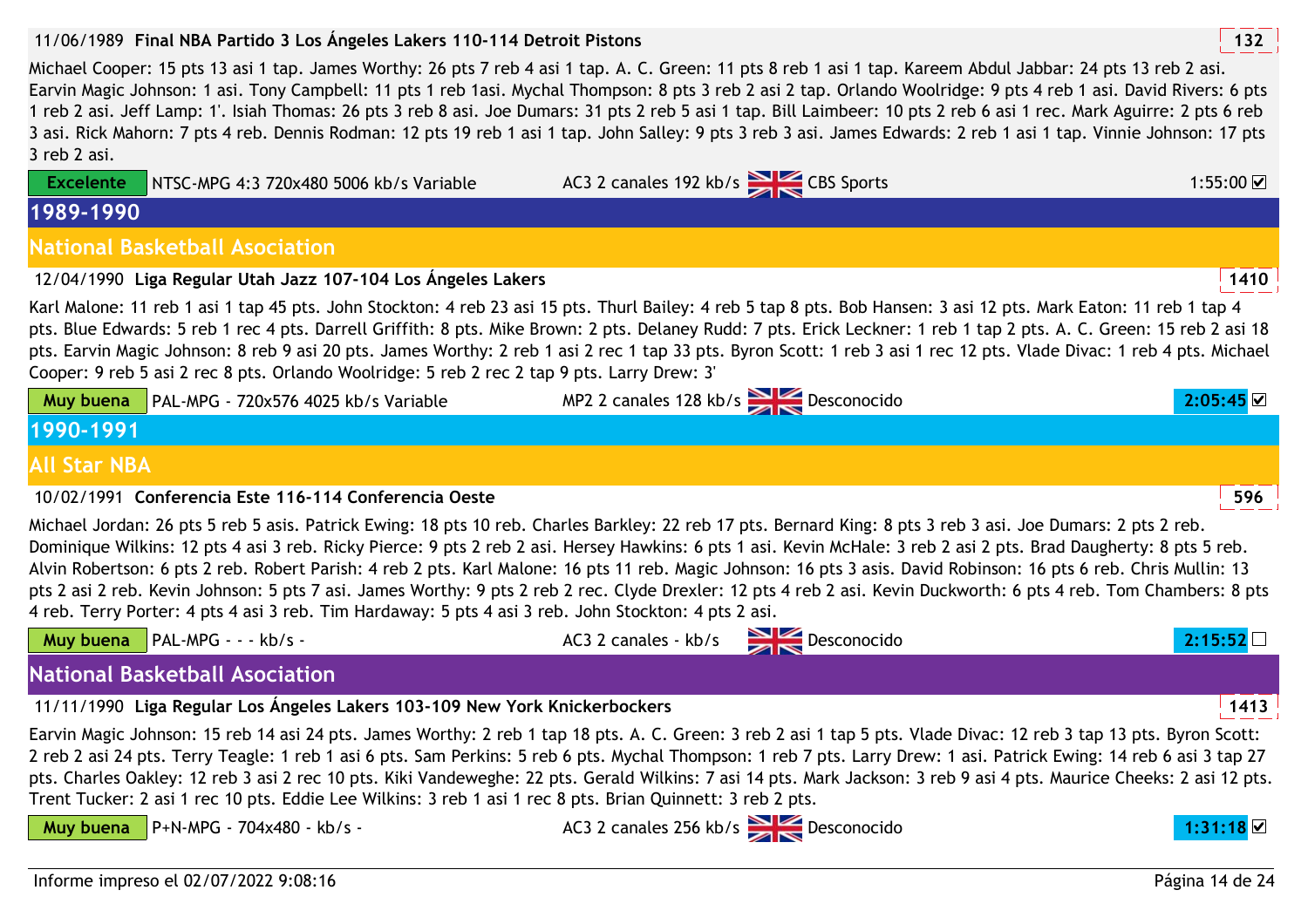## 11/06/1989 **<sup>132</sup>Final NBA Partido 3 Los Ángeles Lakers 110-114 Detroit Pistons**

Michael Cooper: 15 pts 13 asi 1 tap. James Worthy: 26 pts 7 reb 4 asi 1 tap. A. C. Green: 11 pts 8 reb 1 asi 1 tap. Kareem Abdul Jabbar: 24 pts 13 reb 2 asi. Earvin Magic Johnson: 1 asi. Tony Campbell: 11 pts 1 reb 1asi. Mychal Thompson: 8 pts 3 reb 2 asi 2 tap. Orlando Woolridge: 9 pts 4 reb 1 asi. David Rivers: 6 pts 1 reb 2 asi. Jeff Lamp: 1'. Isiah Thomas: 26 pts 3 reb 8 asi. Joe Dumars: 31 pts 2 reb 5 asi 1 tap. Bill Laimbeer: 10 pts 2 reb 6 asi 1 rec. Mark Aguirre: 2 pts 6 reb 3 asi. Rick Mahorn: 7 pts 4 reb. Dennis Rodman: 12 pts 19 reb 1 asi 1 tap. John Salley: 9 pts 3 reb 3 asi. James Edwards: 2 reb 1 asi 1 tap. Vinnie Johnson: 17 pts 3 reb 2 asi.

| <b>Excelente</b>    | NTSC-MPG 4:3 720x480 5006 kb/s Variable                                                                                                                                                                                                                                                                                                                                                                                                                                                                                                                                                                                                                                                                                                                                                | AC3 2 canales 192 kb/s CBS Sports |                                       | 1:55:00 ☑       |
|---------------------|----------------------------------------------------------------------------------------------------------------------------------------------------------------------------------------------------------------------------------------------------------------------------------------------------------------------------------------------------------------------------------------------------------------------------------------------------------------------------------------------------------------------------------------------------------------------------------------------------------------------------------------------------------------------------------------------------------------------------------------------------------------------------------------|-----------------------------------|---------------------------------------|-----------------|
| 1989-1990           |                                                                                                                                                                                                                                                                                                                                                                                                                                                                                                                                                                                                                                                                                                                                                                                        |                                   |                                       |                 |
|                     | <b>National Basketball Asociation</b>                                                                                                                                                                                                                                                                                                                                                                                                                                                                                                                                                                                                                                                                                                                                                  |                                   |                                       |                 |
|                     | 12/04/1990 Liga Regular Utah Jazz 107-104 Los Ángeles Lakers                                                                                                                                                                                                                                                                                                                                                                                                                                                                                                                                                                                                                                                                                                                           |                                   |                                       | 1410            |
|                     | Karl Malone: 11 reb 1 asi 1 tap 45 pts. John Stockton: 4 reb 23 asi 15 pts. Thurl Bailey: 4 reb 5 tap 8 pts. Bob Hansen: 3 asi 12 pts. Mark Eaton: 11 reb 1 tap 4<br>pts. Blue Edwards: 5 reb 1 rec 4 pts. Darrell Griffith: 8 pts. Mike Brown: 2 pts. Delaney Rudd: 7 pts. Erick Leckner: 1 reb 1 tap 2 pts. A. C. Green: 15 reb 2 asi 18<br>pts. Earvin Magic Johnson: 8 reb 9 asi 20 pts. James Worthy: 2 reb 1 asi 2 rec 1 tap 33 pts. Byron Scott: 1 reb 3 asi 1 rec 12 pts. Vlade Divac: 1 reb 4 pts. Michael<br>Cooper: 9 reb 5 asi 2 rec 8 pts. Orlando Woolridge: 5 reb 2 rec 2 tap 9 pts. Larry Drew: 3'                                                                                                                                                                     |                                   |                                       |                 |
| Muy buena           | PAL-MPG - 720x576 4025 kb/s Variable                                                                                                                                                                                                                                                                                                                                                                                                                                                                                                                                                                                                                                                                                                                                                   |                                   | MP2 2 canales 128 kb/s<br>Desconocido | 2:05:45         |
| 1990-1991           |                                                                                                                                                                                                                                                                                                                                                                                                                                                                                                                                                                                                                                                                                                                                                                                        |                                   |                                       |                 |
| <b>All Star NBA</b> |                                                                                                                                                                                                                                                                                                                                                                                                                                                                                                                                                                                                                                                                                                                                                                                        |                                   |                                       |                 |
|                     | 10/02/1991 Conferencia Este 116-114 Conferencia Oeste                                                                                                                                                                                                                                                                                                                                                                                                                                                                                                                                                                                                                                                                                                                                  |                                   |                                       | 596             |
|                     | Michael Jordan: 26 pts 5 reb 5 asis. Patrick Ewing: 18 pts 10 reb. Charles Barkley: 22 reb 17 pts. Bernard King: 8 pts 3 reb 3 asi. Joe Dumars: 2 pts 2 reb.<br>Dominique Wilkins: 12 pts 4 asi 3 reb. Ricky Pierce: 9 pts 2 reb 2 asi. Hersey Hawkins: 6 pts 1 asi. Kevin McHale: 3 reb 2 asi 2 pts. Brad Daugherty: 8 pts 5 reb.<br>Alvin Robertson: 6 pts 2 reb. Robert Parish: 4 reb 2 pts. Karl Malone: 16 pts 11 reb. Magic Johnson: 16 pts 3 asis. David Robinson: 16 pts 6 reb. Chris Mullin: 13<br>pts 2 asi 2 reb. Kevin Johnson: 5 pts 7 asi. James Worthy: 9 pts 2 reb 2 rec. Clyde Drexler: 12 pts 4 reb 2 asi. Kevin Duckworth: 6 pts 4 reb. Tom Chambers: 8 pts<br>4 reb. Terry Porter: 4 pts 4 asi 3 reb. Tim Hardaway: 5 pts 4 asi 3 reb. John Stockton: 4 pts 2 asi. |                                   |                                       |                 |
|                     | Muy buena   PAL-MPG - - - kb/s -                                                                                                                                                                                                                                                                                                                                                                                                                                                                                                                                                                                                                                                                                                                                                       |                                   | AC3 2 canales - kb/s Desconocido      | 2:15:52         |
|                     | <b>National Basketball Asociation</b>                                                                                                                                                                                                                                                                                                                                                                                                                                                                                                                                                                                                                                                                                                                                                  |                                   |                                       |                 |
|                     | 11/11/1990 Liga Regular Los Ángeles Lakers 103-109 New York Knickerbockers                                                                                                                                                                                                                                                                                                                                                                                                                                                                                                                                                                                                                                                                                                             |                                   |                                       | 1413            |
|                     | Earvin Magic Johnson: 15 reb 14 asi 24 pts. James Worthy: 2 reb 1 tap 18 pts. A. C. Green: 3 reb 2 asi 1 tap 5 pts. Vlade Divac: 12 reb 3 tap 13 pts. Byron Scott:<br>2 reb 2 asi 24 pts. Terry Teagle: 1 reb 1 asi 6 pts. Sam Perkins: 5 reb 6 pts. Mychal Thompson: 1 reb 7 pts. Larry Drew: 1 asi. Patrick Ewing: 14 reb 6 asi 3 tap 27<br>pts. Charles Oakley: 12 reb 3 asi 2 rec 10 pts. Kiki Vandeweghe: 22 pts. Gerald Wilkins: 7 asi 14 pts. Mark Jackson: 3 reb 9 asi 4 pts. Maurice Cheeks: 2 asi 12 pts.<br>Trent Tucker: 2 asi 1 rec 10 pts. Eddie Lee Wilkins: 3 reb 1 asi 1 rec 8 pts. Brian Quinnett: 3 reb 2 pts.                                                                                                                                                      |                                   |                                       |                 |
| Muy buena           | P+N-MPG - 704x480 - kb/s -                                                                                                                                                                                                                                                                                                                                                                                                                                                                                                                                                                                                                                                                                                                                                             |                                   | AC3 2 canales 256 kb/s Desconocido    | 1:31:18         |
|                     | Informe impreso el 02/07/2022 9:08:16                                                                                                                                                                                                                                                                                                                                                                                                                                                                                                                                                                                                                                                                                                                                                  |                                   |                                       | Página 14 de 24 |
|                     |                                                                                                                                                                                                                                                                                                                                                                                                                                                                                                                                                                                                                                                                                                                                                                                        |                                   |                                       |                 |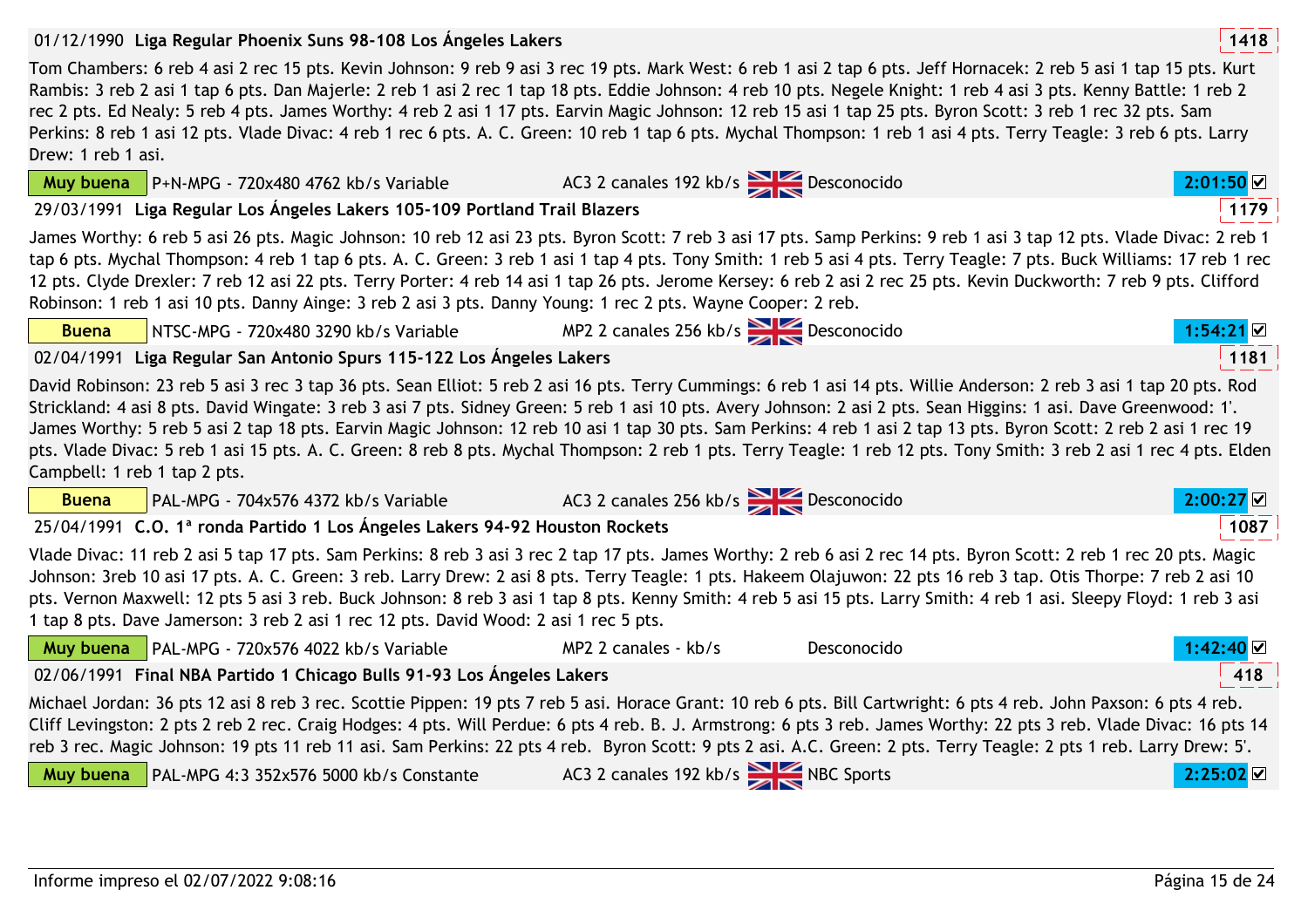## 01/12/1990 **<sup>1418</sup>Liga Regular Phoenix Suns 98-108 Los Ángeles Lakers**

P+N-MPG - 720x480 4762 kb/s Variable

**Muy buena**

**Buena**

**Muy buena**

Tom Chambers: 6 reb 4 asi 2 rec 15 pts. Kevin Johnson: 9 reb 9 asi 3 rec 19 pts. Mark West: 6 reb 1 asi 2 tap 6 pts. Jeff Hornacek: 2 reb 5 asi 1 tap 15 pts. Kurt Rambis: 3 reb 2 asi 1 tap 6 pts. Dan Majerle: 2 reb 1 asi 2 rec 1 tap 18 pts. Eddie Johnson: 4 reb 10 pts. Negele Knight: 1 reb 4 asi 3 pts. Kenny Battle: 1 reb 2 rec 2 pts. Ed Nealy: 5 reb 4 pts. James Worthy: 4 reb 2 asi 1 17 pts. Earvin Magic Johnson: 12 reb 15 asi 1 tap 25 pts. Byron Scott: 3 reb 1 rec 32 pts. Sam Perkins: 8 reb 1 asi 12 pts. Vlade Divac: 4 reb 1 rec 6 pts. A. C. Green: 10 reb 1 tap 6 pts. Mychal Thompson: 1 reb 1 asi 4 pts. Terry Teagle: 3 reb 6 pts. Larry Drew: 1 reb 1 asi.

29/03/1991 **<sup>1179</sup>Liga Regular Los Ángeles Lakers 105-109 Portland Trail Blazers**

James Worthy: 6 reb 5 asi 26 pts. Magic Johnson: 10 reb 12 asi 23 pts. Byron Scott: 7 reb 3 asi 17 pts. Samp Perkins: 9 reb 1 asi 3 tap 12 pts. Vlade Divac: 2 reb 1 tap 6 pts. Mychal Thompson: 4 reb 1 tap 6 pts. A. C. Green: 3 reb 1 asi 1 tap 4 pts. Tony Smith: 1 reb 5 asi 4 pts. Terry Teagle: 7 pts. Buck Williams: 17 reb 1 rec 12 pts. Clyde Drexler: 7 reb 12 asi 22 pts. Terry Porter: 4 reb 14 asi 1 tap 26 pts. Jerome Kersey: 6 reb 2 asi 2 rec 25 pts. Kevin Duckworth: 7 reb 9 pts. Clifford Robinson: 1 reb 1 asi 10 pts. Danny Ainge: 3 reb 2 asi 3 pts. Danny Young: 1 rec 2 pts. Wayne Cooper: 2 reb.

02/04/1991 **<sup>1181</sup>Liga Regular San Antonio Spurs 115-122 Los Ángeles Lakers**

PAL-MPG 4:3 352x576 5000 kb/s Constante

NTSC-MPG - 720x480 3290 kb/s Variable

David Robinson: 23 reb 5 asi 3 rec 3 tap 36 pts. Sean Elliot: 5 reb 2 asi 16 pts. Terry Cummings: 6 reb 1 asi 14 pts. Willie Anderson: 2 reb 3 asi 1 tap 20 pts. Rod Strickland: 4 asi 8 pts. David Wingate: 3 reb 3 asi 7 pts. Sidney Green: 5 reb 1 asi 10 pts. Avery Johnson: 2 asi 2 pts. Sean Higgins: 1 asi. Dave Greenwood: 1'. James Worthy: 5 reb 5 asi 2 tap 18 pts. Earvin Magic Johnson: 12 reb 10 asi 1 tap 30 pts. Sam Perkins: 4 reb 1 asi 2 tap 13 pts. Byron Scott: 2 reb 2 asi 1 rec 19 pts. Vlade Divac: 5 reb 1 asi 15 pts. A. C. Green: 8 reb 8 pts. Mychal Thompson: 2 reb 1 pts. Terry Teagle: 1 reb 12 pts. Tony Smith: 3 reb 2 asi 1 rec 4 pts. Elden Campbell: 1 reb 1 tap 2 pts.

| <b>Buena</b> | PAL-MPG - 704x576 4372 kb/s Variable                                                                                                                                                                                                                                                                                                                                                                                                                                                                                                                                                                    | AC3 2 canales 256 kb/s Desconocido |             | 2:00:27 |
|--------------|---------------------------------------------------------------------------------------------------------------------------------------------------------------------------------------------------------------------------------------------------------------------------------------------------------------------------------------------------------------------------------------------------------------------------------------------------------------------------------------------------------------------------------------------------------------------------------------------------------|------------------------------------|-------------|---------|
|              | 25/04/1991 C.O. 1ª ronda Partido 1 Los Ángeles Lakers 94-92 Houston Rockets                                                                                                                                                                                                                                                                                                                                                                                                                                                                                                                             |                                    |             | 1087    |
|              | Vlade Divac: 11 reb 2 asi 5 tap 17 pts. Sam Perkins: 8 reb 3 asi 3 rec 2 tap 17 pts. James Worthy: 2 reb 6 asi 2 rec 14 pts. Byron Scott: 2 reb 1 rec 20 pts. Magic<br>Johnson: 3reb 10 asi 17 pts. A. C. Green: 3 reb. Larry Drew: 2 asi 8 pts. Terry Teagle: 1 pts. Hakeem Olajuwon: 22 pts 16 reb 3 tap. Otis Thorpe: 7 reb 2 asi 10<br>pts. Vernon Maxwell: 12 pts 5 asi 3 reb. Buck Johnson: 8 reb 3 asi 1 tap 8 pts. Kenny Smith: 4 reb 5 asi 15 pts. Larry Smith: 4 reb 1 asi. Sleepy Floyd: 1 reb 3 asi<br>1 tap 8 pts. Dave Jamerson: 3 reb 2 asi 1 rec 12 pts. David Wood: 2 asi 1 rec 5 pts. |                                    |             |         |
|              | Muy buena   PAL-MPG - 720x576 4022 kb/s Variable                                                                                                                                                                                                                                                                                                                                                                                                                                                                                                                                                        | MP2 2 canales - kb/s               | Desconocido | 1:42:40 |
|              | 02/06/1991 Final NBA Partido 1 Chicago Bulls 91-93 Los Ángeles Lakers                                                                                                                                                                                                                                                                                                                                                                                                                                                                                                                                   |                                    |             | 418     |
|              | Michael Jordan: 36 pts 12 asi 8 reb 3 rec. Scottie Pippen: 19 pts 7 reb 5 asi. Horace Grant: 10 reb 6 pts. Bill Cartwright: 6 pts 4 reb. John Paxson: 6 pts 4 reb.<br>Cliff Levingston: 2 pts 2 reb 2 rec. Craig Hodges: 4 pts. Will Perdue: 6 pts 4 reb. B. J. Armstrong: 6 pts 3 reb. James Worthy: 22 pts 3 reb. Vlade Divac: 16 pts 14<br>reb 3 rec. Magic Johnson: 19 pts 11 reb 11 asi. Sam Perkins: 22 pts 4 reb. Byron Scott: 9 pts 2 asi. A.C. Green: 2 pts. Terry Teagle: 2 pts 1 reb. Larry Drew: 5'.                                                                                        |                                    |             |         |



AC3 2 canales 192 kb/s NBC Sports **2:25:02** 

MP2 2 canales 256 kb/s **Desconocido 1:54:21 v** 

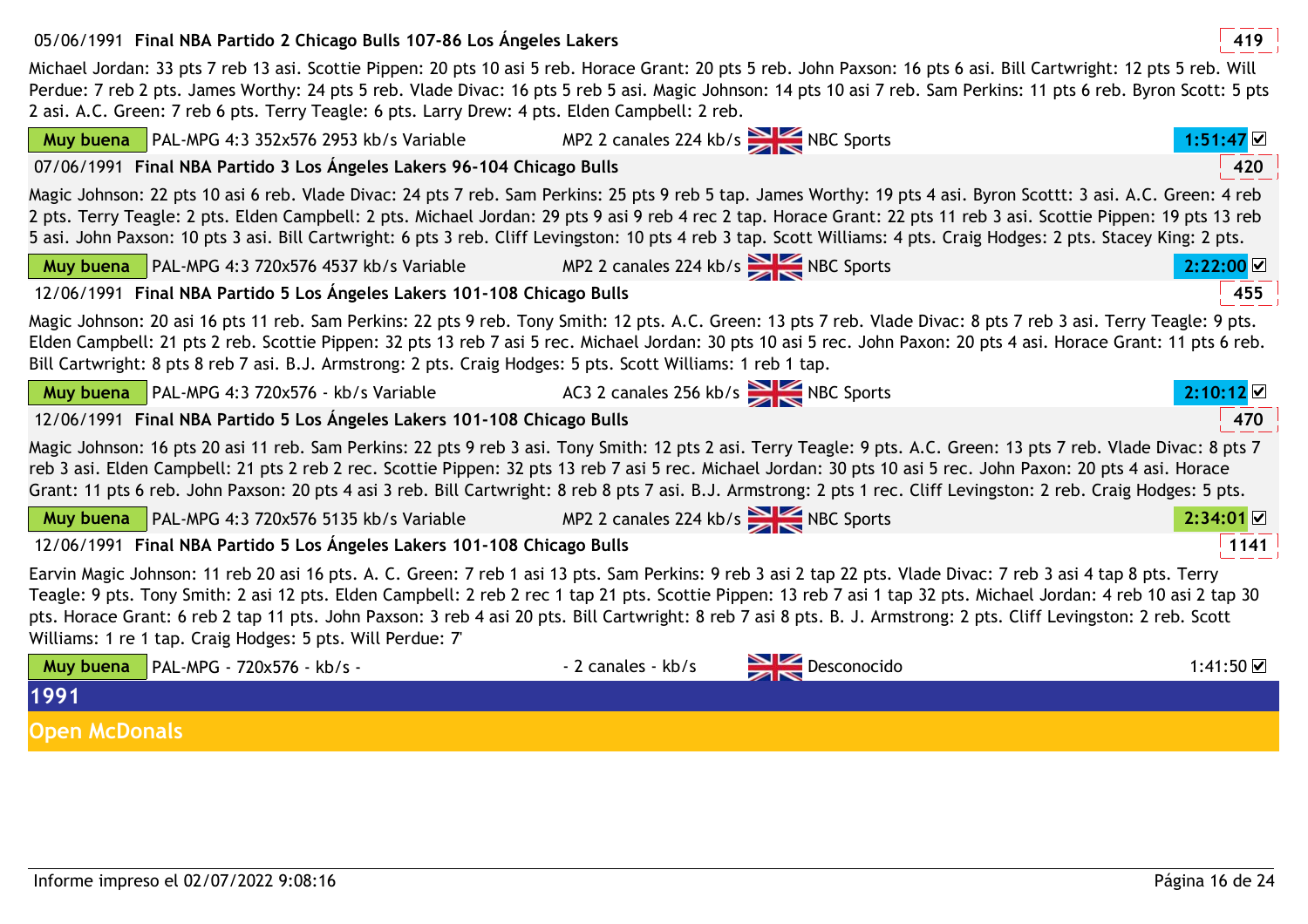## 05/06/1991 **<sup>419</sup>Final NBA Partido 2 Chicago Bulls 107-86 Los Ángeles Lakers**

 Michael Jordan: 33 pts 7 reb 13 asi. Scottie Pippen: 20 pts 10 asi 5 reb. Horace Grant: 20 pts 5 reb. John Paxson: 16 pts 6 asi. Bill Cartwright: 12 pts 5 reb. Will Perdue: 7 reb 2 pts. James Worthy: 24 pts 5 reb. Vlade Divac: 16 pts 5 reb 5 asi. Magic Johnson: 14 pts 10 asi 7 reb. Sam Perkins: 11 pts 6 reb. Byron Scott: 5 pts 2 asi. A.C. Green: 7 reb 6 pts. Terry Teagle: 6 pts. Larry Drew: 4 pts. Elden Campbell: 2 reb.

| <b>Muy buena</b> $\vert$ PAL-MPG 4:3 352x576 2953 kb/s Variable                                              | MP2 2 canales 224 kb/s<br>NBC Sports                                                                                                                                                                                                                                                                                                                                                                                                                                                                               | 1:51:47 ⊻ |
|--------------------------------------------------------------------------------------------------------------|--------------------------------------------------------------------------------------------------------------------------------------------------------------------------------------------------------------------------------------------------------------------------------------------------------------------------------------------------------------------------------------------------------------------------------------------------------------------------------------------------------------------|-----------|
| 07/06/1991 Final NBA Partido 3 Los Ángeles Lakers 96-104 Chicago Bulls                                       |                                                                                                                                                                                                                                                                                                                                                                                                                                                                                                                    | 420       |
|                                                                                                              | Magic Johnson: 22 pts 10 asi 6 reb. Vlade Divac: 24 pts 7 reb. Sam Perkins: 25 pts 9 reb 5 tap. James Worthy: 19 pts 4 asi. Byron Scottt: 3 asi. A.C. Green: 4 reb<br>2 pts. Terry Teagle: 2 pts. Elden Campbell: 2 pts. Michael Jordan: 29 pts 9 asi 9 reb 4 rec 2 tap. Horace Grant: 22 pts 11 reb 3 asi. Scottie Pippen: 19 pts 13 reb<br>5 asi. John Paxson: 10 pts 3 asi. Bill Cartwright: 6 pts 3 reb. Cliff Levingston: 10 pts 4 reb 3 tap. Scott Williams: 4 pts. Craig Hodges: 2 pts. Stacey King: 2 pts. |           |
| <b>Muy buena</b> PAL-MPG 4:3 720x576 4537 kb/s Variable MP2 2 canales 224 kb/s                               |                                                                                                                                                                                                                                                                                                                                                                                                                                                                                                                    | 2:22:00   |
| 12/06/1991 Final NBA Partido 5 Los Ángeles Lakers 101-108 Chicago Bulls                                      |                                                                                                                                                                                                                                                                                                                                                                                                                                                                                                                    | 455       |
| Bill Cartwright: 8 pts 8 reb 7 asi. B.J. Armstrong: 2 pts. Craig Hodges: 5 pts. Scott Williams: 1 reb 1 tap. | Magic Johnson: 20 asi 16 pts 11 reb. Sam Perkins: 22 pts 9 reb. Tony Smith: 12 pts. A.C. Green: 13 pts 7 reb. Vlade Divac: 8 pts 7 reb 3 asi. Terry Teagle: 9 pts.<br>Elden Campbell: 21 pts 2 reb. Scottie Pippen: 32 pts 13 reb 7 asi 5 rec. Michael Jordan: 30 pts 10 asi 5 rec. John Paxon: 20 pts 4 asi. Horace Grant: 11 pts 6 reb.                                                                                                                                                                          |           |
| <b>Muy buena</b> $\vert$ PAL-MPG 4:3 720x576 - kb/s Variable                                                 | AC3 2 canales 256 kb/s NBC Sports                                                                                                                                                                                                                                                                                                                                                                                                                                                                                  | 2:10:12   |
| 12/06/1991 Final NBA Partido 5 Los Ángeles Lakers 101-108 Chicago Bulls                                      |                                                                                                                                                                                                                                                                                                                                                                                                                                                                                                                    | 470       |
|                                                                                                              | Magic Johnson: 16 pts 20 asi 11 reb. Sam Perkins: 22 pts 9 reb 3 asi. Tony Smith: 12 pts 2 asi. Terry Teagle: 9 pts. A.C. Green: 13 pts 7 reb. Vlade Divac: 8 pts 7<br>reb 3 asi. Elden Campbell: 21 pts 2 reb 2 rec. Scottie Pippen: 32 pts 13 reb 7 asi 5 rec. Michael Jordan: 30 pts 10 asi 5 rec. John Paxon: 20 pts 4 asi. Horace<br>Grant: 11 pts 6 reb. John Paxson: 20 pts 4 asi 3 reb. Bill Cartwright: 8 reb 8 pts 7 asi. B.J. Armstrong: 2 pts 1 rec. Cliff Levingston: 2 reb. Craig Hodges: 5 pts.     |           |
| <b>Muy buena</b> PAL-MPG 4:3 720x576 5135 kb/s Variable MP2 2 canales 224 kb/s NBC Sports                    |                                                                                                                                                                                                                                                                                                                                                                                                                                                                                                                    | 2:34:01   |
| 12/06/1991 Final NBA Partido 5 Los Ángeles Lakers 101-108 Chicago Bulls                                      |                                                                                                                                                                                                                                                                                                                                                                                                                                                                                                                    | 1141      |
| Williams: 1 re 1 tap. Craig Hodges: 5 pts. Will Perdue: 7                                                    | Earvin Magic Johnson: 11 reb 20 asi 16 pts. A. C. Green: 7 reb 1 asi 13 pts. Sam Perkins: 9 reb 3 asi 2 tap 22 pts. Vlade Divac: 7 reb 3 asi 4 tap 8 pts. Terry<br>Teagle: 9 pts. Tony Smith: 2 asi 12 pts. Elden Campbell: 2 reb 2 rec 1 tap 21 pts. Scottie Pippen: 13 reb 7 asi 1 tap 32 pts. Michael Jordan: 4 reb 10 asi 2 tap 30<br>pts. Horace Grant: 6 reb 2 tap 11 pts. John Paxson: 3 reb 4 asi 20 pts. Bill Cartwright: 8 reb 7 asi 8 pts. B. J. Armstrong: 2 pts. Cliff Levingston: 2 reb. Scott       |           |
| Muy buena $\vert$ PAL-MPG - 720x576 - kb/s -                                                                 | Desconocido<br>- 2 canales - kb/s                                                                                                                                                                                                                                                                                                                                                                                                                                                                                  | 1:41:50 ☑ |
| 1991                                                                                                         |                                                                                                                                                                                                                                                                                                                                                                                                                                                                                                                    |           |
| <b>Open McDonals</b>                                                                                         |                                                                                                                                                                                                                                                                                                                                                                                                                                                                                                                    |           |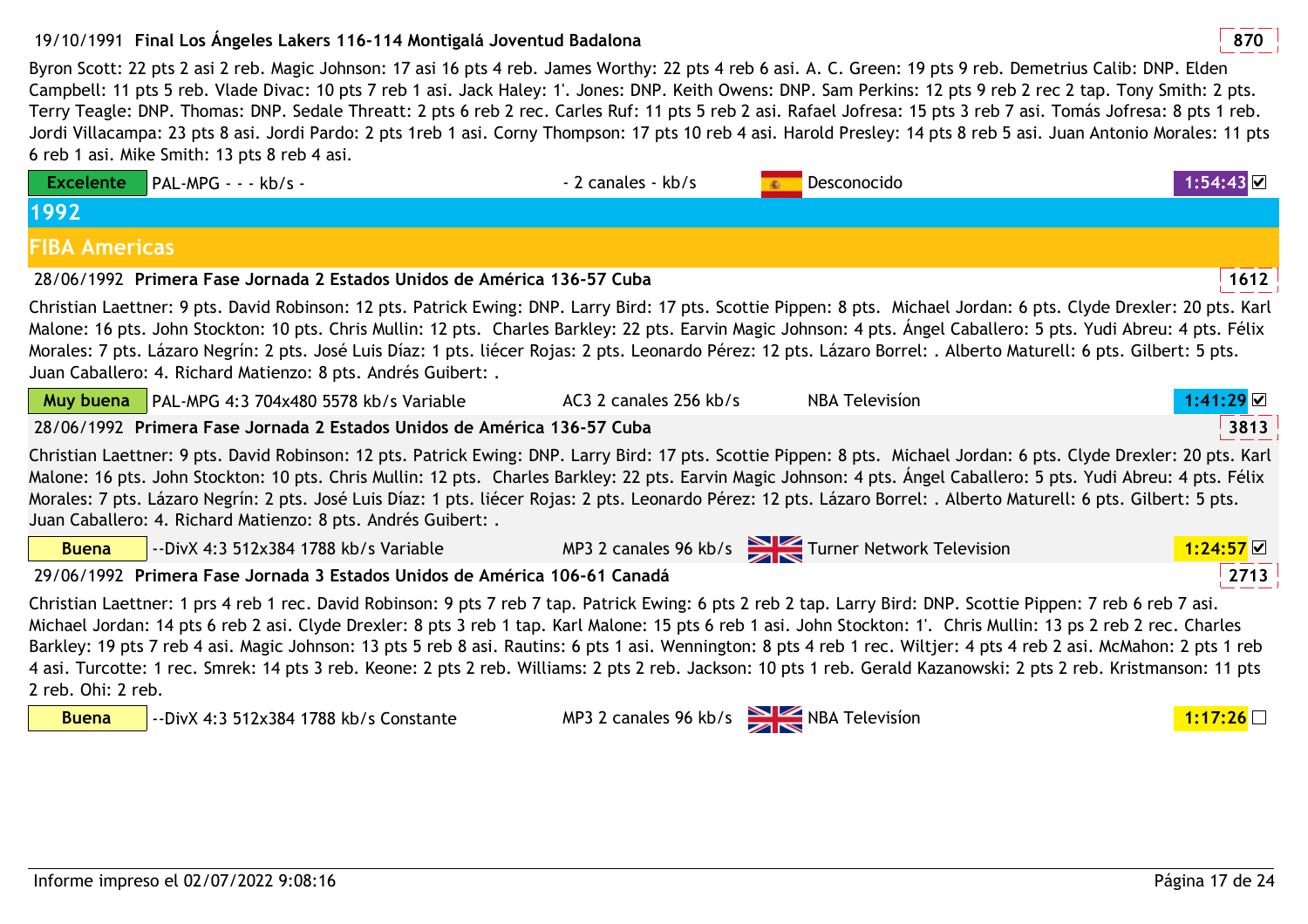## 19/10/1991 **<sup>870</sup>Final Los Ángeles Lakers 116-114 Montigalá Joventud Badalona**

Byron Scott: 22 pts 2 asi 2 reb. Magic Johnson: 17 asi 16 pts 4 reb. James Worthy: 22 pts 4 reb 6 asi. A. C. Green: 19 pts 9 reb. Demetrius Calib: DNP. Elden Campbell: 11 pts 5 reb. Vlade Divac: 10 pts 7 reb 1 asi. Jack Haley: 1'. Jones: DNP. Keith Owens: DNP. Sam Perkins: 12 pts 9 reb 2 rec 2 tap. Tony Smith: 2 pts. Terry Teagle: DNP. Thomas: DNP. Sedale Threatt: 2 pts 6 reb 2 rec. Carles Ruf: 11 pts 5 reb 2 asi. Rafael Jofresa: 15 pts 3 reb 7 asi. Tomás Jofresa: 8 pts 1 reb. Jordi Villacampa: 23 pts 8 asi. Jordi Pardo: 2 pts 1reb 1 asi. Corny Thompson: 17 pts 10 reb 4 asi. Harold Presley: 14 pts 8 reb 5 asi. Juan Antonio Morales: 11 pts 6 reb 1 asi. Mike Smith: 13 pts 8 reb 4 asi.

| <b>Excelente</b>     | PAL-MPG - - - kb/s -                                                                                                                                                                                                                                                                                                                                                                                                                                                                                                                                                                                                                                                                 | - 2 canales - kb/s                          | Desconocido                                     |                            |
|----------------------|--------------------------------------------------------------------------------------------------------------------------------------------------------------------------------------------------------------------------------------------------------------------------------------------------------------------------------------------------------------------------------------------------------------------------------------------------------------------------------------------------------------------------------------------------------------------------------------------------------------------------------------------------------------------------------------|---------------------------------------------|-------------------------------------------------|----------------------------|
| 1992                 |                                                                                                                                                                                                                                                                                                                                                                                                                                                                                                                                                                                                                                                                                      |                                             |                                                 |                            |
| <b>FIBA Americas</b> |                                                                                                                                                                                                                                                                                                                                                                                                                                                                                                                                                                                                                                                                                      |                                             |                                                 |                            |
|                      | 28/06/1992 Primera Fase Jornada 2 Estados Unidos de América 136-57 Cuba                                                                                                                                                                                                                                                                                                                                                                                                                                                                                                                                                                                                              |                                             |                                                 | 1612                       |
|                      | Christian Laettner: 9 pts. David Robinson: 12 pts. Patrick Ewing: DNP. Larry Bird: 17 pts. Scottie Pippen: 8 pts. Michael Jordan: 6 pts. Clyde Drexler: 20 pts. Karl<br>Malone: 16 pts. John Stockton: 10 pts. Chris Mullin: 12 pts. Charles Barkley: 22 pts. Earvin Magic Johnson: 4 pts. Ángel Caballero: 5 pts. Yudi Abreu: 4 pts. Félix<br>Morales: 7 pts. Lázaro Negrín: 2 pts. José Luis Díaz: 1 pts. liécer Rojas: 2 pts. Leonardo Pérez: 12 pts. Lázaro Borrel: . Alberto Maturell: 6 pts. Gilbert: 5 pts.<br>Juan Caballero: 4. Richard Matienzo: 8 pts. Andrés Guibert: .                                                                                                  |                                             |                                                 |                            |
|                      | Muy buena   PAL-MPG 4:3 704x480 5578 kb/s Variable                                                                                                                                                                                                                                                                                                                                                                                                                                                                                                                                                                                                                                   | AC3 2 canales 256 kb/s                      | <b>NBA Television</b>                           | $1:41:29$ $\textstyle\Box$ |
|                      | 28/06/1992 Primera Fase Jornada 2 Estados Unidos de América 136-57 Cuba                                                                                                                                                                                                                                                                                                                                                                                                                                                                                                                                                                                                              |                                             |                                                 | 3813                       |
|                      | Christian Laettner: 9 pts. David Robinson: 12 pts. Patrick Ewing: DNP. Larry Bird: 17 pts. Scottie Pippen: 8 pts. Michael Jordan: 6 pts. Clyde Drexler: 20 pts. Karl<br>Malone: 16 pts. John Stockton: 10 pts. Chris Mullin: 12 pts. Charles Barkley: 22 pts. Earvin Magic Johnson: 4 pts. Ángel Caballero: 5 pts. Yudi Abreu: 4 pts. Félix<br>Morales: 7 pts. Lázaro Negrín: 2 pts. José Luis Díaz: 1 pts. liécer Rojas: 2 pts. Leonardo Pérez: 12 pts. Lázaro Borrel: . Alberto Maturell: 6 pts. Gilbert: 5 pts.<br>Juan Caballero: 4. Richard Matienzo: 8 pts. Andrés Guibert: .                                                                                                  |                                             |                                                 |                            |
| <b>Buena</b>         | --DivX 4:3 512x384 1788 kb/s Variable                                                                                                                                                                                                                                                                                                                                                                                                                                                                                                                                                                                                                                                |                                             | MP3 2 canales 96 kb/s Turner Network Television | 1:24:57                    |
|                      | 29/06/1992 Primera Fase Jornada 3 Estados Unidos de América 106-61 Canadá                                                                                                                                                                                                                                                                                                                                                                                                                                                                                                                                                                                                            |                                             |                                                 | 2713                       |
| 2 reb. Ohi: 2 reb.   | Christian Laettner: 1 prs 4 reb 1 rec. David Robinson: 9 pts 7 reb 7 tap. Patrick Ewing: 6 pts 2 reb 2 tap. Larry Bird: DNP. Scottie Pippen: 7 reb 6 reb 7 asi.<br>Michael Jordan: 14 pts 6 reb 2 asi. Clyde Drexler: 8 pts 3 reb 1 tap. Karl Malone: 15 pts 6 reb 1 asi. John Stockton: 1'. Chris Mullin: 13 ps 2 reb 2 rec. Charles<br>Barkley: 19 pts 7 reb 4 asi. Magic Johnson: 13 pts 5 reb 8 asi. Rautins: 6 pts 1 asi. Wennington: 8 pts 4 reb 1 rec. Wiltjer: 4 pts 4 reb 2 asi. McMahon: 2 pts 1 reb<br>4 asi. Turcotte: 1 rec. Smrek: 14 pts 3 reb. Keone: 2 pts 2 reb. Williams: 2 pts 2 reb. Jackson: 10 pts 1 reb. Gerald Kazanowski: 2 pts 2 reb. Kristmanson: 11 pts |                                             |                                                 |                            |
| <b>Buena</b>         | --DivX 4:3 512x384 1788 kb/s Constante                                                                                                                                                                                                                                                                                                                                                                                                                                                                                                                                                                                                                                               | MP3 2 canales 96 kb/s $\sum$ NBA Television |                                                 | 1:17:26                    |
|                      |                                                                                                                                                                                                                                                                                                                                                                                                                                                                                                                                                                                                                                                                                      |                                             |                                                 |                            |
|                      |                                                                                                                                                                                                                                                                                                                                                                                                                                                                                                                                                                                                                                                                                      |                                             |                                                 |                            |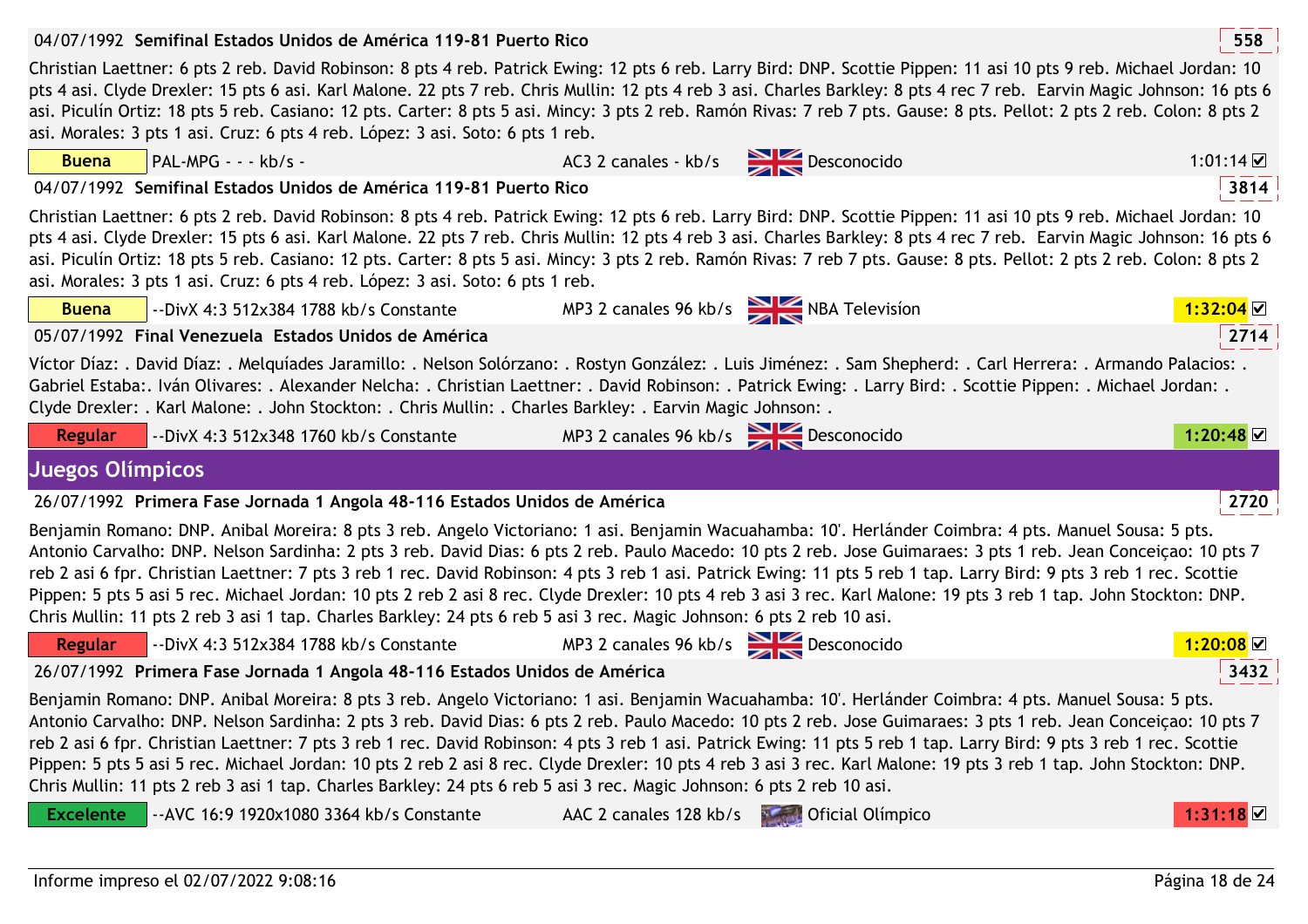| 04/07/1992 Semifinal Estados Unidos de América 119-81 Puerto Rico                                                                                                                                                                                                                                                                                                                                                                                                                                                                                                                                                                                                                                                                                                                                                                                                |                                                                          |                                      | 558                     |  |  |
|------------------------------------------------------------------------------------------------------------------------------------------------------------------------------------------------------------------------------------------------------------------------------------------------------------------------------------------------------------------------------------------------------------------------------------------------------------------------------------------------------------------------------------------------------------------------------------------------------------------------------------------------------------------------------------------------------------------------------------------------------------------------------------------------------------------------------------------------------------------|--------------------------------------------------------------------------|--------------------------------------|-------------------------|--|--|
| Christian Laettner: 6 pts 2 reb. David Robinson: 8 pts 4 reb. Patrick Ewing: 12 pts 6 reb. Larry Bird: DNP. Scottie Pippen: 11 asi 10 pts 9 reb. Michael Jordan: 10<br>pts 4 asi. Clyde Drexler: 15 pts 6 asi. Karl Malone. 22 pts 7 reb. Chris Mullin: 12 pts 4 reb 3 asi. Charles Barkley: 8 pts 4 rec 7 reb. Earvin Magic Johnson: 16 pts 6<br>asi. Piculín Ortiz: 18 pts 5 reb. Casiano: 12 pts. Carter: 8 pts 5 asi. Mincy: 3 pts 2 reb. Ramón Rivas: 7 reb 7 pts. Gause: 8 pts. Pellot: 2 pts 2 reb. Colon: 8 pts 2<br>asi. Morales: 3 pts 1 asi. Cruz: 6 pts 4 reb. López: 3 asi. Soto: 6 pts 1 reb.                                                                                                                                                                                                                                                      |                                                                          |                                      |                         |  |  |
| PAL-MPG - - - kb/s -<br><b>Buena</b>                                                                                                                                                                                                                                                                                                                                                                                                                                                                                                                                                                                                                                                                                                                                                                                                                             | AC3 2 canales - kb/s Desconocido                                         |                                      | 1:01:14 $\triangledown$ |  |  |
| 04/07/1992 Semifinal Estados Unidos de América 119-81 Puerto Rico                                                                                                                                                                                                                                                                                                                                                                                                                                                                                                                                                                                                                                                                                                                                                                                                |                                                                          |                                      | 3814                    |  |  |
| Christian Laettner: 6 pts 2 reb. David Robinson: 8 pts 4 reb. Patrick Ewing: 12 pts 6 reb. Larry Bird: DNP. Scottie Pippen: 11 asi 10 pts 9 reb. Michael Jordan: 10<br>pts 4 asi. Clyde Drexler: 15 pts 6 asi. Karl Malone. 22 pts 7 reb. Chris Mullin: 12 pts 4 reb 3 asi. Charles Barkley: 8 pts 4 rec 7 reb. Earvin Magic Johnson: 16 pts 6<br>asi. Piculín Ortiz: 18 pts 5 reb. Casiano: 12 pts. Carter: 8 pts 5 asi. Mincy: 3 pts 2 reb. Ramón Rivas: 7 reb 7 pts. Gause: 8 pts. Pellot: 2 pts 2 reb. Colon: 8 pts 2<br>asi. Morales: 3 pts 1 asi. Cruz: 6 pts 4 reb. López: 3 asi. Soto: 6 pts 1 reb.                                                                                                                                                                                                                                                      |                                                                          |                                      |                         |  |  |
| <b>Buena</b><br>--DivX 4:3 512x384 1788 kb/s Constante                                                                                                                                                                                                                                                                                                                                                                                                                                                                                                                                                                                                                                                                                                                                                                                                           |                                                                          | MP3 2 canales 96 kb/s NBA Television | 1:32:04                 |  |  |
| 05/07/1992 Final Venezuela Estados Unidos de América                                                                                                                                                                                                                                                                                                                                                                                                                                                                                                                                                                                                                                                                                                                                                                                                             |                                                                          |                                      | 2714                    |  |  |
| Víctor Díaz: . David Díaz: . Melquíades Jaramillo: . Nelson Solórzano: . Rostyn González: . Luis Jiménez: . Sam Shepherd: . Carl Herrera: . Armando Palacios: .<br>Gabriel Estaba:. Iván Olivares: . Alexander Nelcha: . Christian Laettner: . David Robinson: . Patrick Ewing: . Larry Bird: . Scottie Pippen: . Michael Jordan: .<br>Clyde Drexler: . Karl Malone: . John Stockton: . Chris Mullin: . Charles Barkley: . Earvin Magic Johnson: .                                                                                                                                                                                                                                                                                                                                                                                                               |                                                                          |                                      |                         |  |  |
| <b>Regular</b><br>--DivX 4:3 512x348 1760 kb/s Constante                                                                                                                                                                                                                                                                                                                                                                                                                                                                                                                                                                                                                                                                                                                                                                                                         | MP3 2 canales 96 kb/s Desconocido                                        |                                      | 1:20:48                 |  |  |
| <b>Juegos Olímpicos</b>                                                                                                                                                                                                                                                                                                                                                                                                                                                                                                                                                                                                                                                                                                                                                                                                                                          |                                                                          |                                      |                         |  |  |
| 26/07/1992 Primera Fase Jornada 1 Angola 48-116 Estados Unidos de América                                                                                                                                                                                                                                                                                                                                                                                                                                                                                                                                                                                                                                                                                                                                                                                        |                                                                          |                                      | 2720                    |  |  |
| Benjamin Romano: DNP. Anibal Moreira: 8 pts 3 reb. Angelo Victoriano: 1 asi. Benjamin Wacuahamba: 10'. Herlánder Coimbra: 4 pts. Manuel Sousa: 5 pts.<br>Antonio Carvalho: DNP. Nelson Sardinha: 2 pts 3 reb. David Dias: 6 pts 2 reb. Paulo Macedo: 10 pts 2 reb. Jose Guimaraes: 3 pts 1 reb. Jean Conceiçao: 10 pts 7<br>reb 2 asi 6 fpr. Christian Laettner: 7 pts 3 reb 1 rec. David Robinson: 4 pts 3 reb 1 asi. Patrick Ewing: 11 pts 5 reb 1 tap. Larry Bird: 9 pts 3 reb 1 rec. Scottie<br>Pippen: 5 pts 5 asi 5 rec. Michael Jordan: 10 pts 2 reb 2 asi 8 rec. Clyde Drexler: 10 pts 4 reb 3 asi 3 rec. Karl Malone: 19 pts 3 reb 1 tap. John Stockton: DNP.                                                                                                                                                                                           |                                                                          |                                      |                         |  |  |
| Chris Mullin: 11 pts 2 reb 3 asi 1 tap. Charles Barkley: 24 pts 6 reb 5 asi 3 rec. Magic Johnson: 6 pts 2 reb 10 asi.                                                                                                                                                                                                                                                                                                                                                                                                                                                                                                                                                                                                                                                                                                                                            |                                                                          |                                      |                         |  |  |
| <b>Regular</b>                                                                                                                                                                                                                                                                                                                                                                                                                                                                                                                                                                                                                                                                                                                                                                                                                                                   | --DivX 4:3 512x384 1788 kb/s Constante MP3 2 canales 96 kb/s Desconocido |                                      | 1:20:08                 |  |  |
| 26/07/1992 Primera Fase Jornada 1 Angola 48-116 Estados Unidos de América                                                                                                                                                                                                                                                                                                                                                                                                                                                                                                                                                                                                                                                                                                                                                                                        |                                                                          |                                      | 3432                    |  |  |
| Benjamin Romano: DNP. Anibal Moreira: 8 pts 3 reb. Angelo Victoriano: 1 asi. Benjamin Wacuahamba: 10'. Herlánder Coimbra: 4 pts. Manuel Sousa: 5 pts.<br>Antonio Carvalho: DNP. Nelson Sardinha: 2 pts 3 reb. David Dias: 6 pts 2 reb. Paulo Macedo: 10 pts 2 reb. Jose Guimaraes: 3 pts 1 reb. Jean Conceiçao: 10 pts 7<br>reb 2 asi 6 fpr. Christian Laettner: 7 pts 3 reb 1 rec. David Robinson: 4 pts 3 reb 1 asi. Patrick Ewing: 11 pts 5 reb 1 tap. Larry Bird: 9 pts 3 reb 1 rec. Scottie<br>Pippen: 5 pts 5 asi 5 rec. Michael Jordan: 10 pts 2 reb 2 asi 8 rec. Clyde Drexler: 10 pts 4 reb 3 asi 3 rec. Karl Malone: 19 pts 3 reb 1 tap. John Stockton: DNP.<br>Chris Mullin: 11 pts 2 reb 3 asi 1 tap. Charles Barkley: 24 pts 6 reb 5 asi 3 rec. Magic Johnson: 6 pts 2 reb 10 asi.<br><b>Excelente</b><br>-- AVC 16:9 1920x1080 3364 kb/s Constante | AAC 2 canales 128 kb/s                                                   | Oficial Olímpico                     | 1:31:18                 |  |  |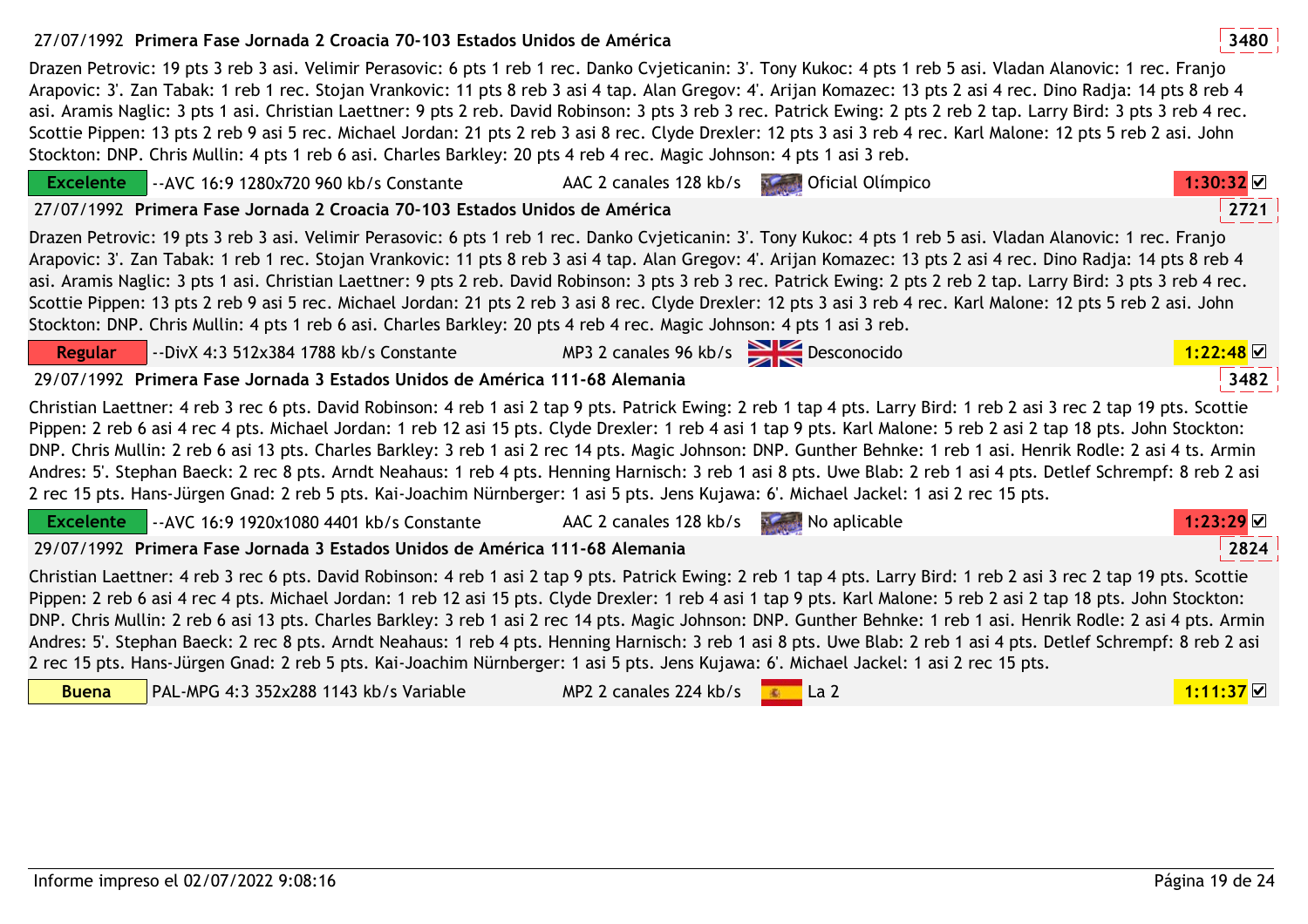## 27/07/1992 **<sup>3480</sup>Primera Fase Jornada 2 Croacia 70-103 Estados Unidos de América**

Drazen Petrovic: 19 pts 3 reb 3 asi. Velimir Perasovic: 6 pts 1 reb 1 rec. Danko Cvjeticanin: 3'. Tony Kukoc: 4 pts 1 reb 5 asi. Vladan Alanovic: 1 rec. Franjo Arapovic: 3'. Zan Tabak: 1 reb 1 rec. Stojan Vrankovic: 11 pts 8 reb 3 asi 4 tap. Alan Gregov: 4'. Arijan Komazec: 13 pts 2 asi 4 rec. Dino Radja: 14 pts 8 reb 4 asi. Aramis Naglic: 3 pts 1 asi. Christian Laettner: 9 pts 2 reb. David Robinson: 3 pts 3 reb 3 rec. Patrick Ewing: 2 pts 2 reb 2 tap. Larry Bird: 3 pts 3 reb 4 rec. Scottie Pippen: 13 pts 2 reb 9 asi 5 rec. Michael Jordan: 21 pts 2 reb 3 asi 8 rec. Clyde Drexler: 12 pts 3 asi 3 reb 4 rec. Karl Malone: 12 pts 5 reb 2 asi. John Stockton: DNP. Chris Mullin: 4 pts 1 reb 6 asi. Charles Barkley: 20 pts 4 reb 4 rec. Magic Johnson: 4 pts 1 asi 3 reb.

| Excelente      | --AVC 16:9 1280x720 960 kb/s Constante                                                                                                                                                                                                                                                                                                                                                                                                                                                                                                                                                                                                                                                                                                                                                                                              | AAC 2 canales 128 kb/s              | Oficial Olímpico<br><b>Normal</b> | $1:30:32$ $\vee$      |
|----------------|-------------------------------------------------------------------------------------------------------------------------------------------------------------------------------------------------------------------------------------------------------------------------------------------------------------------------------------------------------------------------------------------------------------------------------------------------------------------------------------------------------------------------------------------------------------------------------------------------------------------------------------------------------------------------------------------------------------------------------------------------------------------------------------------------------------------------------------|-------------------------------------|-----------------------------------|-----------------------|
|                | 27/07/1992 Primera Fase Jornada 2 Croacia 70-103 Estados Unidos de América                                                                                                                                                                                                                                                                                                                                                                                                                                                                                                                                                                                                                                                                                                                                                          |                                     |                                   | 2721                  |
|                | Drazen Petrovic: 19 pts 3 reb 3 asi. Velimir Perasovic: 6 pts 1 reb 1 rec. Danko Cvjeticanin: 3'. Tony Kukoc: 4 pts 1 reb 5 asi. Vladan Alanovic: 1 rec. Franjo<br>Arapovic: 3'. Zan Tabak: 1 reb 1 rec. Stojan Vrankovic: 11 pts 8 reb 3 asi 4 tap. Alan Gregov: 4'. Arijan Komazec: 13 pts 2 asi 4 rec. Dino Radja: 14 pts 8 reb 4<br>asi. Aramis Naglic: 3 pts 1 asi. Christian Laettner: 9 pts 2 reb. David Robinson: 3 pts 3 reb 3 rec. Patrick Ewing: 2 pts 2 reb 2 tap. Larry Bird: 3 pts 3 reb 4 rec.<br>Scottie Pippen: 13 pts 2 reb 9 asi 5 rec. Michael Jordan: 21 pts 2 reb 3 asi 8 rec. Clyde Drexler: 12 pts 3 asi 3 reb 4 rec. Karl Malone: 12 pts 5 reb 2 asi. John<br>Stockton: DNP. Chris Mullin: 4 pts 1 reb 6 asi. Charles Barkley: 20 pts 4 reb 4 rec. Magic Johnson: 4 pts 1 asi 3 reb.                       |                                     |                                   |                       |
| <b>Regular</b> | --DivX 4:3 512x384 1788 kb/s Constante                                                                                                                                                                                                                                                                                                                                                                                                                                                                                                                                                                                                                                                                                                                                                                                              | MP3 2 canales 96 kb/s Desconocido   |                                   | $1:22:48$ ⊠           |
|                | 29/07/1992 Primera Fase Jornada 3 Estados Unidos de América 111-68 Alemania                                                                                                                                                                                                                                                                                                                                                                                                                                                                                                                                                                                                                                                                                                                                                         |                                     |                                   | 3482                  |
|                | Christian Laettner: 4 reb 3 rec 6 pts. David Robinson: 4 reb 1 asi 2 tap 9 pts. Patrick Ewing: 2 reb 1 tap 4 pts. Larry Bird: 1 reb 2 asi 3 rec 2 tap 19 pts. Scottie<br>Pippen: 2 reb 6 asi 4 rec 4 pts. Michael Jordan: 1 reb 12 asi 15 pts. Clyde Drexler: 1 reb 4 asi 1 tap 9 pts. Karl Malone: 5 reb 2 asi 2 tap 18 pts. John Stockton:<br>DNP. Chris Mullin: 2 reb 6 asi 13 pts. Charles Barkley: 3 reb 1 asi 2 rec 14 pts. Magic Johnson: DNP. Gunther Behnke: 1 reb 1 asi. Henrik Rodle: 2 asi 4 ts. Armin<br>Andres: 5'. Stephan Baeck: 2 rec 8 pts. Arndt Neahaus: 1 reb 4 pts. Henning Harnisch: 3 reb 1 asi 8 pts. Uwe Blab: 2 reb 1 asi 4 pts. Detlef Schrempf: 8 reb 2 asi<br>2 rec 15 pts. Hans-Jürgen Gnad: 2 reb 5 pts. Kai-Joachim Nürnberger: 1 asi 5 pts. Jens Kujawa: 6'. Michael Jackel: 1 asi 2 rec 15 pts.  |                                     |                                   |                       |
|                | Excelente -- AVC 16:9 1920x1080 4401 kb/s Constante                                                                                                                                                                                                                                                                                                                                                                                                                                                                                                                                                                                                                                                                                                                                                                                 | AAC 2 canales 128 kb/s No aplicable |                                   | $1:23:29$ $\vee$      |
|                | 29/07/1992 Primera Fase Jornada 3 Estados Unidos de América 111-68 Alemania                                                                                                                                                                                                                                                                                                                                                                                                                                                                                                                                                                                                                                                                                                                                                         |                                     |                                   | 2824                  |
|                | Christian Laettner: 4 reb 3 rec 6 pts. David Robinson: 4 reb 1 asi 2 tap 9 pts. Patrick Ewing: 2 reb 1 tap 4 pts. Larry Bird: 1 reb 2 asi 3 rec 2 tap 19 pts. Scottie<br>Pippen: 2 reb 6 asi 4 rec 4 pts. Michael Jordan: 1 reb 12 asi 15 pts. Clyde Drexler: 1 reb 4 asi 1 tap 9 pts. Karl Malone: 5 reb 2 asi 2 tap 18 pts. John Stockton:<br>DNP. Chris Mullin: 2 reb 6 asi 13 pts. Charles Barkley: 3 reb 1 asi 2 rec 14 pts. Magic Johnson: DNP. Gunther Behnke: 1 reb 1 asi. Henrik Rodle: 2 asi 4 pts. Armin<br>Andres: 5'. Stephan Baeck: 2 rec 8 pts. Arndt Neahaus: 1 reb 4 pts. Henning Harnisch: 3 reb 1 asi 8 pts. Uwe Blab: 2 reb 1 asi 4 pts. Detlef Schrempf: 8 reb 2 asi<br>2 rec 15 pts. Hans-Jürgen Gnad: 2 reb 5 pts. Kai-Joachim Nürnberger: 1 asi 5 pts. Jens Kujawa: 6'. Michael Jackel: 1 asi 2 rec 15 pts. |                                     |                                   |                       |
| <b>Buena</b>   | PAL-MPG 4:3 352x288 1143 kb/s Variable                                                                                                                                                                                                                                                                                                                                                                                                                                                                                                                                                                                                                                                                                                                                                                                              | MP2 2 canales 224 kb/s              | i La 2<br><b>ALC</b>              | $1:11:37$ $\boxtimes$ |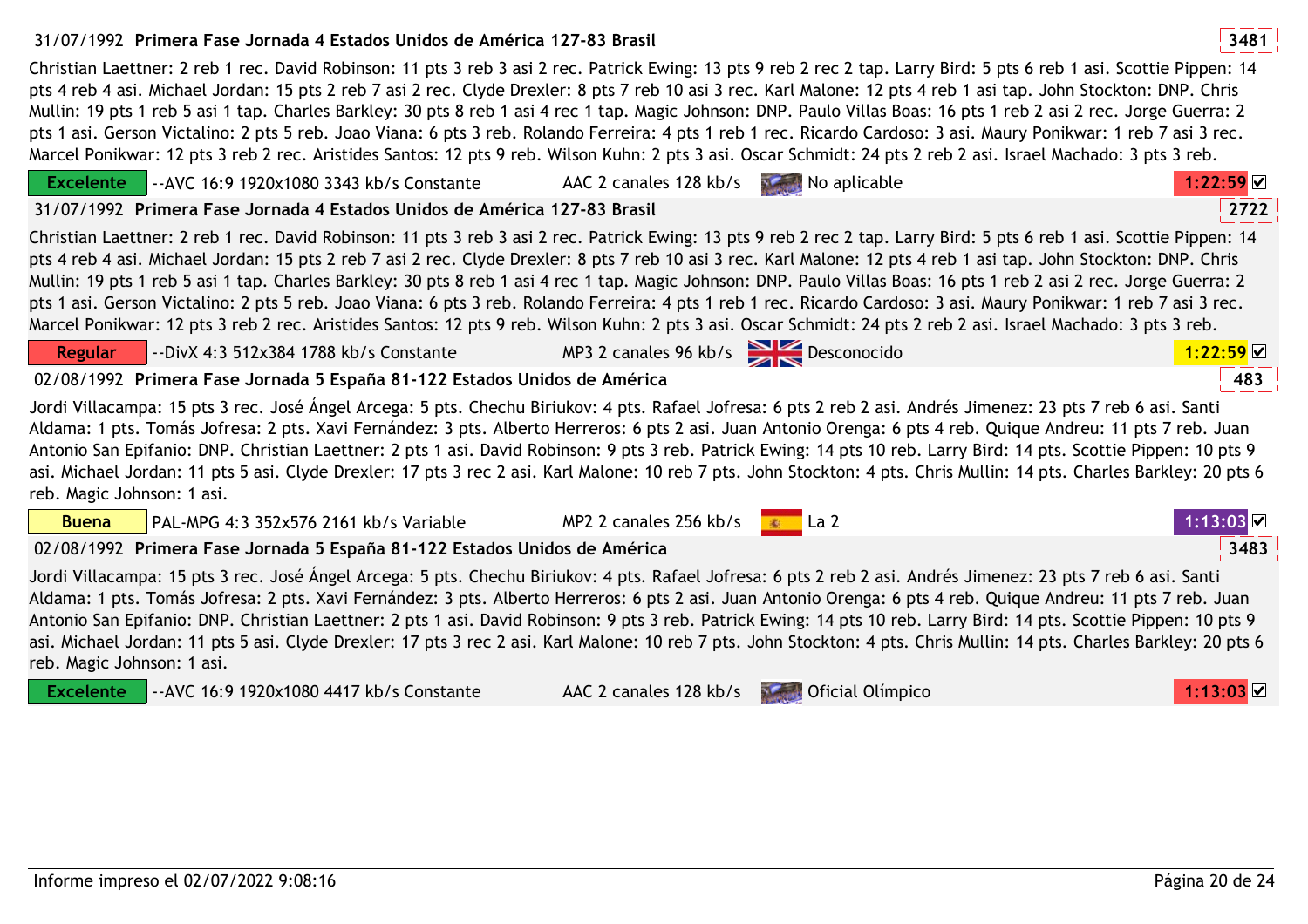## 31/07/1992 **<sup>3481</sup>Primera Fase Jornada 4 Estados Unidos de América 127-83 Brasil**

Christian Laettner: 2 reb 1 rec. David Robinson: 11 pts 3 reb 3 asi 2 rec. Patrick Ewing: 13 pts 9 reb 2 rec 2 tap. Larry Bird: 5 pts 6 reb 1 asi. Scottie Pippen: 14 pts 4 reb 4 asi. Michael Jordan: 15 pts 2 reb 7 asi 2 rec. Clyde Drexler: 8 pts 7 reb 10 asi 3 rec. Karl Malone: 12 pts 4 reb 1 asi tap. John Stockton: DNP. Chris Mullin: 19 pts 1 reb 5 asi 1 tap. Charles Barkley: 30 pts 8 reb 1 asi 4 rec 1 tap. Magic Johnson: DNP. Paulo Villas Boas: 16 pts 1 reb 2 asi 2 rec. Jorge Guerra: 2 pts 1 asi. Gerson Victalino: 2 pts 5 reb. Joao Viana: 6 pts 3 reb. Rolando Ferreira: 4 pts 1 reb 1 rec. Ricardo Cardoso: 3 asi. Maury Ponikwar: 1 reb 7 asi 3 rec. Marcel Ponikwar: 12 pts 3 reb 2 rec. Aristides Santos: 12 pts 9 reb. Wilson Kuhn: 2 pts 3 asi. Oscar Schmidt: 24 pts 2 reb 2 asi. Israel Machado: 3 pts 3 reb.

|                                                                                                                                                                                                                                                                                                                                                                                                                                                                                                                                                                                                                                                                                                                 | <b>Excelente</b>                                                                  | $\blacksquare$ --AVC 16:9 1920x1080 3343 kb/s Constante                                                                                                                                                                                                                                                                                                                                                                                                                                                                                                                                                                                                                                                         | AAC 2 canales 128 kb/s                                                                                                                                                                                                                                                                                                                                                                                                                                                                                                                                                                                                                                                                                                                                                                                                                                                                                                                                                                                                                                                                                                                        | No aplicable | $1:22:59$ $\times$    |  |
|-----------------------------------------------------------------------------------------------------------------------------------------------------------------------------------------------------------------------------------------------------------------------------------------------------------------------------------------------------------------------------------------------------------------------------------------------------------------------------------------------------------------------------------------------------------------------------------------------------------------------------------------------------------------------------------------------------------------|-----------------------------------------------------------------------------------|-----------------------------------------------------------------------------------------------------------------------------------------------------------------------------------------------------------------------------------------------------------------------------------------------------------------------------------------------------------------------------------------------------------------------------------------------------------------------------------------------------------------------------------------------------------------------------------------------------------------------------------------------------------------------------------------------------------------|-----------------------------------------------------------------------------------------------------------------------------------------------------------------------------------------------------------------------------------------------------------------------------------------------------------------------------------------------------------------------------------------------------------------------------------------------------------------------------------------------------------------------------------------------------------------------------------------------------------------------------------------------------------------------------------------------------------------------------------------------------------------------------------------------------------------------------------------------------------------------------------------------------------------------------------------------------------------------------------------------------------------------------------------------------------------------------------------------------------------------------------------------|--------------|-----------------------|--|
|                                                                                                                                                                                                                                                                                                                                                                                                                                                                                                                                                                                                                                                                                                                 | 2722<br>31/07/1992 Primera Fase Jornada 4 Estados Unidos de América 127-83 Brasil |                                                                                                                                                                                                                                                                                                                                                                                                                                                                                                                                                                                                                                                                                                                 |                                                                                                                                                                                                                                                                                                                                                                                                                                                                                                                                                                                                                                                                                                                                                                                                                                                                                                                                                                                                                                                                                                                                               |              |                       |  |
|                                                                                                                                                                                                                                                                                                                                                                                                                                                                                                                                                                                                                                                                                                                 |                                                                                   |                                                                                                                                                                                                                                                                                                                                                                                                                                                                                                                                                                                                                                                                                                                 | Christian Laettner: 2 reb 1 rec. David Robinson: 11 pts 3 reb 3 asi 2 rec. Patrick Ewing: 13 pts 9 reb 2 rec 2 tap. Larry Bird: 5 pts 6 reb 1 asi. Scottie Pippen: 14<br>pts 4 reb 4 asi. Michael Jordan: 15 pts 2 reb 7 asi 2 rec. Clyde Drexler: 8 pts 7 reb 10 asi 3 rec. Karl Malone: 12 pts 4 reb 1 asi tap. John Stockton: DNP. Chris<br>Mullin: 19 pts 1 reb 5 asi 1 tap. Charles Barkley: 30 pts 8 reb 1 asi 4 rec 1 tap. Magic Johnson: DNP. Paulo Villas Boas: 16 pts 1 reb 2 asi 2 rec. Jorge Guerra: 2<br>pts 1 asi. Gerson Victalino: 2 pts 5 reb. Joao Viana: 6 pts 3 reb. Rolando Ferreira: 4 pts 1 reb 1 rec. Ricardo Cardoso: 3 asi. Maury Ponikwar: 1 reb 7 asi 3 rec.<br>Marcel Ponikwar: 12 pts 3 reb 2 rec. Aristides Santos: 12 pts 9 reb. Wilson Kuhn: 2 pts 3 asi. Oscar Schmidt: 24 pts 2 reb 2 asi. Israel Machado: 3 pts 3 reb.<br>MP3 2 canales 96 kb/s Desconocido<br>1:22:59<br>483<br>02/08/1992 Primera Fase Jornada 5 España 81-122 Estados Unidos de América<br>MP2 2 canales 256 kb/s $\blacksquare$ La 2<br>1:13:03⊠<br>3483<br>02/08/1992 Primera Fase Jornada 5 España 81-122 Estados Unidos de América |              |                       |  |
|                                                                                                                                                                                                                                                                                                                                                                                                                                                                                                                                                                                                                                                                                                                 | <b>Regular</b>                                                                    | --DivX 4:3 512x384 1788 kb/s Constante                                                                                                                                                                                                                                                                                                                                                                                                                                                                                                                                                                                                                                                                          |                                                                                                                                                                                                                                                                                                                                                                                                                                                                                                                                                                                                                                                                                                                                                                                                                                                                                                                                                                                                                                                                                                                                               |              |                       |  |
|                                                                                                                                                                                                                                                                                                                                                                                                                                                                                                                                                                                                                                                                                                                 |                                                                                   |                                                                                                                                                                                                                                                                                                                                                                                                                                                                                                                                                                                                                                                                                                                 |                                                                                                                                                                                                                                                                                                                                                                                                                                                                                                                                                                                                                                                                                                                                                                                                                                                                                                                                                                                                                                                                                                                                               |              |                       |  |
|                                                                                                                                                                                                                                                                                                                                                                                                                                                                                                                                                                                                                                                                                                                 |                                                                                   | Jordi Villacampa: 15 pts 3 rec. José Ángel Arcega: 5 pts. Chechu Biriukov: 4 pts. Rafael Jofresa: 6 pts 2 reb 2 asi. Andrés Jimenez: 23 pts 7 reb 6 asi. Santi<br>Aldama: 1 pts. Tomás Jofresa: 2 pts. Xavi Fernández: 3 pts. Alberto Herreros: 6 pts 2 asi. Juan Antonio Orenga: 6 pts 4 reb. Quique Andreu: 11 pts 7 reb. Juan<br>Antonio San Epifanio: DNP. Christian Laettner: 2 pts 1 asi. David Robinson: 9 pts 3 reb. Patrick Ewing: 14 pts 10 reb. Larry Bird: 14 pts. Scottie Pippen: 10 pts 9<br>asi. Michael Jordan: 11 pts 5 asi. Clyde Drexler: 17 pts 3 rec 2 asi. Karl Malone: 10 reb 7 pts. John Stockton: 4 pts. Chris Mullin: 14 pts. Charles Barkley: 20 pts 6<br>reb. Magic Johnson: 1 asi. |                                                                                                                                                                                                                                                                                                                                                                                                                                                                                                                                                                                                                                                                                                                                                                                                                                                                                                                                                                                                                                                                                                                                               |              |                       |  |
|                                                                                                                                                                                                                                                                                                                                                                                                                                                                                                                                                                                                                                                                                                                 | <b>Buena</b>                                                                      | PAL-MPG 4:3 352x576 2161 kb/s Variable                                                                                                                                                                                                                                                                                                                                                                                                                                                                                                                                                                                                                                                                          |                                                                                                                                                                                                                                                                                                                                                                                                                                                                                                                                                                                                                                                                                                                                                                                                                                                                                                                                                                                                                                                                                                                                               |              |                       |  |
|                                                                                                                                                                                                                                                                                                                                                                                                                                                                                                                                                                                                                                                                                                                 |                                                                                   |                                                                                                                                                                                                                                                                                                                                                                                                                                                                                                                                                                                                                                                                                                                 |                                                                                                                                                                                                                                                                                                                                                                                                                                                                                                                                                                                                                                                                                                                                                                                                                                                                                                                                                                                                                                                                                                                                               |              |                       |  |
| Jordi Villacampa: 15 pts 3 rec. José Ángel Arcega: 5 pts. Chechu Biriukov: 4 pts. Rafael Jofresa: 6 pts 2 reb 2 asi. Andrés Jimenez: 23 pts 7 reb 6 asi. Santi<br>Aldama: 1 pts. Tomás Jofresa: 2 pts. Xavi Fernández: 3 pts. Alberto Herreros: 6 pts 2 asi. Juan Antonio Orenga: 6 pts 4 reb. Quique Andreu: 11 pts 7 reb. Juan<br>Antonio San Epifanio: DNP. Christian Laettner: 2 pts 1 asi. David Robinson: 9 pts 3 reb. Patrick Ewing: 14 pts 10 reb. Larry Bird: 14 pts. Scottie Pippen: 10 pts 9<br>asi. Michael Jordan: 11 pts 5 asi. Clyde Drexler: 17 pts 3 rec 2 asi. Karl Malone: 10 reb 7 pts. John Stockton: 4 pts. Chris Mullin: 14 pts. Charles Barkley: 20 pts 6<br>reb. Magic Johnson: 1 asi. |                                                                                   |                                                                                                                                                                                                                                                                                                                                                                                                                                                                                                                                                                                                                                                                                                                 |                                                                                                                                                                                                                                                                                                                                                                                                                                                                                                                                                                                                                                                                                                                                                                                                                                                                                                                                                                                                                                                                                                                                               |              |                       |  |
|                                                                                                                                                                                                                                                                                                                                                                                                                                                                                                                                                                                                                                                                                                                 |                                                                                   | <b>Excelente</b>   -- AVC 16:9 1920x1080 4417 kb/s Constante                                                                                                                                                                                                                                                                                                                                                                                                                                                                                                                                                                                                                                                    | AAC 2 canales 128 kb/s <b>No. 2</b> Oficial Olimpico                                                                                                                                                                                                                                                                                                                                                                                                                                                                                                                                                                                                                                                                                                                                                                                                                                                                                                                                                                                                                                                                                          |              | $1:13:03$ $\boxtimes$ |  |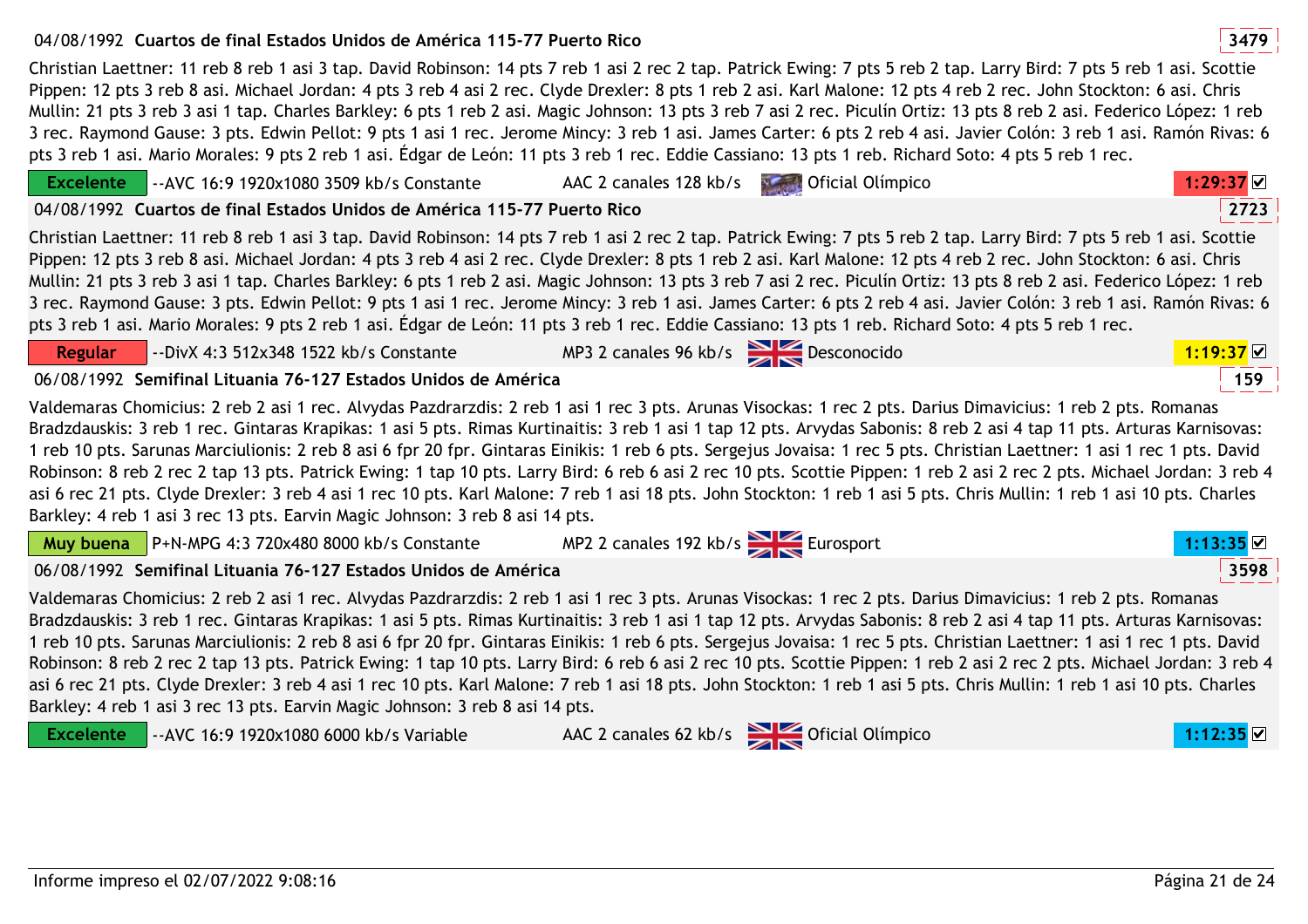## 04/08/1992 **<sup>3479</sup>Cuartos de final Estados Unidos de América 115-77 Puerto Rico**

Christian Laettner: 11 reb 8 reb 1 asi 3 tap. David Robinson: 14 pts 7 reb 1 asi 2 rec 2 tap. Patrick Ewing: 7 pts 5 reb 2 tap. Larry Bird: 7 pts 5 reb 1 asi. Scottie Pippen: 12 pts 3 reb 8 asi. Michael Jordan: 4 pts 3 reb 4 asi 2 rec. Clyde Drexler: 8 pts 1 reb 2 asi. Karl Malone: 12 pts 4 reb 2 rec. John Stockton: 6 asi. Chris Mullin: 21 pts 3 reb 3 asi 1 tap. Charles Barkley: 6 pts 1 reb 2 asi. Magic Johnson: 13 pts 3 reb 7 asi 2 rec. Piculín Ortiz: 13 pts 8 reb 2 asi. Federico López: 1 reb 3 rec. Raymond Gause: 3 pts. Edwin Pellot: 9 pts 1 asi 1 rec. Jerome Mincy: 3 reb 1 asi. James Carter: 6 pts 2 reb 4 asi. Javier Colón: 3 reb 1 asi. Ramón Rivas: 6 pts 3 reb 1 asi. Mario Morales: 9 pts 2 reb 1 asi. Édgar de León: 11 pts 3 reb 1 rec. Eddie Cassiano: 13 pts 1 reb. Richard Soto: 4 pts 5 reb 1 rec.

| $\sim$ -AVC 16:9 1920x1080 3509 kb/s Constante<br><b>Excelente</b>                                                                                                                                                                                                                                                                                                                                                                                                                                                                                                                                                                                                                                                                                                                                                                                                                                                                                       | AAC 2 canales 128 kb/s                | <b>Contract Olimpico</b> | 1:29:37     |  |
|----------------------------------------------------------------------------------------------------------------------------------------------------------------------------------------------------------------------------------------------------------------------------------------------------------------------------------------------------------------------------------------------------------------------------------------------------------------------------------------------------------------------------------------------------------------------------------------------------------------------------------------------------------------------------------------------------------------------------------------------------------------------------------------------------------------------------------------------------------------------------------------------------------------------------------------------------------|---------------------------------------|--------------------------|-------------|--|
| 04/08/1992 Cuartos de final Estados Unidos de América 115-77 Puerto Rico                                                                                                                                                                                                                                                                                                                                                                                                                                                                                                                                                                                                                                                                                                                                                                                                                                                                                 |                                       |                          | 2723        |  |
| Christian Laettner: 11 reb 8 reb 1 asi 3 tap. David Robinson: 14 pts 7 reb 1 asi 2 rec 2 tap. Patrick Ewing: 7 pts 5 reb 2 tap. Larry Bird: 7 pts 5 reb 1 asi. Scottie<br>Pippen: 12 pts 3 reb 8 asi. Michael Jordan: 4 pts 3 reb 4 asi 2 rec. Clyde Drexler: 8 pts 1 reb 2 asi. Karl Malone: 12 pts 4 reb 2 rec. John Stockton: 6 asi. Chris<br>Mullin: 21 pts 3 reb 3 asi 1 tap. Charles Barkley: 6 pts 1 reb 2 asi. Magic Johnson: 13 pts 3 reb 7 asi 2 rec. Piculín Ortiz: 13 pts 8 reb 2 asi. Federico López: 1 reb<br>3 rec. Raymond Gause: 3 pts. Edwin Pellot: 9 pts 1 asi 1 rec. Jerome Mincy: 3 reb 1 asi. James Carter: 6 pts 2 reb 4 asi. Javier Colón: 3 reb 1 asi. Ramón Rivas: 6<br>pts 3 reb 1 asi. Mario Morales: 9 pts 2 reb 1 asi. Édgar de León: 11 pts 3 reb 1 rec. Eddie Cassiano: 13 pts 1 reb. Richard Soto: 4 pts 5 reb 1 rec.                                                                                                  |                                       |                          |             |  |
| --DivX 4:3 512x348 1522 kb/s Constante<br>Regular                                                                                                                                                                                                                                                                                                                                                                                                                                                                                                                                                                                                                                                                                                                                                                                                                                                                                                        | MP3 2 canales 96 kb/s Desconocido     |                          | $1:19:37$ ⊠ |  |
| 06/08/1992 Semifinal Lituania 76-127 Estados Unidos de América                                                                                                                                                                                                                                                                                                                                                                                                                                                                                                                                                                                                                                                                                                                                                                                                                                                                                           |                                       |                          | 159         |  |
| Valdemaras Chomicius: 2 reb 2 asi 1 rec. Alvydas Pazdrarzdis: 2 reb 1 asi 1 rec 3 pts. Arunas Visockas: 1 rec 2 pts. Darius Dimavicius: 1 reb 2 pts. Romanas<br>Bradzdauskis: 3 reb 1 rec. Gintaras Krapikas: 1 asi 5 pts. Rimas Kurtinaitis: 3 reb 1 asi 1 tap 12 pts. Arvydas Sabonis: 8 reb 2 asi 4 tap 11 pts. Arturas Karnisovas:<br>1 reb 10 pts. Sarunas Marciulionis: 2 reb 8 asi 6 fpr 20 fpr. Gintaras Einikis: 1 reb 6 pts. Sergejus Jovaisa: 1 rec 5 pts. Christian Laettner: 1 asi 1 rec 1 pts. David<br>Robinson: 8 reb 2 rec 2 tap 13 pts. Patrick Ewing: 1 tap 10 pts. Larry Bird: 6 reb 6 asi 2 rec 10 pts. Scottie Pippen: 1 reb 2 asi 2 rec 2 pts. Michael Jordan: 3 reb 4<br>asi 6 rec 21 pts. Clyde Drexler: 3 reb 4 asi 1 rec 10 pts. Karl Malone: 7 reb 1 asi 18 pts. John Stockton: 1 reb 1 asi 5 pts. Chris Mullin: 1 reb 1 asi 10 pts. Charles<br>Barkley: 4 reb 1 asi 3 rec 13 pts. Earvin Magic Johnson: 3 reb 8 asi 14 pts. |                                       |                          |             |  |
| Muy buena   P+N-MPG 4:3 720x480 8000 kb/s Constante                                                                                                                                                                                                                                                                                                                                                                                                                                                                                                                                                                                                                                                                                                                                                                                                                                                                                                      | MP2 2 canales 192 kb/s<br>Eurosport   |                          | 1:13:35     |  |
| 06/08/1992 Semifinal Lituania 76-127 Estados Unidos de América                                                                                                                                                                                                                                                                                                                                                                                                                                                                                                                                                                                                                                                                                                                                                                                                                                                                                           |                                       |                          | 3598        |  |
| Valdemaras Chomicius: 2 reb 2 asi 1 rec. Alvydas Pazdrarzdis: 2 reb 1 asi 1 rec 3 pts. Arunas Visockas: 1 rec 2 pts. Darius Dimavicius: 1 reb 2 pts. Romanas<br>Bradzdauskis: 3 reb 1 rec. Gintaras Krapikas: 1 asi 5 pts. Rimas Kurtinaitis: 3 reb 1 asi 1 tap 12 pts. Arvydas Sabonis: 8 reb 2 asi 4 tap 11 pts. Arturas Karnisovas:<br>1 reb 10 pts. Sarunas Marciulionis: 2 reb 8 asi 6 fpr 20 fpr. Gintaras Einikis: 1 reb 6 pts. Sergejus Jovaisa: 1 rec 5 pts. Christian Laettner: 1 asi 1 rec 1 pts. David<br>Robinson: 8 reb 2 rec 2 tap 13 pts. Patrick Ewing: 1 tap 10 pts. Larry Bird: 6 reb 6 asi 2 rec 10 pts. Scottie Pippen: 1 reb 2 asi 2 rec 2 pts. Michael Jordan: 3 reb 4<br>asi 6 rec 21 pts. Clyde Drexler: 3 reb 4 asi 1 rec 10 pts. Karl Malone: 7 reb 1 asi 18 pts. John Stockton: 1 reb 1 asi 5 pts. Chris Mullin: 1 reb 1 asi 10 pts. Charles<br>Barkley: 4 reb 1 asi 3 rec 13 pts. Earvin Magic Johnson: 3 reb 8 asi 14 pts. |                                       |                          |             |  |
| <b>Excelente</b><br>--AVC 16:9 1920x1080 6000 kb/s Variable                                                                                                                                                                                                                                                                                                                                                                                                                                                                                                                                                                                                                                                                                                                                                                                                                                                                                              | AAC 2 canales 62 kb/s Second Olimpico |                          | 1:12:35     |  |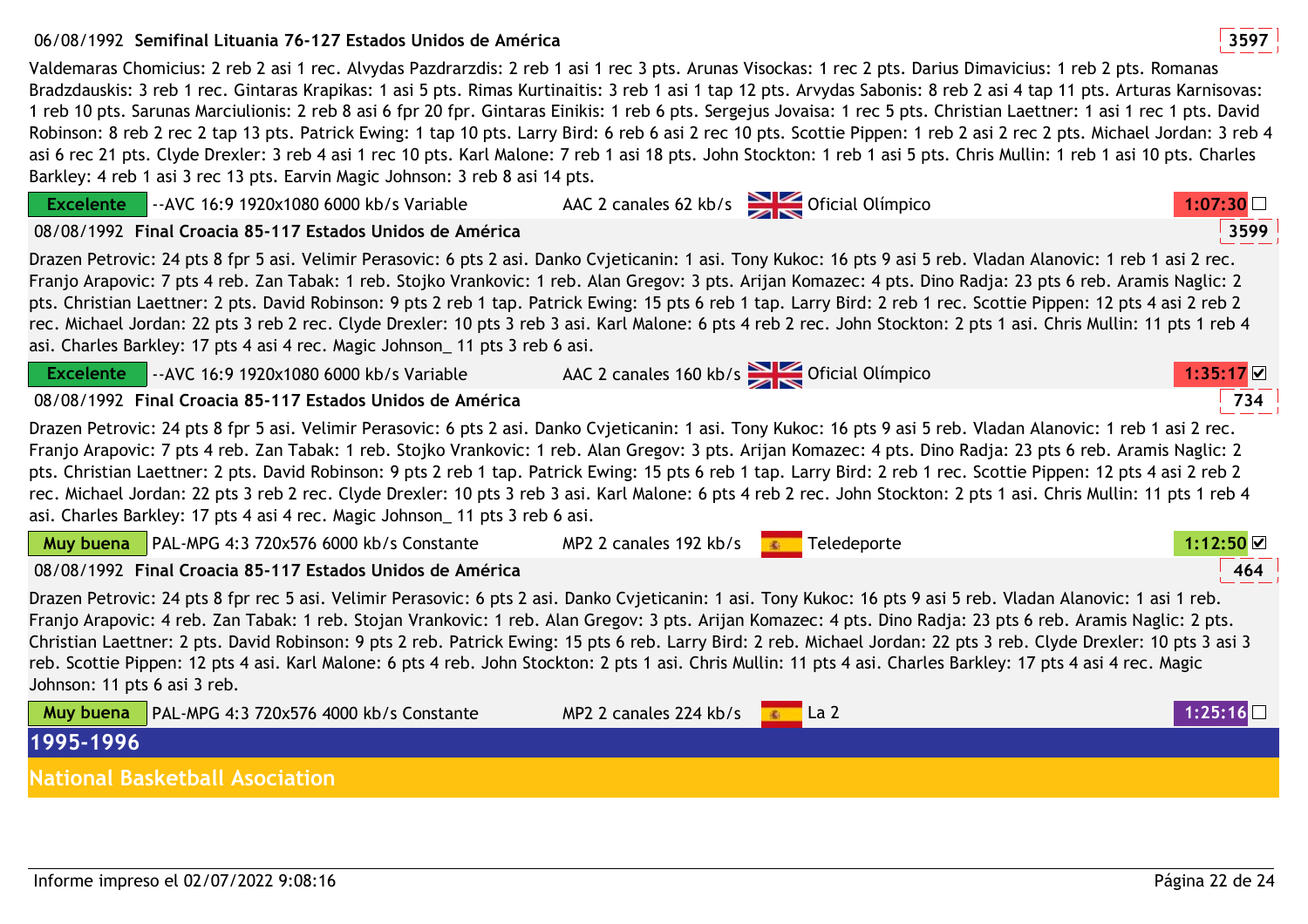## 06/08/1992 **<sup>3597</sup>Semifinal Lituania 76-127 Estados Unidos de América**

Valdemaras Chomicius: 2 reb 2 asi 1 rec. Alvydas Pazdrarzdis: 2 reb 1 asi 1 rec 3 pts. Arunas Visockas: 1 rec 2 pts. Darius Dimavicius: 1 reb 2 pts. Romanas Bradzdauskis: 3 reb 1 rec. Gintaras Krapikas: 1 asi 5 pts. Rimas Kurtinaitis: 3 reb 1 asi 1 tap 12 pts. Arvydas Sabonis: 8 reb 2 asi 4 tap 11 pts. Arturas Karnisovas: 1 reb 10 pts. Sarunas Marciulionis: 2 reb 8 asi 6 fpr 20 fpr. Gintaras Einikis: 1 reb 6 pts. Sergejus Jovaisa: 1 rec 5 pts. Christian Laettner: 1 asi 1 rec 1 pts. David Robinson: 8 reb 2 rec 2 tap 13 pts. Patrick Ewing: 1 tap 10 pts. Larry Bird: 6 reb 6 asi 2 rec 10 pts. Scottie Pippen: 1 reb 2 asi 2 rec 2 pts. Michael Jordan: 3 reb 4 asi 6 rec 21 pts. Clyde Drexler: 3 reb 4 asi 1 rec 10 pts. Karl Malone: 7 reb 1 asi 18 pts. John Stockton: 1 reb 1 asi 5 pts. Chris Mullin: 1 reb 1 asi 10 pts. Charles Barkley: 4 reb 1 asi 3 rec 13 pts. Earvin Magic Johnson: 3 reb 8 asi 14 pts.

| <b>Excelente</b>                                                                                                                                                                                                                                                                                                                                                                                                                                                                                                                                                                                                                                                                                                                                                   | -- AVC 16:9 1920x1080 6000 kb/s Variable                  |                        | AAC 2 canales 62 kb/s State Oficial Olímpico | 1:07:30        |
|--------------------------------------------------------------------------------------------------------------------------------------------------------------------------------------------------------------------------------------------------------------------------------------------------------------------------------------------------------------------------------------------------------------------------------------------------------------------------------------------------------------------------------------------------------------------------------------------------------------------------------------------------------------------------------------------------------------------------------------------------------------------|-----------------------------------------------------------|------------------------|----------------------------------------------|----------------|
|                                                                                                                                                                                                                                                                                                                                                                                                                                                                                                                                                                                                                                                                                                                                                                    | 08/08/1992 Final Croacia 85-117 Estados Unidos de América |                        |                                              | 3599           |
| Drazen Petrovic: 24 pts 8 fpr 5 asi. Velimir Perasovic: 6 pts 2 asi. Danko Cvjeticanin: 1 asi. Tony Kukoc: 16 pts 9 asi 5 reb. Vladan Alanovic: 1 reb 1 asi 2 rec.<br>Franjo Arapovic: 7 pts 4 reb. Zan Tabak: 1 reb. Stojko Vrankovic: 1 reb. Alan Gregov: 3 pts. Arijan Komazec: 4 pts. Dino Radja: 23 pts 6 reb. Aramis Naglic: 2<br>pts. Christian Laettner: 2 pts. David Robinson: 9 pts 2 reb 1 tap. Patrick Ewing: 15 pts 6 reb 1 tap. Larry Bird: 2 reb 1 rec. Scottie Pippen: 12 pts 4 asi 2 reb 2<br>rec. Michael Jordan: 22 pts 3 reb 2 rec. Clyde Drexler: 10 pts 3 reb 3 asi. Karl Malone: 6 pts 4 reb 2 rec. John Stockton: 2 pts 1 asi. Chris Mullin: 11 pts 1 reb 4<br>asi. Charles Barkley: 17 pts 4 asi 4 rec. Magic Johnson 11 pts 3 reb 6 asi. |                                                           |                        |                                              |                |
| <b>Excelente</b>                                                                                                                                                                                                                                                                                                                                                                                                                                                                                                                                                                                                                                                                                                                                                   | -- AVC 16:9 1920x1080 6000 kb/s Variable                  |                        | AAC 2 canales 160 kb/s Oficial Olímpico      | $1:35:17$ $\&$ |
|                                                                                                                                                                                                                                                                                                                                                                                                                                                                                                                                                                                                                                                                                                                                                                    | 08/08/1992 Final Croacia 85-117 Estados Unidos de América |                        |                                              | 734            |
| Drazen Petrovic: 24 pts 8 fpr 5 asi. Velimir Perasovic: 6 pts 2 asi. Danko Cvjeticanin: 1 asi. Tony Kukoc: 16 pts 9 asi 5 reb. Vladan Alanovic: 1 reb 1 asi 2 rec.<br>Franjo Arapovic: 7 pts 4 reb. Zan Tabak: 1 reb. Stojko Vrankovic: 1 reb. Alan Gregov: 3 pts. Arijan Komazec: 4 pts. Dino Radja: 23 pts 6 reb. Aramis Naglic: 2<br>pts. Christian Laettner: 2 pts. David Robinson: 9 pts 2 reb 1 tap. Patrick Ewing: 15 pts 6 reb 1 tap. Larry Bird: 2 reb 1 rec. Scottie Pippen: 12 pts 4 asi 2 reb 2<br>rec. Michael Jordan: 22 pts 3 reb 2 rec. Clyde Drexler: 10 pts 3 reb 3 asi. Karl Malone: 6 pts 4 reb 2 rec. John Stockton: 2 pts 1 asi. Chris Mullin: 11 pts 1 reb 4<br>asi. Charles Barkley: 17 pts 4 asi 4 rec. Magic Johnson 11 pts 3 reb 6 asi. |                                                           |                        |                                              |                |
| Muy buena                                                                                                                                                                                                                                                                                                                                                                                                                                                                                                                                                                                                                                                                                                                                                          | PAL-MPG 4:3 720x576 6000 kb/s Constante                   | MP2 2 canales 192 kb/s | Teledeporte                                  | 1:12:50        |
|                                                                                                                                                                                                                                                                                                                                                                                                                                                                                                                                                                                                                                                                                                                                                                    | 08/08/1992 Final Croacia 85-117 Estados Unidos de América |                        |                                              | 464            |
| Drazen Petrovic: 24 pts 8 fpr rec 5 asi. Velimir Perasovic: 6 pts 2 asi. Danko Cvjeticanin: 1 asi. Tony Kukoc: 16 pts 9 asi 5 reb. Vladan Alanovic: 1 asi 1 reb.<br>Franjo Arapovic: 4 reb. Zan Tabak: 1 reb. Stojan Vrankovic: 1 reb. Alan Gregov: 3 pts. Arijan Komazec: 4 pts. Dino Radja: 23 pts 6 reb. Aramis Naglic: 2 pts.<br>Christian Laettner: 2 pts. David Robinson: 9 pts 2 reb. Patrick Ewing: 15 pts 6 reb. Larry Bird: 2 reb. Michael Jordan: 22 pts 3 reb. Clyde Drexler: 10 pts 3 asi 3<br>reb. Scottie Pippen: 12 pts 4 asi. Karl Malone: 6 pts 4 reb. John Stockton: 2 pts 1 asi. Chris Mullin: 11 pts 4 asi. Charles Barkley: 17 pts 4 asi 4 rec. Magic<br>Johnson: 11 pts 6 asi 3 reb.                                                        |                                                           |                        |                                              |                |
| Muy buena                                                                                                                                                                                                                                                                                                                                                                                                                                                                                                                                                                                                                                                                                                                                                          | PAL-MPG 4:3 720x576 4000 kb/s Constante                   | MP2 2 canales 224 kb/s | $\overline{\bullet}$ La 2                    | 1:25:16        |
| 1995-1996                                                                                                                                                                                                                                                                                                                                                                                                                                                                                                                                                                                                                                                                                                                                                          |                                                           |                        |                                              |                |
|                                                                                                                                                                                                                                                                                                                                                                                                                                                                                                                                                                                                                                                                                                                                                                    | <b>National Basketball Asociation</b>                     |                        |                                              |                |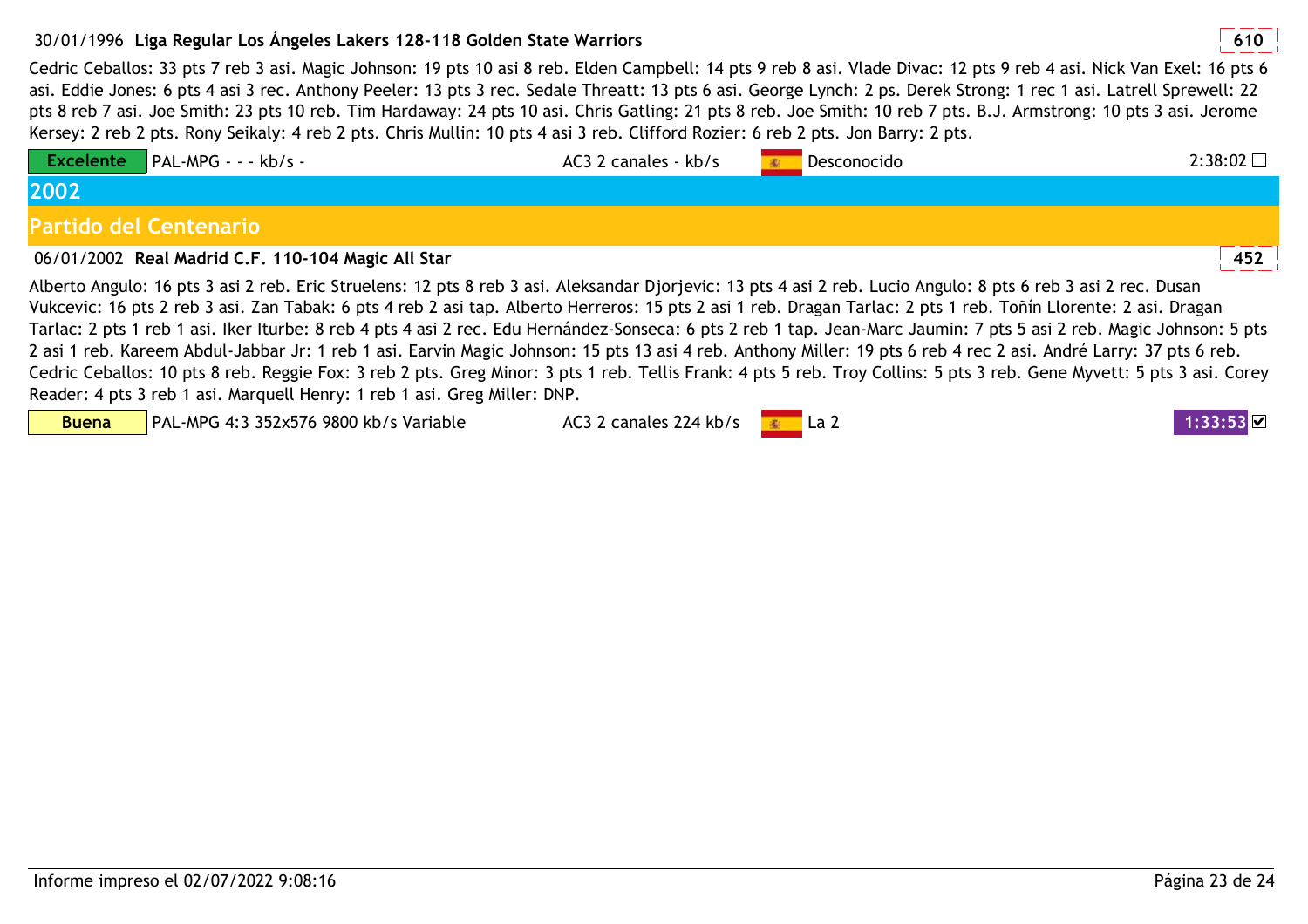## 30/01/1996 **<sup>610</sup>Liga Regular Los Ángeles Lakers 128-118 Golden State Warriors**

 Cedric Ceballos: 33 pts 7 reb 3 asi. Magic Johnson: 19 pts 10 asi 8 reb. Elden Campbell: 14 pts 9 reb 8 asi. Vlade Divac: 12 pts 9 reb 4 asi. Nick Van Exel: 16 pts 6 asi. Eddie Jones: 6 pts 4 asi 3 rec. Anthony Peeler: 13 pts 3 rec. Sedale Threatt: 13 pts 6 asi. George Lynch: 2 ps. Derek Strong: 1 rec 1 asi. Latrell Sprewell: 22 pts 8 reb 7 asi. Joe Smith: 23 pts 10 reb. Tim Hardaway: 24 pts 10 asi. Chris Gatling: 21 pts 8 reb. Joe Smith: 10 reb 7 pts. B.J. Armstrong: 10 pts 3 asi. Jerome Kersey: 2 reb 2 pts. Rony Seikaly: 4 reb 2 pts. Chris Mullin: 10 pts 4 asi 3 reb. Clifford Rozier: 6 reb 2 pts. Jon Barry: 2 pts.

| <b>Excelente</b>                                                                                                                                                  | $\blacksquare$ PAL-MPG - - - kb/s -                                                                                                                                  | AC3 2 canales - kb/s |  | Desconocido | 2:38:02 |  |
|-------------------------------------------------------------------------------------------------------------------------------------------------------------------|----------------------------------------------------------------------------------------------------------------------------------------------------------------------|----------------------|--|-------------|---------|--|
| 2002                                                                                                                                                              |                                                                                                                                                                      |                      |  |             |         |  |
| Partido del Centenario                                                                                                                                            |                                                                                                                                                                      |                      |  |             |         |  |
|                                                                                                                                                                   | 06/01/2002 Real Madrid C.F. 110-104 Magic All Star                                                                                                                   |                      |  |             | 452     |  |
| Alberto Angulo: 16 pts 3 asi 2 reb. Eric Struelens: 12 pts 8 reb 3 asi. Aleksandar Djorjevic: 13 pts 4 asi 2 reb. Lucio Angulo: 8 pts 6 reb 3 asi 2 rec. Dusan    |                                                                                                                                                                      |                      |  |             |         |  |
| Vukcevic: 16 pts 2 reb 3 asi. Zan Tabak: 6 pts 4 reb 2 asi tap. Alberto Herreros: 15 pts 2 asi 1 reb. Dragan Tarlac: 2 pts 1 reb. Toñín Llorente: 2 asi. Dragan   |                                                                                                                                                                      |                      |  |             |         |  |
|                                                                                                                                                                   | Tarlac: 2 pts 1 reb 1 asi. Iker Iturbe: 8 reb 4 pts 4 asi 2 rec. Edu Hernández-Sonseca: 6 pts 2 reb 1 tap. Jean-Marc Jaumin: 7 pts 5 asi 2 reb. Magic Johnson: 5 pts |                      |  |             |         |  |
| 2 asi 1 reb. Kareem Abdul-Jabbar Jr: 1 reb 1 asi. Earvin Magic Johnson: 15 pts 13 asi 4 reb. Anthony Miller: 19 pts 6 reb 4 rec 2 asi. André Larry: 37 pts 6 reb. |                                                                                                                                                                      |                      |  |             |         |  |

Cedric Ceballos: 10 pts 8 reb. Reggie Fox: 3 reb 2 pts. Greg Minor: 3 pts 1 reb. Tellis Frank: 4 pts 5 reb. Troy Collins: 5 pts 3 reb. Gene Myvett: 5 pts 3 asi. Corey Reader: 4 pts 3 reb 1 asi. Marquell Henry: 1 reb 1 asi. Greg Miller: DNP.

**Buena**

PAL-MPG 4:3 352x576 9800 kb/s Variable

AC3 2 canales 224 kb/s **La 2 1:33:53 V**